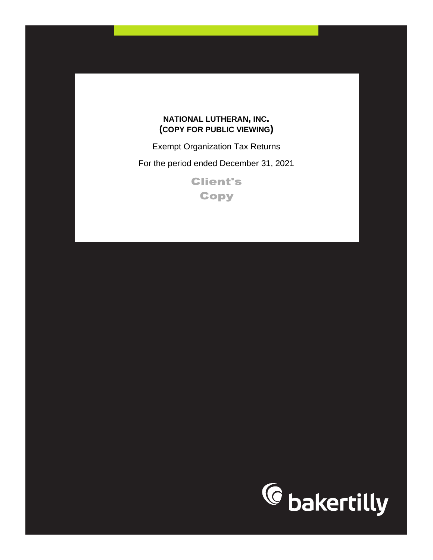## **NATIONAL LUTHERAN, INC. (COPY FOR PUBLIC VIEWING)**

Exempt Organization Tax Returns

For the period ended December 31, 2021

**Client's Copy** 

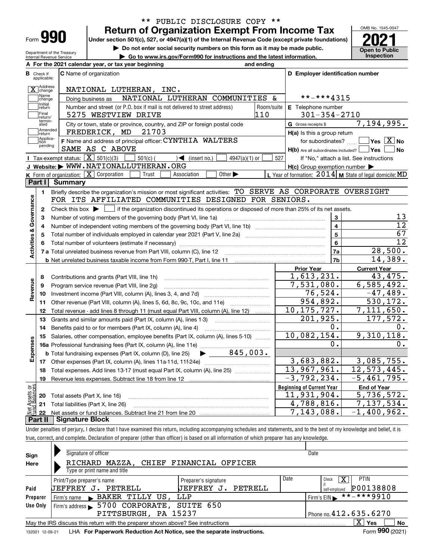| ⊦orm |  |
|------|--|

#### **Return of Organization Exempt From Income Tax** \*\* PUBLIC DISCLOSURE COPY \*\*

Under section 501(c), 527, or 4947(a)(1) of the Internal Revenue Code (except private foundations) **2021** 

**| Do not enter social security numbers on this form as it may be made public.**

Department of the Treasury Internal Revenue Service **| Go to www.irs.gov/Form990 for instructions and the latest information. Inspection**

**A For the 2021 calendar year, or tax year beginning and ending**

OMB No. 1545-0047 **Open to Public** 

| В                       | Check if<br>applicable: | <b>C</b> Name of organization                                                                                                                       |            | D Employer identification number                    |                                                           |  |  |  |
|-------------------------|-------------------------|-----------------------------------------------------------------------------------------------------------------------------------------------------|------------|-----------------------------------------------------|-----------------------------------------------------------|--|--|--|
|                         | X Address               | NATIONAL LUTHERAN, INC.                                                                                                                             |            |                                                     |                                                           |  |  |  |
|                         | Name<br>change          | NATIONAL LUTHERAN COMMUNITIES &<br>Doing business as                                                                                                |            | **-***4315                                          |                                                           |  |  |  |
|                         | Initial<br>return       | Number and street (or P.O. box if mail is not delivered to street address)                                                                          | Room/suite | <b>E</b> Telephone number                           |                                                           |  |  |  |
|                         | Final<br>return/        | 110<br>5275 WESTVIEW DRIVE                                                                                                                          |            | $301 - 354 - 2710$                                  |                                                           |  |  |  |
|                         | termin-<br>ated         | City or town, state or province, country, and ZIP or foreign postal code                                                                            |            | <b>G</b> Gross receipts \$                          | 7,194,995.                                                |  |  |  |
|                         | Amended<br>return       | FREDERICK, MD 21703                                                                                                                                 |            | H(a) Is this a group return                         |                                                           |  |  |  |
|                         | Applica-<br>tion        | F Name and address of principal officer: CYNTHIA WALTERS                                                                                            |            | for subordinates?                                   | $\blacksquare$ Yes $\boxed{\text{X}}$ No                  |  |  |  |
|                         | pending                 | SAME AS C ABOVE                                                                                                                                     |            | $H(b)$ Are all subordinates included? $\Box$ Yes    | No k                                                      |  |  |  |
|                         |                         | Tax-exempt status: $\boxed{\mathbf{X}}$ 501(c)(3)<br>$501(c)$ (<br>$\sqrt{\frac{1}{1}}$ (insert no.)<br>$4947(a)(1)$ or                             | 527        |                                                     | If "No," attach a list. See instructions                  |  |  |  |
|                         |                         | J Website: WWW.NATIONALLUTHERAN.ORG                                                                                                                 |            | $H(c)$ Group exemption number $\blacktriangleright$ |                                                           |  |  |  |
|                         |                         | K Form of organization: X Corporation<br>Trust<br>Association<br>Other $\blacktriangleright$                                                        |            |                                                     | L Year of formation: $2014$ M State of legal domicile: MD |  |  |  |
|                         | Part I                  | <b>Summary</b>                                                                                                                                      |            |                                                     |                                                           |  |  |  |
|                         | 1.                      | Briefly describe the organization's mission or most significant activities: TO_SERVE_AS_CORPORATE_OVERSIGHT                                         |            |                                                     |                                                           |  |  |  |
| Activities & Governance |                         | FOR ITS AFFILIATED COMMUNITIES DESIGNED FOR SENIORS.                                                                                                |            |                                                     |                                                           |  |  |  |
|                         | $\mathbf{2}$            | Check this box $\blacktriangleright$ $\blacksquare$ if the organization discontinued its operations or disposed of more than 25% of its net assets. |            |                                                     |                                                           |  |  |  |
|                         | з                       | Number of voting members of the governing body (Part VI, line 1a)                                                                                   |            | 3                                                   | 13                                                        |  |  |  |
|                         | 4                       |                                                                                                                                                     |            | $\overline{4}$                                      | $\overline{12}$                                           |  |  |  |
|                         | 5                       |                                                                                                                                                     |            | 5                                                   | 67                                                        |  |  |  |
|                         | 6                       |                                                                                                                                                     |            | 6                                                   | $\overline{12}$                                           |  |  |  |
|                         |                         |                                                                                                                                                     |            | 7a                                                  | 28,500.                                                   |  |  |  |
|                         |                         | <b>b</b> Net unrelated business taxable income from Form 990-T, Part I, line 11                                                                     |            | 7b                                                  | 14,389.                                                   |  |  |  |
|                         |                         |                                                                                                                                                     |            | <b>Prior Year</b>                                   | <b>Current Year</b>                                       |  |  |  |
|                         | 8                       | Contributions and grants (Part VIII, line 1h)                                                                                                       |            | 1,613,231.<br>7,531,080.                            | 43, 475.<br>6,585,492.                                    |  |  |  |
| Revenue                 | 9                       | Program service revenue (Part VIII, line 2g)                                                                                                        |            | 76,524.                                             | $-47,489.$                                                |  |  |  |
|                         | 10                      |                                                                                                                                                     |            | 954,892.                                            | 530,172.                                                  |  |  |  |
|                         | 11                      | Other revenue (Part VIII, column (A), lines 5, 6d, 8c, 9c, 10c, and 11e)                                                                            |            | 10, 175, 727.                                       | 7,111,650.                                                |  |  |  |
|                         | 12                      | Total revenue - add lines 8 through 11 (must equal Part VIII, column (A), line 12)                                                                  |            | 201,925.                                            | 177,572.                                                  |  |  |  |
|                         | 13                      | Grants and similar amounts paid (Part IX, column (A), lines 1-3)                                                                                    |            | 0.                                                  | $0$ .                                                     |  |  |  |
|                         | 14<br>15                | Benefits paid to or for members (Part IX, column (A), line 4)<br>Salaries, other compensation, employee benefits (Part IX, column (A), lines 5-10)  |            | 10,082,154.                                         | $\overline{9,310},118.$                                   |  |  |  |
| Expenses                |                         |                                                                                                                                                     |            | $\mathbf 0$ .                                       | 0.                                                        |  |  |  |
|                         |                         | $\blacktriangleright$ 845,003.<br><b>b</b> Total fundraising expenses (Part IX, column (D), line 25)                                                |            |                                                     |                                                           |  |  |  |
|                         |                         |                                                                                                                                                     |            | 3,683,882.                                          | 3,085,755.                                                |  |  |  |
|                         | 18                      | Total expenses. Add lines 13-17 (must equal Part IX, column (A), line 25)                                                                           |            | 13,967,961.                                         | 12,573,445.                                               |  |  |  |
|                         | 19                      |                                                                                                                                                     |            | $-3,792,234.$                                       | $-5,461,795.$                                             |  |  |  |
| ទន្ទ័                   |                         |                                                                                                                                                     |            | <b>Beginning of Current Year</b>                    | <b>End of Year</b>                                        |  |  |  |
|                         | 20                      | Total assets (Part X, line 16)                                                                                                                      |            | $\overline{11,931,904}$ .                           | 5,736,572.                                                |  |  |  |
|                         | 21                      | Total liabilities (Part X, line 26)                                                                                                                 |            | 4,788,816.                                          | 7,137,534.                                                |  |  |  |
|                         | 22                      |                                                                                                                                                     |            | 7,143,088.                                          | $-1,400,962.$                                             |  |  |  |
|                         | Part II                 | <b>Signature Block</b>                                                                                                                              |            |                                                     |                                                           |  |  |  |

Under penalties of perjury, I declare that I have examined this return, including accompanying schedules and statements, and to the best of my knowledge and belief, it is true, correct, and complete. Declaration of preparer (other than officer) is based on all information of which preparer has any knowledge.

| Sign            | Signature of officer                                                                                    |                          |      | Date                       |  |  |  |  |  |  |
|-----------------|---------------------------------------------------------------------------------------------------------|--------------------------|------|----------------------------|--|--|--|--|--|--|
| Here            | RICHARD MAZZA, CHIEF FINANCIAL OFFICER                                                                  |                          |      |                            |  |  |  |  |  |  |
|                 | Type or print name and title                                                                            |                          |      |                            |  |  |  |  |  |  |
|                 | Print/Type preparer's name                                                                              | Preparer's signature     | Date | <b>PTIN</b><br>x<br>Check  |  |  |  |  |  |  |
| Paid            | UEFFREY<br>PETRELL<br>. J.                                                                              | UEFFREY<br>PETRELL<br>J. |      | P00138808<br>self-emploved |  |  |  |  |  |  |
| Preparer        | BAKER TILLY US, LLP<br>Firm's name                                                                      |                          |      | **-***9910<br>Firm's EIN   |  |  |  |  |  |  |
| Use Only        | 5700 CORPORATE, SUITE 650<br>Firm's address $\blacktriangleright$                                       |                          |      |                            |  |  |  |  |  |  |
|                 | Phone no. 412.635.6270<br>PITTSBURGH, PA 15237                                                          |                          |      |                            |  |  |  |  |  |  |
|                 | $X \vert Y$ es<br>No<br>May the IRS discuss this return with the preparer shown above? See instructions |                          |      |                            |  |  |  |  |  |  |
| 132001 12-09-21 | LHA For Paperwork Reduction Act Notice, see the separate instructions.                                  |                          |      | Form 990 (2021)            |  |  |  |  |  |  |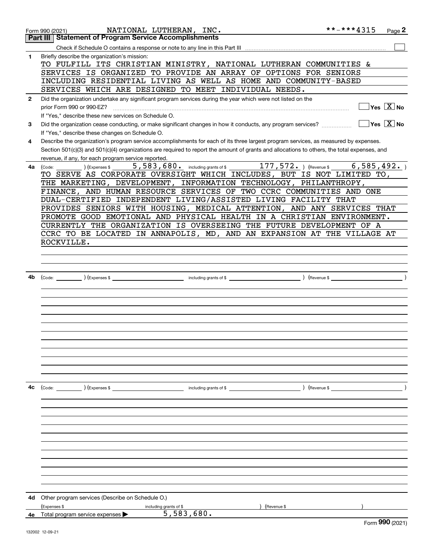|              | **-***4315<br>NATIONAL LUTHERAN, INC.<br>Page $2$<br>Form 990 (2021)                                                                                 |
|--------------|------------------------------------------------------------------------------------------------------------------------------------------------------|
|              | <b>Statement of Program Service Accomplishments</b><br>Part III                                                                                      |
|              |                                                                                                                                                      |
| 1            | Briefly describe the organization's mission:                                                                                                         |
|              | TO FULFILL ITS CHRISTIAN MINISTRY, NATIONAL LUTHERAN COMMUNITIES &                                                                                   |
|              | SERVICES IS ORGANIZED TO PROVIDE AN ARRAY OF OPTIONS FOR SENIORS                                                                                     |
|              | INCLUDING RESIDENTIAL LIVING AS WELL AS HOME AND COMMUNITY-BASED                                                                                     |
|              | SERVICES WHICH ARE DESIGNED TO MEET INDIVIDUAL NEEDS.                                                                                                |
| $\mathbf{2}$ | Did the organization undertake any significant program services during the year which were not listed on the                                         |
|              | $\overline{\mathsf{Yes}}$ $\overline{\mathsf{X}}$ No<br>prior Form 990 or 990-EZ?                                                                    |
|              | If "Yes," describe these new services on Schedule O.                                                                                                 |
| 3            | $\exists$ Yes $\sqrt{\mathrm{X}}$ No<br>Did the organization cease conducting, or make significant changes in how it conducts, any program services? |
|              | If "Yes," describe these changes on Schedule O.                                                                                                      |
| 4            | Describe the organization's program service accomplishments for each of its three largest program services, as measured by expenses.                 |
|              | Section 501(c)(3) and 501(c)(4) organizations are required to report the amount of grants and allocations to others, the total expenses, and         |
|              | revenue, if any, for each program service reported.                                                                                                  |
| 4a l         | 5,583,680. including grants of \$ 177,572. ) (Revenue \$<br>6, 585, 492.<br>(Code:<br>(Expenses \$                                                   |
|              | TO SERVE AS CORPORATE OVERSIGHT WHICH INCLUDES, BUT IS NOT LIMITED TO,                                                                               |
|              | THE MARKETING, DEVELOPMENT, INFORMATION TECHNOLOGY, PHILANTHROPY,                                                                                    |
|              | FINANCE, AND HUMAN RESOURCE SERVICES OF TWO CCRC COMMUNITIES AND ONE                                                                                 |
|              | DUAL-CERTIFIED INDEPENDENT LIVING/ASSISTED LIVING FACILITY THAT                                                                                      |
|              |                                                                                                                                                      |
|              | PROVIDES SENIORS WITH HOUSING, MEDICAL ATTENTION, AND ANY SERVICES THAT                                                                              |
|              | PROMOTE GOOD EMOTIONAL AND PHYSICAL HEALTH IN A CHRISTIAN ENVIRONMENT.                                                                               |
|              | CURRENTLY THE ORGANIZATION IS OVERSEEING THE FUTURE DEVELOPMENT OF A                                                                                 |
|              | CCRC TO BE LOCATED IN ANNAPOLIS, MD, AND AN EXPANSION AT THE VILLAGE AT                                                                              |
|              | ROCKVILLE.                                                                                                                                           |
|              |                                                                                                                                                      |
|              |                                                                                                                                                      |
|              |                                                                                                                                                      |
| 4b           | $\angle$ (Revenue \$                                                                                                                                 |
|              |                                                                                                                                                      |
|              |                                                                                                                                                      |
|              |                                                                                                                                                      |
|              |                                                                                                                                                      |
|              |                                                                                                                                                      |
|              |                                                                                                                                                      |
|              |                                                                                                                                                      |
|              |                                                                                                                                                      |
|              |                                                                                                                                                      |
|              |                                                                                                                                                      |
|              |                                                                                                                                                      |
|              |                                                                                                                                                      |
|              |                                                                                                                                                      |
| 4c           | $\text{(Code:}$ $\qquad \qquad$ $\text{(Expenses $}$                                                                                                 |
|              |                                                                                                                                                      |
|              |                                                                                                                                                      |
|              |                                                                                                                                                      |
|              |                                                                                                                                                      |
|              |                                                                                                                                                      |
|              |                                                                                                                                                      |
|              |                                                                                                                                                      |
|              |                                                                                                                                                      |
|              |                                                                                                                                                      |
|              |                                                                                                                                                      |
|              |                                                                                                                                                      |
|              |                                                                                                                                                      |
| 4d           | Other program services (Describe on Schedule O.)                                                                                                     |
|              | (Expenses \$<br>Revenue \$                                                                                                                           |
|              | including grants of \$<br>5,583,680.                                                                                                                 |
| 4е           | Total program service expenses<br>QQQ                                                                                                                |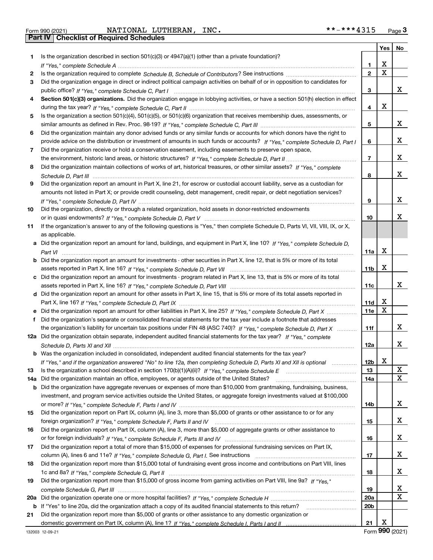|  | Form 990 (2021) |
|--|-----------------|

Form 990 (2021) NATIONAL LUTHERAN, INC. \*\*-\*\*\*4315 <sub>Page</sub> 3<br>**Part IV | Checklist of Required Schedules** 

|           |                                                                                                                                                                                                                                                       |                 | Yes    | No |
|-----------|-------------------------------------------------------------------------------------------------------------------------------------------------------------------------------------------------------------------------------------------------------|-----------------|--------|----|
| 1.        | Is the organization described in section 501(c)(3) or 4947(a)(1) (other than a private foundation)?                                                                                                                                                   |                 |        |    |
|           |                                                                                                                                                                                                                                                       | 1.              | х      |    |
| 2         |                                                                                                                                                                                                                                                       | $\mathbf{2}$    | X      |    |
| 3         | Did the organization engage in direct or indirect political campaign activities on behalf of or in opposition to candidates for                                                                                                                       |                 |        |    |
|           |                                                                                                                                                                                                                                                       | з               |        | x  |
| 4         | Section 501(c)(3) organizations. Did the organization engage in lobbying activities, or have a section 501(h) election in effect                                                                                                                      |                 |        |    |
|           |                                                                                                                                                                                                                                                       | 4               | х      |    |
| 5         | Is the organization a section 501(c)(4), 501(c)(5), or 501(c)(6) organization that receives membership dues, assessments, or                                                                                                                          |                 |        |    |
|           |                                                                                                                                                                                                                                                       | 5               |        | х  |
| 6         | Did the organization maintain any donor advised funds or any similar funds or accounts for which donors have the right to                                                                                                                             |                 |        |    |
|           | provide advice on the distribution or investment of amounts in such funds or accounts? If "Yes," complete Schedule D, Part I                                                                                                                          | 6               |        | х  |
| 7         | Did the organization receive or hold a conservation easement, including easements to preserve open space,                                                                                                                                             |                 |        |    |
|           |                                                                                                                                                                                                                                                       | $\overline{7}$  |        | х  |
| 8         | Did the organization maintain collections of works of art, historical treasures, or other similar assets? If "Yes," complete                                                                                                                          |                 |        |    |
|           |                                                                                                                                                                                                                                                       | 8               |        | x  |
| 9         | Did the organization report an amount in Part X, line 21, for escrow or custodial account liability, serve as a custodian for                                                                                                                         |                 |        |    |
|           | amounts not listed in Part X; or provide credit counseling, debt management, credit repair, or debt negotiation services?                                                                                                                             |                 |        |    |
|           |                                                                                                                                                                                                                                                       | 9               |        | х  |
| 10        | Did the organization, directly or through a related organization, hold assets in donor-restricted endowments                                                                                                                                          |                 |        |    |
|           |                                                                                                                                                                                                                                                       | 10              |        | x  |
| 11        | If the organization's answer to any of the following questions is "Yes," then complete Schedule D, Parts VI, VII, VIII, IX, or X,                                                                                                                     |                 |        |    |
|           | as applicable.                                                                                                                                                                                                                                        |                 |        |    |
|           | a Did the organization report an amount for land, buildings, and equipment in Part X, line 10? If "Yes," complete Schedule D.                                                                                                                         |                 |        |    |
|           |                                                                                                                                                                                                                                                       | 11a             | x      |    |
|           | Did the organization report an amount for investments - other securities in Part X, line 12, that is 5% or more of its total                                                                                                                          |                 |        |    |
|           |                                                                                                                                                                                                                                                       | 11 <sub>b</sub> | x      |    |
|           | c Did the organization report an amount for investments - program related in Part X, line 13, that is 5% or more of its total                                                                                                                         |                 |        |    |
|           |                                                                                                                                                                                                                                                       | 11c             |        | х  |
|           | d Did the organization report an amount for other assets in Part X, line 15, that is 5% or more of its total assets reported in                                                                                                                       |                 |        |    |
|           |                                                                                                                                                                                                                                                       | 11d             | х<br>X |    |
|           | e Did the organization report an amount for other liabilities in Part X, line 25? If "Yes," complete Schedule D, Part X                                                                                                                               | <b>11e</b>      |        |    |
| f         | Did the organization's separate or consolidated financial statements for the tax year include a footnote that addresses                                                                                                                               |                 |        | х  |
|           | the organization's liability for uncertain tax positions under FIN 48 (ASC 740)? If "Yes," complete Schedule D, Part X                                                                                                                                | 11f             |        |    |
|           | 12a Did the organization obtain separate, independent audited financial statements for the tax year? If "Yes," complete                                                                                                                               |                 |        | х  |
|           |                                                                                                                                                                                                                                                       | 12a             |        |    |
|           | <b>b</b> Was the organization included in consolidated, independent audited financial statements for the tax year?                                                                                                                                    | 12 <sub>b</sub> | X      |    |
|           | If "Yes," and if the organization answered "No" to line 12a, then completing Schedule D, Parts XI and XII is optional                                                                                                                                 | 13              |        | X  |
| 13<br>14a | Did the organization maintain an office, employees, or agents outside of the United States?                                                                                                                                                           | 14a             |        | х  |
| b         |                                                                                                                                                                                                                                                       |                 |        |    |
|           | Did the organization have aggregate revenues or expenses of more than \$10,000 from grantmaking, fundraising, business,<br>investment, and program service activities outside the United States, or aggregate foreign investments valued at \$100,000 |                 |        |    |
|           |                                                                                                                                                                                                                                                       | 14b             |        | x  |
| 15        | Did the organization report on Part IX, column (A), line 3, more than \$5,000 of grants or other assistance to or for any                                                                                                                             |                 |        |    |
|           |                                                                                                                                                                                                                                                       | 15              |        | x  |
| 16        | Did the organization report on Part IX, column (A), line 3, more than \$5,000 of aggregate grants or other assistance to                                                                                                                              |                 |        |    |
|           |                                                                                                                                                                                                                                                       | 16              |        | x  |
| 17        | Did the organization report a total of more than \$15,000 of expenses for professional fundraising services on Part IX,                                                                                                                               |                 |        |    |
|           |                                                                                                                                                                                                                                                       | 17              |        | x  |
| 18        | Did the organization report more than \$15,000 total of fundraising event gross income and contributions on Part VIII, lines                                                                                                                          |                 |        |    |
|           |                                                                                                                                                                                                                                                       | 18              |        | x  |
| 19        | Did the organization report more than \$15,000 of gross income from gaming activities on Part VIII, line 9a? If "Yes."                                                                                                                                |                 |        |    |
|           |                                                                                                                                                                                                                                                       | 19              |        | х  |
| 20a       |                                                                                                                                                                                                                                                       | 20a             |        | X  |
|           | b If "Yes" to line 20a, did the organization attach a copy of its audited financial statements to this return?                                                                                                                                        | 20 <sub>b</sub> |        |    |
| 21        | Did the organization report more than \$5,000 of grants or other assistance to any domestic organization or                                                                                                                                           |                 |        |    |
|           |                                                                                                                                                                                                                                                       | 21              | х      |    |

Form (2021) **990**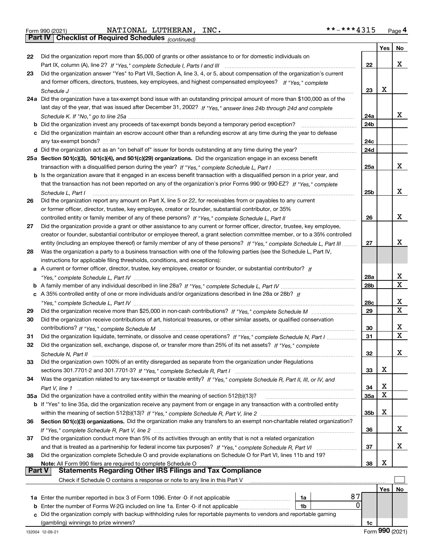|  | Form 990 (2021) |
|--|-----------------|
|  |                 |

Form 990 (2021) NATIONAL LUTHERAN, INC. \*\*-\*\*\*4315 <sub>Page</sub> 4<br>**Part IV | Checklist of Required Schedules** <sub>(continued)</sub>

*(continued)*

|               |                                                                                                                              |     | $Yes \mid No$ |              |
|---------------|------------------------------------------------------------------------------------------------------------------------------|-----|---------------|--------------|
| 22            | Did the organization report more than \$5,000 of grants or other assistance to or for domestic individuals on                |     |               |              |
|               |                                                                                                                              | 22  |               | X            |
| 23            | Did the organization answer "Yes" to Part VII, Section A, line 3, 4, or 5, about compensation of the organization's current  |     |               |              |
|               | and former officers, directors, trustees, key employees, and highest compensated employees? If "Yes." complete               |     |               |              |
|               |                                                                                                                              | 23  | X             |              |
|               | 24a Did the organization have a tax-exempt bond issue with an outstanding principal amount of more than \$100,000 as of the  |     |               |              |
|               | last day of the year, that was issued after December 31, 2002? If "Yes," answer lines 24b through 24d and complete           |     |               |              |
|               |                                                                                                                              | 24a |               | x            |
|               |                                                                                                                              | 24b |               |              |
|               | c Did the organization maintain an escrow account other than a refunding escrow at any time during the year to defease       |     |               |              |
|               | any tax-exempt bonds?                                                                                                        | 24c |               |              |
|               |                                                                                                                              | 24d |               |              |
|               | 25a Section 501(c)(3), 501(c)(4), and 501(c)(29) organizations. Did the organization engage in an excess benefit             |     |               |              |
|               |                                                                                                                              | 25a |               | x            |
|               | b Is the organization aware that it engaged in an excess benefit transaction with a disqualified person in a prior year, and |     |               |              |
|               | that the transaction has not been reported on any of the organization's prior Forms 990 or 990-EZ? If "Yes," complete        |     |               |              |
|               | Schedule L, Part I                                                                                                           | 25b |               | X            |
| 26            | Did the organization report any amount on Part X, line 5 or 22, for receivables from or payables to any current              |     |               |              |
|               | or former officer, director, trustee, key employee, creator or founder, substantial contributor, or 35%                      |     |               |              |
|               | controlled entity or family member of any of these persons? If "Yes," complete Schedule L, Part II                           | 26  |               | X            |
| 27            | Did the organization provide a grant or other assistance to any current or former officer, director, trustee, key employee,  |     |               |              |
|               | creator or founder, substantial contributor or employee thereof, a grant selection committee member, or to a 35% controlled  |     |               |              |
|               | entity (including an employee thereof) or family member of any of these persons? If "Yes," complete Schedule L, Part III     | 27  |               | x            |
| 28            | Was the organization a party to a business transaction with one of the following parties (see the Schedule L, Part IV,       |     |               |              |
|               | instructions for applicable filing thresholds, conditions, and exceptions):                                                  |     |               |              |
| а             | A current or former officer, director, trustee, key employee, creator or founder, or substantial contributor? If             |     |               |              |
|               |                                                                                                                              | 28a |               | х            |
|               |                                                                                                                              | 28b |               | $\mathbf X$  |
|               | c A 35% controlled entity of one or more individuals and/or organizations described in line 28a or 28b? If                   |     |               |              |
|               |                                                                                                                              | 28c |               | X            |
| 29            |                                                                                                                              | 29  |               | $\mathbf{x}$ |
| 30            | Did the organization receive contributions of art, historical treasures, or other similar assets, or qualified conservation  |     |               |              |
|               |                                                                                                                              | 30  |               | X            |
| 31            | Did the organization liquidate, terminate, or dissolve and cease operations? If "Yes," complete Schedule N, Part I           | 31  |               | $\mathbf{x}$ |
| 32            | Did the organization sell, exchange, dispose of, or transfer more than 25% of its net assets? If "Yes," complete             |     |               |              |
|               |                                                                                                                              | 32  |               | х            |
| 33            | Did the organization own 100% of an entity disregarded as separate from the organization under Regulations                   |     |               |              |
|               |                                                                                                                              | 33  | х             |              |
| 34            | Was the organization related to any tax-exempt or taxable entity? If "Yes," complete Schedule R, Part II, III, or IV, and    |     |               |              |
|               |                                                                                                                              | 34  | х<br>X        |              |
|               |                                                                                                                              | 35a |               |              |
|               | b If "Yes" to line 35a, did the organization receive any payment from or engage in any transaction with a controlled entity  |     | х             |              |
|               |                                                                                                                              | 35b |               |              |
| 36            | Section 501(c)(3) organizations. Did the organization make any transfers to an exempt non-charitable related organization?   |     |               | х            |
|               |                                                                                                                              | 36  |               |              |
| 37            | Did the organization conduct more than 5% of its activities through an entity that is not a related organization             | 37  |               | х            |
| 38            | Did the organization complete Schedule O and provide explanations on Schedule O for Part VI, lines 11b and 19?               |     |               |              |
|               |                                                                                                                              | 38  | X             |              |
| <b>Part V</b> | <b>Statements Regarding Other IRS Filings and Tax Compliance</b>                                                             |     |               |              |
|               | Check if Schedule O contains a response or note to any line in this Part V                                                   |     |               |              |
|               |                                                                                                                              |     | Yes           | No           |
|               | 87<br>1a Enter the number reported in box 3 of Form 1096. Enter -0- if not applicable<br>1a                                  |     |               |              |
| b             | 0<br>Enter the number of Forms W-2G included on line 1a. Enter -0- if not applicable<br>1 <sub>b</sub>                       |     |               |              |
|               | c Did the organization comply with backup withholding rules for reportable payments to vendors and reportable gaming         |     |               |              |
|               |                                                                                                                              |     |               |              |

(gambling) winnings to prize winners?

**1c**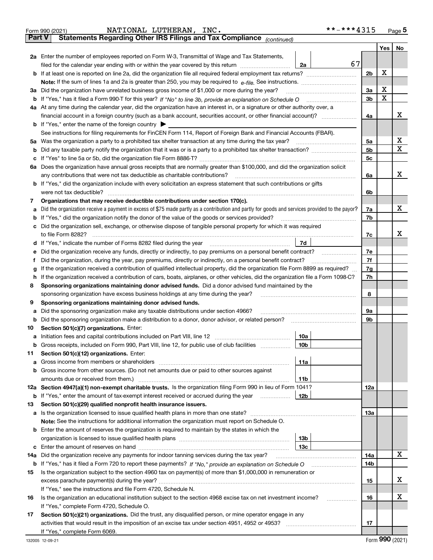|               | **-***4315<br>NATIONAL LUTHERAN, INC.<br>Form 990 (2021)                                                                                                                                                                                                                                |                |   | $Page$ <sup>5</sup> |
|---------------|-----------------------------------------------------------------------------------------------------------------------------------------------------------------------------------------------------------------------------------------------------------------------------------------|----------------|---|---------------------|
| <b>Part V</b> | Statements Regarding Other IRS Filings and Tax Compliance (continued)                                                                                                                                                                                                                   |                |   |                     |
|               |                                                                                                                                                                                                                                                                                         |                |   | Yes   No            |
|               | 2a Enter the number of employees reported on Form W-3, Transmittal of Wage and Tax Statements,                                                                                                                                                                                          |                |   |                     |
|               | 67<br>filed for the calendar year ending with or within the year covered by this return [11] [11] filed for the calendar year ending with or within the year covered by this return<br>2a                                                                                               |                |   |                     |
|               |                                                                                                                                                                                                                                                                                         | 2 <sub>b</sub> | x |                     |
|               | Note: If the sum of lines 1a and 2a is greater than 250, you may be required to $e$ -file. See instructions. $\ldots$ $\ldots$ $\ldots$ $\ldots$ $\ldots$ $\ldots$ $\ldots$ $\ldots$ $\ldots$ $\ldots$ $\ldots$ $\ldots$ $\ldots$ $\ldots$ $\ldots$ $\ldots$ $\ldots$ $\ldots$ $\ldots$ |                |   |                     |
|               | 3a Did the organization have unrelated business gross income of \$1,000 or more during the year?                                                                                                                                                                                        | 3a             | х |                     |
|               |                                                                                                                                                                                                                                                                                         | 3 <sub>b</sub> | х |                     |
|               | 4a At any time during the calendar year, did the organization have an interest in, or a signature or other authority over, a                                                                                                                                                            |                |   |                     |
|               |                                                                                                                                                                                                                                                                                         | 4a             |   | x                   |
|               | <b>b</b> If "Yes," enter the name of the foreign country $\triangleright$                                                                                                                                                                                                               |                |   |                     |
|               | See instructions for filing requirements for FinCEN Form 114, Report of Foreign Bank and Financial Accounts (FBAR).                                                                                                                                                                     |                |   |                     |
|               | 5a Was the organization a party to a prohibited tax shelter transaction at any time during the tax year?                                                                                                                                                                                | 5a             |   | х                   |
| b             |                                                                                                                                                                                                                                                                                         | 5 <sub>b</sub> |   | x                   |
| c             |                                                                                                                                                                                                                                                                                         | 5c             |   |                     |
|               | 6a Does the organization have annual gross receipts that are normally greater than \$100,000, and did the organization solicit                                                                                                                                                          |                |   |                     |
|               | any contributions that were not tax deductible as charitable contributions?                                                                                                                                                                                                             | 6a             |   | x                   |
|               | b If "Yes," did the organization include with every solicitation an express statement that such contributions or gifts                                                                                                                                                                  |                |   |                     |
|               | were not tax deductible?                                                                                                                                                                                                                                                                | 6b             |   |                     |
| 7             | Organizations that may receive deductible contributions under section 170(c).                                                                                                                                                                                                           |                |   |                     |
| а             | Did the organization receive a payment in excess of \$75 made partly as a contribution and partly for goods and services provided to the payor?                                                                                                                                         | 7a             |   | x                   |
| b             | If "Yes," did the organization notify the donor of the value of the goods or services provided?                                                                                                                                                                                         | 7b             |   |                     |
| c             | Did the organization sell, exchange, or otherwise dispose of tangible personal property for which it was required                                                                                                                                                                       |                |   |                     |
|               |                                                                                                                                                                                                                                                                                         | 7c             |   | x                   |
|               | 7d<br>d If "Yes," indicate the number of Forms 8282 filed during the year manufactured in the second of the New York                                                                                                                                                                    |                |   |                     |
| е             | Did the organization receive any funds, directly or indirectly, to pay premiums on a personal benefit contract?                                                                                                                                                                         | 7e             |   |                     |
| f             | Did the organization, during the year, pay premiums, directly or indirectly, on a personal benefit contract?                                                                                                                                                                            | 7f             |   |                     |
| g             | If the organization received a contribution of qualified intellectual property, did the organization file Form 8899 as required?<br>If the organization received a contribution of cars, boats, airplanes, or other vehicles, did the organization file a Form 1098-C?                  | 7g<br>7h       |   |                     |
| h.<br>8       | Sponsoring organizations maintaining donor advised funds. Did a donor advised fund maintained by the                                                                                                                                                                                    |                |   |                     |
|               | sponsoring organization have excess business holdings at any time during the year?                                                                                                                                                                                                      | 8              |   |                     |
| 9             | Sponsoring organizations maintaining donor advised funds.                                                                                                                                                                                                                               |                |   |                     |
| а             | Did the sponsoring organization make any taxable distributions under section 4966?                                                                                                                                                                                                      | 9а             |   |                     |
| b             | Did the sponsoring organization make a distribution to a donor, donor advisor, or related person?                                                                                                                                                                                       | 9b             |   |                     |
| 10            | Section 501(c)(7) organizations. Enter:                                                                                                                                                                                                                                                 |                |   |                     |
|               | 10a                                                                                                                                                                                                                                                                                     |                |   |                     |
| b             | Gross receipts, included on Form 990, Part VIII, line 12, for public use of club facilities<br>10b                                                                                                                                                                                      |                |   |                     |
| 11            | Section 501(c)(12) organizations. Enter:                                                                                                                                                                                                                                                |                |   |                     |
| а             | 11a                                                                                                                                                                                                                                                                                     |                |   |                     |
| b             | Gross income from other sources. (Do not net amounts due or paid to other sources against                                                                                                                                                                                               |                |   |                     |
|               | 11b                                                                                                                                                                                                                                                                                     |                |   |                     |
|               | 12a Section 4947(a)(1) non-exempt charitable trusts. Is the organization filing Form 990 in lieu of Form 1041?                                                                                                                                                                          | 12a            |   |                     |
|               | <b>b</b> If "Yes," enter the amount of tax-exempt interest received or accrued during the year<br>12b                                                                                                                                                                                   |                |   |                     |
| 13            | Section 501(c)(29) qualified nonprofit health insurance issuers.                                                                                                                                                                                                                        |                |   |                     |
|               | <b>a</b> Is the organization licensed to issue qualified health plans in more than one state?                                                                                                                                                                                           | 13а            |   |                     |
|               | Note: See the instructions for additional information the organization must report on Schedule O.                                                                                                                                                                                       |                |   |                     |
|               | <b>b</b> Enter the amount of reserves the organization is required to maintain by the states in which the                                                                                                                                                                               |                |   |                     |
|               | 13 <sub>b</sub>                                                                                                                                                                                                                                                                         |                |   |                     |
|               | 13с                                                                                                                                                                                                                                                                                     |                |   |                     |
| 14a           | Did the organization receive any payments for indoor tanning services during the tax year?                                                                                                                                                                                              | 14a            |   | х                   |
|               |                                                                                                                                                                                                                                                                                         | 14b            |   |                     |
| 15            | Is the organization subject to the section 4960 tax on payment(s) of more than \$1,000,000 in remuneration or                                                                                                                                                                           |                |   |                     |
|               |                                                                                                                                                                                                                                                                                         | 15             |   | х                   |
|               | If "Yes," see the instructions and file Form 4720, Schedule N.                                                                                                                                                                                                                          |                |   |                     |
| 16            | Is the organization an educational institution subject to the section 4968 excise tax on net investment income?<br>.                                                                                                                                                                    | 16             |   | х                   |
|               | If "Yes," complete Form 4720, Schedule O.                                                                                                                                                                                                                                               |                |   |                     |
| 17            | Section 501(c)(21) organizations. Did the trust, any disqualified person, or mine operator engage in any                                                                                                                                                                                |                |   |                     |
|               |                                                                                                                                                                                                                                                                                         | 17             |   |                     |
|               | If "Yes," complete Form 6069.                                                                                                                                                                                                                                                           |                |   |                     |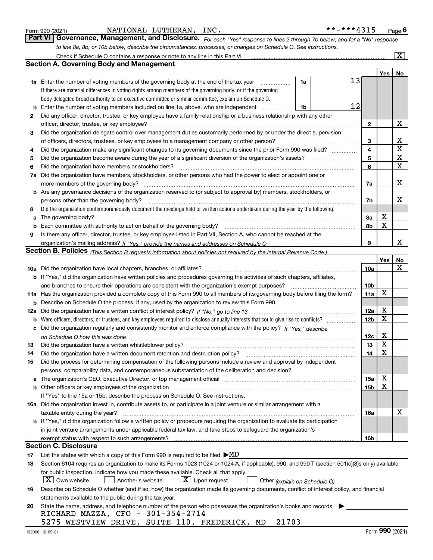|  | Form 990 (2021) |
|--|-----------------|
|  |                 |

|  |  |  |  |  |  |  |  |  | **-***4315 | Page <sup>(</sup> |
|--|--|--|--|--|--|--|--|--|------------|-------------------|
|--|--|--|--|--|--|--|--|--|------------|-------------------|

*For each "Yes" response to lines 2 through 7b below, and for a "No" response to line 8a, 8b, or 10b below, describe the circumstances, processes, or changes on Schedule O. See instructions.* Form 990 (2021) **MATIONAL LUTHERAN, INC.** \*\*-\*\*\*4315 Page 6<br>**Part VI** | Governance, Management, and Disclosure. *For each "Yes" response to lines 2 through 7b below, and for a "No" response* Check if Schedule O contains a response or note to any line in this Part VI

|     | Check if Schedule O contains a response or note to any line in this Part VI                                                                                           |    |                 |     | X           |  |  |  |  |  |
|-----|-----------------------------------------------------------------------------------------------------------------------------------------------------------------------|----|-----------------|-----|-------------|--|--|--|--|--|
|     | <b>Section A. Governing Body and Management</b>                                                                                                                       |    |                 |     |             |  |  |  |  |  |
|     |                                                                                                                                                                       |    |                 | Yes | No          |  |  |  |  |  |
|     | 1a Enter the number of voting members of the governing body at the end of the tax year<br>1a                                                                          | 13 |                 |     |             |  |  |  |  |  |
|     | If there are material differences in voting rights among members of the governing body, or if the governing                                                           |    |                 |     |             |  |  |  |  |  |
|     | body delegated broad authority to an executive committee or similar committee, explain on Schedule O.                                                                 |    |                 |     |             |  |  |  |  |  |
| b   | Enter the number of voting members included on line 1a, above, who are independent<br>1b                                                                              | 12 |                 |     |             |  |  |  |  |  |
| 2   | Did any officer, director, trustee, or key employee have a family relationship or a business relationship with any other                                              |    |                 |     |             |  |  |  |  |  |
|     | officer, director, trustee, or key employee?                                                                                                                          |    | $\mathbf{2}$    |     | х           |  |  |  |  |  |
| 3   | Did the organization delegate control over management duties customarily performed by or under the direct supervision                                                 |    |                 |     |             |  |  |  |  |  |
|     | of officers, directors, trustees, or key employees to a management company or other person?                                                                           |    |                 |     |             |  |  |  |  |  |
| 4   | Did the organization make any significant changes to its governing documents since the prior Form 990 was filed?                                                      |    | 3<br>4          |     | $\mathbf X$ |  |  |  |  |  |
| 5   |                                                                                                                                                                       |    | 5               |     | $\mathbf X$ |  |  |  |  |  |
| 6   | Did the organization have members or stockholders?                                                                                                                    |    | 6               |     | х           |  |  |  |  |  |
| 7a  | Did the organization have members, stockholders, or other persons who had the power to elect or appoint one or                                                        |    |                 |     |             |  |  |  |  |  |
|     | more members of the governing body?                                                                                                                                   |    | 7a              |     | х           |  |  |  |  |  |
|     | <b>b</b> Are any governance decisions of the organization reserved to (or subject to approval by) members, stockholders, or                                           |    |                 |     |             |  |  |  |  |  |
|     | persons other than the governing body?                                                                                                                                |    | 7b              |     | х           |  |  |  |  |  |
| 8   | Did the organization contemporaneously document the meetings held or written actions undertaken during the year by the following:                                     |    |                 |     |             |  |  |  |  |  |
| a   | The governing body?                                                                                                                                                   |    | 8a              | х   |             |  |  |  |  |  |
| b   |                                                                                                                                                                       |    | 8b              | X   |             |  |  |  |  |  |
| 9   | Is there any officer, director, trustee, or key employee listed in Part VII, Section A, who cannot be reached at the                                                  |    |                 |     |             |  |  |  |  |  |
|     |                                                                                                                                                                       |    | 9               |     | x           |  |  |  |  |  |
|     | <b>Section B. Policies</b> (This Section B requests information about policies not required by the Internal Revenue Code.)                                            |    |                 |     |             |  |  |  |  |  |
|     |                                                                                                                                                                       |    |                 | Yes | No          |  |  |  |  |  |
|     |                                                                                                                                                                       |    | 10a             |     | x           |  |  |  |  |  |
|     | <b>b</b> If "Yes," did the organization have written policies and procedures governing the activities of such chapters, affiliates,                                   |    |                 |     |             |  |  |  |  |  |
|     | and branches to ensure their operations are consistent with the organization's exempt purposes?                                                                       |    | 10 <sub>b</sub> |     |             |  |  |  |  |  |
|     | 11a Has the organization provided a complete copy of this Form 990 to all members of its governing body before filing the form?                                       |    | 11a             | X   |             |  |  |  |  |  |
| b   | Describe on Schedule O the process, if any, used by the organization to review this Form 990.                                                                         |    |                 |     |             |  |  |  |  |  |
| 12a |                                                                                                                                                                       |    | 12a             | X   |             |  |  |  |  |  |
| b   |                                                                                                                                                                       |    | 12 <sub>b</sub> | X   |             |  |  |  |  |  |
| с   | Did the organization regularly and consistently monitor and enforce compliance with the policy? If "Yes," describe                                                    |    |                 |     |             |  |  |  |  |  |
|     |                                                                                                                                                                       |    | 12c             | х   |             |  |  |  |  |  |
| 13  | Did the organization have a written whistleblower policy?                                                                                                             |    | 13              | X   |             |  |  |  |  |  |
| 14  | Did the organization have a written document retention and destruction policy?                                                                                        |    | 14              | X   |             |  |  |  |  |  |
| 15  | Did the process for determining compensation of the following persons include a review and approval by independent                                                    |    |                 |     |             |  |  |  |  |  |
|     | persons, comparability data, and contemporaneous substantiation of the deliberation and decision?                                                                     |    |                 |     |             |  |  |  |  |  |
| a   | The organization's CEO, Executive Director, or top management official manufactured content of the organization's CEO, Executive Director, or top management official |    | 15a             | X   |             |  |  |  |  |  |
|     |                                                                                                                                                                       |    | 15 <sub>b</sub> | х   |             |  |  |  |  |  |
|     | If "Yes" to line 15a or 15b, describe the process on Schedule O. See instructions.                                                                                    |    |                 |     |             |  |  |  |  |  |
|     | 16a Did the organization invest in, contribute assets to, or participate in a joint venture or similar arrangement with a                                             |    |                 |     |             |  |  |  |  |  |
|     | taxable entity during the year?                                                                                                                                       |    | 16a             |     | х           |  |  |  |  |  |
|     | b If "Yes," did the organization follow a written policy or procedure requiring the organization to evaluate its participation                                        |    |                 |     |             |  |  |  |  |  |
|     | in joint venture arrangements under applicable federal tax law, and take steps to safeguard the organization's                                                        |    |                 |     |             |  |  |  |  |  |
|     | exempt status with respect to such arrangements?                                                                                                                      |    | 16b             |     |             |  |  |  |  |  |
|     | <b>Section C. Disclosure</b>                                                                                                                                          |    |                 |     |             |  |  |  |  |  |
| 17  | List the states with which a copy of this Form 990 is required to be filed $\blacktriangleright$ MD                                                                   |    |                 |     |             |  |  |  |  |  |
| 18  | Section 6104 requires an organization to make its Forms 1023 (1024 or 1024-A, if applicable), 990, and 990-T (section 501(c)(3)s only) available                      |    |                 |     |             |  |  |  |  |  |
|     | for public inspection. Indicate how you made these available. Check all that apply.                                                                                   |    |                 |     |             |  |  |  |  |  |
|     | $X$ Own website<br>$\lfloor x \rfloor$ Upon request<br>Another's website<br>Other (explain on Schedule O)                                                             |    |                 |     |             |  |  |  |  |  |
| 19  | Describe on Schedule O whether (and if so, how) the organization made its governing documents, conflict of interest policy, and financial                             |    |                 |     |             |  |  |  |  |  |
|     | statements available to the public during the tax year.                                                                                                               |    |                 |     |             |  |  |  |  |  |
| 20  | State the name, address, and telephone number of the person who possesses the organization's books and records                                                        |    |                 |     |             |  |  |  |  |  |
|     | RICHARD MAZZA, CFO - 301-354-2714                                                                                                                                     |    |                 |     |             |  |  |  |  |  |
|     | 21703<br>5275 WESTVIEW DRIVE, SUITE 110, FREDERICK,<br>MD                                                                                                             |    |                 |     |             |  |  |  |  |  |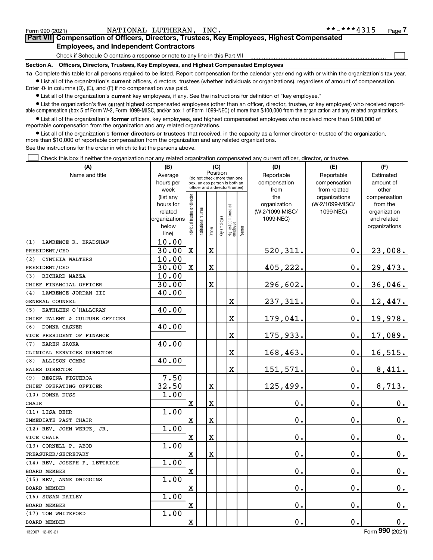$\mathcal{L}^{\text{max}}$ 

# **7Part VII Compensation of Officers, Directors, Trustees, Key Employees, Highest Compensated Employees, and Independent Contractors**

Check if Schedule O contains a response or note to any line in this Part VII

**Section A. Officers, Directors, Trustees, Key Employees, and Highest Compensated Employees**

**1a**  Complete this table for all persons required to be listed. Report compensation for the calendar year ending with or within the organization's tax year. **•** List all of the organization's current officers, directors, trustees (whether individuals or organizations), regardless of amount of compensation.

Enter -0- in columns (D), (E), and (F) if no compensation was paid.

 $\bullet$  List all of the organization's  $\sf current$  key employees, if any. See the instructions for definition of "key employee."

**•** List the organization's five current highest compensated employees (other than an officer, director, trustee, or key employee) who received reportable compensation (box 5 of Form W-2, Form 1099-MISC, and/or box 1 of Form 1099-NEC) of more than \$100,000 from the organization and any related organizations.

**•** List all of the organization's former officers, key employees, and highest compensated employees who received more than \$100,000 of reportable compensation from the organization and any related organizations.

**former directors or trustees**  ¥ List all of the organization's that received, in the capacity as a former director or trustee of the organization, more than \$10,000 of reportable compensation from the organization and any related organizations.

See the instructions for the order in which to list the persons above.

Check this box if neither the organization nor any related organization compensated any current officer, director, or trustee.  $\mathcal{L}^{\text{max}}$ 

| (A)                            | (B)                    | (C)<br>Position                |                                                                  |                         |              |                                  | (D)    | (E)             | (F)                           |                          |  |  |
|--------------------------------|------------------------|--------------------------------|------------------------------------------------------------------|-------------------------|--------------|----------------------------------|--------|-----------------|-------------------------------|--------------------------|--|--|
| Name and title                 | Average                | (do not check more than one    |                                                                  |                         |              |                                  |        | Reportable      | Reportable                    | Estimated                |  |  |
|                                | hours per              |                                | box, unless person is both an<br>officer and a director/trustee) |                         |              |                                  |        | compensation    | compensation                  | amount of                |  |  |
|                                | week                   |                                |                                                                  |                         |              |                                  |        | from<br>the     | from related<br>organizations | other                    |  |  |
|                                | (list any<br>hours for |                                |                                                                  |                         |              |                                  |        | organization    | (W-2/1099-MISC/               | compensation<br>from the |  |  |
|                                | related                |                                |                                                                  |                         |              |                                  |        | (W-2/1099-MISC/ | 1099-NEC)                     | organization             |  |  |
|                                | organizations          |                                |                                                                  |                         |              |                                  |        | 1099-NEC)       |                               | and related              |  |  |
|                                | below                  | Individual trustee or director | nstitutional trustee                                             |                         | Key employee |                                  |        |                 |                               | organizations            |  |  |
|                                | line)                  |                                |                                                                  | Officer                 |              | Highest compensated<br> employee | Former |                 |                               |                          |  |  |
| LAWRENCE R. BRADSHAW<br>(1)    | 10.00                  |                                |                                                                  |                         |              |                                  |        |                 |                               |                          |  |  |
| PRESIDENT/CEO                  | 30.00                  | $\mathbf X$                    |                                                                  | $\mathbf X$             |              |                                  |        | 520,311.        | 0.                            | 23,008.                  |  |  |
| (2)<br>CYNTHIA WALTERS         | 10.00                  |                                |                                                                  |                         |              |                                  |        |                 |                               |                          |  |  |
| PRESIDENT/CEO                  | 30.00                  | $\mathbf X$                    |                                                                  | X                       |              |                                  |        | 405,222.        | $\mathbf 0$ .                 | 29,473.                  |  |  |
| (3) RICHARD MAZZA              | 10.00                  |                                |                                                                  |                         |              |                                  |        |                 |                               |                          |  |  |
| CHIEF FINANCIAL OFFICER        | 30.00                  |                                |                                                                  | $\overline{\textbf{X}}$ |              |                                  |        | 296,602.        | 0.                            | 36,046.                  |  |  |
| LAWRENCE JORDAN III<br>(4)     | 40.00                  |                                |                                                                  |                         |              |                                  |        |                 |                               |                          |  |  |
| GENERAL COUNSEL                |                        |                                |                                                                  |                         |              | $\mathbf X$                      |        | 237,311.        | $\mathbf 0$ .                 | 12,447.                  |  |  |
| (5) KATHLEEN O'HALLORAN        | 40.00                  |                                |                                                                  |                         |              |                                  |        |                 |                               |                          |  |  |
| CHIEF TALENT & CULTURE OFFICER |                        |                                |                                                                  |                         |              | $\mathbf X$                      |        | 179,041.        | $\mathbf 0$ .                 | 19,978.                  |  |  |
| DONNA CASNER<br>(6)            | 40.00                  |                                |                                                                  |                         |              |                                  |        |                 |                               |                          |  |  |
| VICE PRESIDENT OF FINANCE      |                        |                                |                                                                  |                         |              | $\mathbf X$                      |        | 175,933.        | $\mathbf 0$ .                 | 17,089.                  |  |  |
| KAREN SROKA<br>(7)             | 40.00                  |                                |                                                                  |                         |              |                                  |        |                 |                               |                          |  |  |
| CLINICAL SERVICES DIRECTOR     |                        |                                |                                                                  |                         |              | $\mathbf X$                      |        | 168,463.        | $\mathbf 0$ .                 | 16, 515.                 |  |  |
| ALLISON COMBS<br>(8)           | 40.00                  |                                |                                                                  |                         |              |                                  |        |                 |                               |                          |  |  |
| SALES DIRECTOR                 |                        |                                |                                                                  |                         |              | $\rm X$                          |        | 151,571.        | $\mathbf 0$ .                 | 8,411.                   |  |  |
| (9) REGINA FIGUEROA            | 7.50                   |                                |                                                                  |                         |              |                                  |        |                 |                               |                          |  |  |
| CHIEF OPERATING OFFICER        | 32.50                  |                                |                                                                  | X                       |              |                                  |        | 125,499.        | $\mathbf 0$ .                 | 8,713.                   |  |  |
| (10) DONNA DUSS                | 1.00                   |                                |                                                                  |                         |              |                                  |        |                 |                               |                          |  |  |
| CHAIR                          |                        | X                              |                                                                  | $\overline{\textbf{X}}$ |              |                                  |        | 0.              | 0.                            | 0.                       |  |  |
| (11) LISA BEHR                 | 1.00                   |                                |                                                                  |                         |              |                                  |        |                 |                               |                          |  |  |
| IMMEDIATE PAST CHAIR           |                        | $\mathbf X$                    |                                                                  | $\overline{\textbf{X}}$ |              |                                  |        | 0.              | 0.                            | 0.                       |  |  |
| (12) REV. JOHN WERTZ, JR.      | 1.00                   |                                |                                                                  |                         |              |                                  |        |                 |                               |                          |  |  |
| VICE CHAIR                     |                        | $\mathbf x$                    |                                                                  | $\overline{\textbf{X}}$ |              |                                  |        | 0.              | $\mathbf 0$ .                 | 0.                       |  |  |
| (13) CORNELL P. ABOD           | 1.00                   |                                |                                                                  |                         |              |                                  |        |                 |                               |                          |  |  |
| TREASURER/SECRETARY            |                        | $\mathbf X$                    |                                                                  | X                       |              |                                  |        | 0.              | $\mathbf 0$ .                 | $\mathbf 0$ .            |  |  |
| (14) REV. JOSEPH P. LETTRICH   | 1.00                   |                                |                                                                  |                         |              |                                  |        |                 |                               |                          |  |  |
| <b>BOARD MEMBER</b>            |                        | X                              |                                                                  |                         |              |                                  |        | 0.              | 0.                            | $\mathbf 0$ .            |  |  |
| (15) REV. ANNE DWIGGINS        | 1.00                   |                                |                                                                  |                         |              |                                  |        |                 |                               |                          |  |  |
| <b>BOARD MEMBER</b>            |                        | $\mathbf X$                    |                                                                  |                         |              |                                  |        | 0.              | 0.                            | 0.                       |  |  |
| (16) SUSAN DAILEY              | 1.00                   |                                |                                                                  |                         |              |                                  |        |                 |                               |                          |  |  |
| <b>BOARD MEMBER</b>            |                        | X                              |                                                                  |                         |              |                                  |        | 0.              | $\mathbf 0$ .                 | 0.                       |  |  |
| (17) TOM WHITEFORD             | 1.00                   |                                |                                                                  |                         |              |                                  |        |                 |                               |                          |  |  |
| <b>BOARD MEMBER</b>            |                        | $\mathbf x$                    |                                                                  |                         |              |                                  |        | 0.              | $\mathbf 0$ .                 | 0.                       |  |  |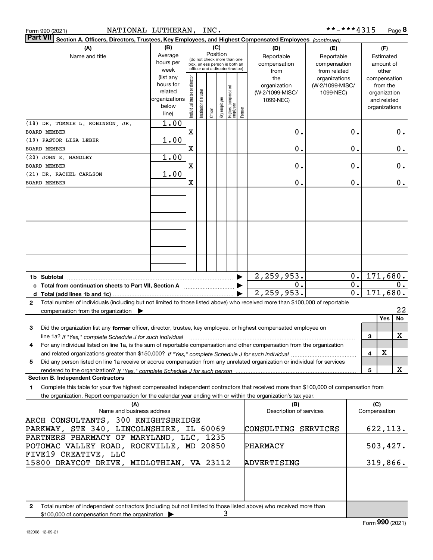| Form 990 (2021) |  |
|-----------------|--|
| $D2$ $H$ $VIII$ |  |

| <b>Part VII</b><br>Section A. Officers, Directors, Trustees, Key Employees, and Highest Compensated Employees (continued)                       |                          |                                |                                                                                                 |          |              |                                  |        |                                |                 |                  |     |               |           |
|-------------------------------------------------------------------------------------------------------------------------------------------------|--------------------------|--------------------------------|-------------------------------------------------------------------------------------------------|----------|--------------|----------------------------------|--------|--------------------------------|-----------------|------------------|-----|---------------|-----------|
| (A)                                                                                                                                             | (B)                      |                                |                                                                                                 | (C)      |              |                                  |        | (D)                            | (E)             |                  |     | (F)           |           |
| Name and title                                                                                                                                  | Average                  |                                |                                                                                                 | Position |              |                                  |        | Reportable                     | Reportable      |                  |     | Estimated     |           |
|                                                                                                                                                 | hours per                |                                | (do not check more than one<br>box, unless person is both an<br>officer and a director/trustee) |          |              |                                  |        | compensation                   | compensation    |                  |     | amount of     |           |
|                                                                                                                                                 | week                     |                                |                                                                                                 |          |              |                                  |        | from                           | from related    |                  |     | other         |           |
|                                                                                                                                                 | (list any                |                                |                                                                                                 |          |              |                                  |        | the                            | organizations   |                  |     | compensation  |           |
|                                                                                                                                                 | hours for                |                                |                                                                                                 |          |              |                                  |        | organization                   | (W-2/1099-MISC/ |                  |     | from the      |           |
|                                                                                                                                                 | related<br>organizations |                                |                                                                                                 |          |              |                                  |        | (W-2/1099-MISC/                | 1099-NEC)       |                  |     | organization  |           |
|                                                                                                                                                 | below                    |                                |                                                                                                 |          |              |                                  |        | 1099-NEC)                      |                 |                  |     | and related   |           |
|                                                                                                                                                 | line)                    | Individual trustee or director | Institutional trustee                                                                           | Officer  | key employee | Highest compensated<br> employee | Former |                                |                 |                  |     | organizations |           |
|                                                                                                                                                 | 1.00                     |                                |                                                                                                 |          |              |                                  |        |                                |                 |                  |     |               |           |
| (18) DR. TOMMIE L. ROBINSON, JR.                                                                                                                |                          |                                |                                                                                                 |          |              |                                  |        |                                |                 |                  |     |               |           |
| <b>BOARD MEMBER</b>                                                                                                                             |                          | $\mathbf X$                    |                                                                                                 |          |              |                                  |        | $0$ .                          |                 | 0.               |     |               | О.        |
| (19) PASTOR LISA LEBER                                                                                                                          | 1.00                     |                                |                                                                                                 |          |              |                                  |        |                                |                 |                  |     |               |           |
| <b>BOARD MEMBER</b>                                                                                                                             |                          | X                              |                                                                                                 |          |              |                                  |        | 0.                             |                 | 0.               |     |               | $0\,.$    |
| (20) JOHN E. HANDLEY                                                                                                                            | 1.00                     |                                |                                                                                                 |          |              |                                  |        |                                |                 |                  |     |               |           |
| <b>BOARD MEMBER</b>                                                                                                                             |                          | X                              |                                                                                                 |          |              |                                  |        | 0.                             |                 | 0.               |     |               | $0\,.$    |
| (21) DR. RACHEL CARLSON                                                                                                                         | 1.00                     |                                |                                                                                                 |          |              |                                  |        |                                |                 |                  |     |               |           |
| <b>BOARD MEMBER</b>                                                                                                                             |                          | X                              |                                                                                                 |          |              |                                  |        | 0.                             |                 | 0.               |     |               | 0.        |
|                                                                                                                                                 |                          |                                |                                                                                                 |          |              |                                  |        |                                |                 |                  |     |               |           |
|                                                                                                                                                 |                          |                                |                                                                                                 |          |              |                                  |        |                                |                 |                  |     |               |           |
|                                                                                                                                                 |                          |                                |                                                                                                 |          |              |                                  |        |                                |                 |                  |     |               |           |
|                                                                                                                                                 |                          |                                |                                                                                                 |          |              |                                  |        |                                |                 |                  |     |               |           |
|                                                                                                                                                 |                          |                                |                                                                                                 |          |              |                                  |        |                                |                 |                  |     |               |           |
|                                                                                                                                                 |                          |                                |                                                                                                 |          |              |                                  |        |                                |                 |                  |     |               |           |
|                                                                                                                                                 |                          |                                |                                                                                                 |          |              |                                  |        |                                |                 |                  |     |               |           |
|                                                                                                                                                 |                          |                                |                                                                                                 |          |              |                                  |        |                                |                 |                  |     |               |           |
|                                                                                                                                                 |                          |                                |                                                                                                 |          |              |                                  |        |                                |                 |                  |     |               |           |
|                                                                                                                                                 |                          |                                |                                                                                                 |          |              |                                  |        |                                |                 |                  |     |               |           |
|                                                                                                                                                 |                          |                                |                                                                                                 |          |              |                                  |        |                                |                 |                  |     |               |           |
|                                                                                                                                                 |                          |                                |                                                                                                 |          |              |                                  |        | 2, 259, 953.                   |                 | 0.               |     | 171, 680.     |           |
| c Total from continuation sheets to Part VII, Section A <b>manual</b> Total Total <b>Democration</b>                                            |                          |                                |                                                                                                 |          |              |                                  |        | 0.                             |                 | $\overline{0}$ . |     |               | 0.        |
|                                                                                                                                                 |                          |                                |                                                                                                 |          |              |                                  |        | 2, 259, 953.                   |                 | $\overline{0}$ . |     | 171,680.      |           |
| Total number of individuals (including but not limited to those listed above) who received more than \$100,000 of reportable<br>$\mathbf{2}$    |                          |                                |                                                                                                 |          |              |                                  |        |                                |                 |                  |     |               |           |
| compensation from the organization $\blacktriangleright$                                                                                        |                          |                                |                                                                                                 |          |              |                                  |        |                                |                 |                  |     |               | 22        |
|                                                                                                                                                 |                          |                                |                                                                                                 |          |              |                                  |        |                                |                 |                  |     | Yes           | <b>No</b> |
| 3<br>Did the organization list any former officer, director, trustee, key employee, or highest compensated employee on                          |                          |                                |                                                                                                 |          |              |                                  |        |                                |                 |                  |     |               |           |
| line 1a? If "Yes," complete Schedule J for such individual manufactured contained and the 1a? If "Yes," complete Schedule J for such individual |                          |                                |                                                                                                 |          |              |                                  |        |                                |                 |                  | 3   |               | x         |
| For any individual listed on line 1a, is the sum of reportable compensation and other compensation from the organization<br>4                   |                          |                                |                                                                                                 |          |              |                                  |        |                                |                 |                  |     |               |           |
|                                                                                                                                                 |                          |                                |                                                                                                 |          |              |                                  |        |                                |                 |                  | 4   | X             |           |
| Did any person listed on line 1a receive or accrue compensation from any unrelated organization or individual for services<br>5                 |                          |                                |                                                                                                 |          |              |                                  |        |                                |                 |                  |     |               |           |
|                                                                                                                                                 |                          |                                |                                                                                                 |          |              |                                  |        |                                |                 |                  | 5   |               | х         |
| <b>Section B. Independent Contractors</b>                                                                                                       |                          |                                |                                                                                                 |          |              |                                  |        |                                |                 |                  |     |               |           |
| 1<br>Complete this table for your five highest compensated independent contractors that received more than \$100,000 of compensation from       |                          |                                |                                                                                                 |          |              |                                  |        |                                |                 |                  |     |               |           |
| the organization. Report compensation for the calendar year ending with or within the organization's tax year.                                  |                          |                                |                                                                                                 |          |              |                                  |        |                                |                 |                  |     |               |           |
|                                                                                                                                                 |                          |                                |                                                                                                 |          |              |                                  |        |                                |                 |                  |     |               |           |
| (A)<br>Name and business address                                                                                                                |                          |                                |                                                                                                 |          |              |                                  |        | (B)<br>Description of services |                 |                  | (C) | Compensation  |           |
|                                                                                                                                                 |                          |                                |                                                                                                 |          |              |                                  |        |                                |                 |                  |     |               |           |
| ARCH CONSULTANTS, 300 KNIGHTSBRIDGE                                                                                                             |                          |                                |                                                                                                 |          |              |                                  |        |                                |                 |                  |     |               |           |
| PARKWAY, STE 340, LINCOLNSHIRE, IL 60069                                                                                                        |                          |                                |                                                                                                 |          |              |                                  |        | CONSULTING SERVICES            |                 |                  |     | 622, 113.     |           |
| PARTNERS PHARMACY OF MARYLAND, LLC, 1235                                                                                                        |                          |                                |                                                                                                 |          |              |                                  |        |                                |                 |                  |     |               |           |
| POTOMAC VALLEY ROAD, ROCKVILLE, MD 20850                                                                                                        |                          |                                |                                                                                                 |          |              |                                  |        | PHARMACY                       |                 |                  |     | 503,427.      |           |
| FIVE19 CREATIVE, LLC                                                                                                                            |                          |                                |                                                                                                 |          |              |                                  |        |                                |                 |                  |     |               |           |
| 15800 DRAYCOT DRIVE, MIDLOTHIAN, VA 23112                                                                                                       |                          |                                |                                                                                                 |          |              |                                  |        | ADVERTISING                    |                 |                  |     | 319,866.      |           |
|                                                                                                                                                 |                          |                                |                                                                                                 |          |              |                                  |        |                                |                 |                  |     |               |           |
|                                                                                                                                                 |                          |                                |                                                                                                 |          |              |                                  |        |                                |                 |                  |     |               |           |
|                                                                                                                                                 |                          |                                |                                                                                                 |          |              |                                  |        |                                |                 |                  |     |               |           |
|                                                                                                                                                 |                          |                                |                                                                                                 |          |              |                                  |        |                                |                 |                  |     |               |           |
| 2 Total number of independent contractors (including but not limited to those listed above) who received more than                              |                          |                                |                                                                                                 |          |              |                                  |        |                                |                 |                  |     |               |           |

**2**Total number of independent contractors (including but not limited to those listed above) who received more than \$100,000 of compensation from the organization 3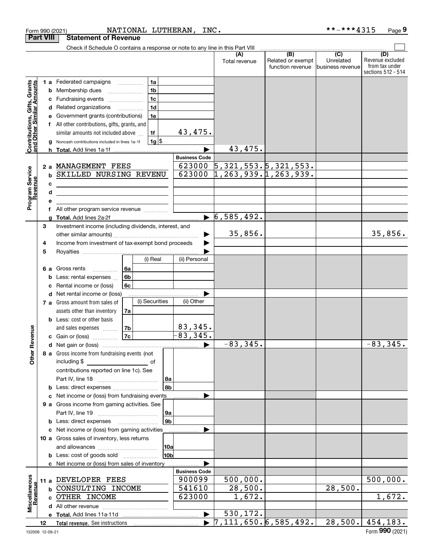|                                                                  |    |   | Form 990 (2021)                                                                 |                |                | NATIONAL LUTHERAN,<br>INC. |                                                 |                   | **-***4315        | Page 9             |
|------------------------------------------------------------------|----|---|---------------------------------------------------------------------------------|----------------|----------------|----------------------------|-------------------------------------------------|-------------------|-------------------|--------------------|
| <b>Part VIII</b>                                                 |    |   | <b>Statement of Revenue</b>                                                     |                |                |                            |                                                 |                   |                   |                    |
|                                                                  |    |   | Check if Schedule O contains a response or note to any line in this Part VIII   |                |                |                            |                                                 |                   |                   |                    |
|                                                                  |    |   |                                                                                 |                |                |                            | (A)                                             | (B)               | $\overline{(C)}$  | (D)                |
|                                                                  |    |   |                                                                                 |                |                |                            | Total revenue                                   | Related or exempt | Unrelated         | Revenue excluded   |
|                                                                  |    |   |                                                                                 |                |                |                            |                                                 | function revenue  | Ibusiness revenue | from tax under     |
|                                                                  |    |   |                                                                                 |                |                |                            |                                                 |                   |                   | sections 512 - 514 |
|                                                                  |    |   | <b>1 a</b> Federated campaigns                                                  |                | 1a             |                            |                                                 |                   |                   |                    |
|                                                                  |    |   |                                                                                 |                | 1 <sub>b</sub> |                            |                                                 |                   |                   |                    |
|                                                                  |    | b | Membership dues                                                                 |                |                |                            |                                                 |                   |                   |                    |
| <b>Contributions, Gifts, Grants</b><br>and Other Similar Amounts |    | с | Fundraising events                                                              |                | 1 <sub>c</sub> |                            |                                                 |                   |                   |                    |
|                                                                  |    | d | Related organizations                                                           |                | 1 <sub>d</sub> |                            |                                                 |                   |                   |                    |
|                                                                  |    | е | Government grants (contributions)                                               |                | 1e             |                            |                                                 |                   |                   |                    |
|                                                                  |    |   | f All other contributions, gifts, grants, and                                   |                |                |                            |                                                 |                   |                   |                    |
|                                                                  |    |   | similar amounts not included above                                              |                | 1f             | 43,475.                    |                                                 |                   |                   |                    |
|                                                                  |    |   |                                                                                 |                |                |                            |                                                 |                   |                   |                    |
|                                                                  |    | g | Noncash contributions included in lines 1a-1f                                   |                | $1g$ \$        |                            |                                                 |                   |                   |                    |
|                                                                  |    |   |                                                                                 |                |                |                            | 43,475.                                         |                   |                   |                    |
|                                                                  |    |   |                                                                                 |                |                | <b>Business Code</b>       |                                                 |                   |                   |                    |
|                                                                  |    |   | 2 a MANAGEMENT FEES                                                             |                |                | 623000                     | 5, 321, 553.5, 321, 553.                        |                   |                   |                    |
| Program Service<br>Revenue                                       |    | b | SKILLED NURSING REVENU                                                          |                |                | 623000                     | 1, 263, 939.1, 263, 939.                        |                   |                   |                    |
|                                                                  |    |   |                                                                                 |                |                |                            |                                                 |                   |                   |                    |
|                                                                  |    | c | the contract of the contract of the contract of the contract of the contract of |                |                |                            |                                                 |                   |                   |                    |
|                                                                  |    | d | <u> 1989 - Johann Stein, marwolaethau (b. 1989)</u>                             |                |                |                            |                                                 |                   |                   |                    |
|                                                                  |    | e |                                                                                 |                |                |                            |                                                 |                   |                   |                    |
|                                                                  |    | f | All other program service revenue                                               |                |                |                            |                                                 |                   |                   |                    |
|                                                                  |    | g |                                                                                 |                |                |                            | 6, 585, 492.                                    |                   |                   |                    |
|                                                                  | 3  |   |                                                                                 |                |                |                            |                                                 |                   |                   |                    |
|                                                                  |    |   | Investment income (including dividends, interest, and                           |                |                |                            |                                                 |                   |                   |                    |
|                                                                  |    |   |                                                                                 |                |                |                            | 35,856.                                         |                   |                   | 35,856.            |
|                                                                  | 4  |   | Income from investment of tax-exempt bond proceeds                              |                |                |                            |                                                 |                   |                   |                    |
|                                                                  | 5  |   |                                                                                 |                |                |                            |                                                 |                   |                   |                    |
|                                                                  |    |   |                                                                                 |                | (i) Real       | (ii) Personal              |                                                 |                   |                   |                    |
|                                                                  |    |   |                                                                                 | 6a             |                |                            |                                                 |                   |                   |                    |
|                                                                  |    |   | 6 a Gross rents                                                                 |                |                |                            |                                                 |                   |                   |                    |
|                                                                  |    | b | Less: rental expenses                                                           | 6 <sub>b</sub> |                |                            |                                                 |                   |                   |                    |
|                                                                  |    | c | Rental income or (loss)                                                         | 6с             |                |                            |                                                 |                   |                   |                    |
|                                                                  |    | d | Net rental income or (loss)                                                     |                |                |                            |                                                 |                   |                   |                    |
|                                                                  |    |   | 7 a Gross amount from sales of                                                  |                | (i) Securities | (ii) Other                 |                                                 |                   |                   |                    |
|                                                                  |    |   | assets other than inventory                                                     | 7a             |                |                            |                                                 |                   |                   |                    |
|                                                                  |    |   |                                                                                 |                |                |                            |                                                 |                   |                   |                    |
|                                                                  |    |   | <b>b</b> Less: cost or other basis                                              |                |                |                            |                                                 |                   |                   |                    |
| evenue                                                           |    |   | and sales expenses                                                              | 7 <sub>b</sub> |                | 83, 345.                   |                                                 |                   |                   |                    |
|                                                                  |    |   | c Gain or (loss)                                                                | <b>7c</b>      |                | 83,345.                    |                                                 |                   |                   |                    |
| Œ                                                                |    |   |                                                                                 |                |                |                            | $-83, 345.$                                     |                   |                   | $-83, 345.$        |
|                                                                  |    |   | 8 a Gross income from fundraising events (not                                   |                |                |                            |                                                 |                   |                   |                    |
| Other                                                            |    |   | including \$<br><u>___________________________</u> _ of                         |                |                |                            |                                                 |                   |                   |                    |
|                                                                  |    |   |                                                                                 |                |                |                            |                                                 |                   |                   |                    |
|                                                                  |    |   | contributions reported on line 1c). See                                         |                |                |                            |                                                 |                   |                   |                    |
|                                                                  |    |   |                                                                                 |                |                | 8a                         |                                                 |                   |                   |                    |
|                                                                  |    |   |                                                                                 |                |                | 8b                         |                                                 |                   |                   |                    |
|                                                                  |    |   | c Net income or (loss) from fundraising events                                  |                |                |                            |                                                 |                   |                   |                    |
|                                                                  |    |   | 9 a Gross income from gaming activities. See                                    |                |                |                            |                                                 |                   |                   |                    |
|                                                                  |    |   |                                                                                 |                |                |                            |                                                 |                   |                   |                    |
|                                                                  |    |   |                                                                                 |                |                | 9a                         |                                                 |                   |                   |                    |
|                                                                  |    |   | <b>b</b> Less: direct expenses <b>manually</b>                                  |                |                | 9 <sub>b</sub>             |                                                 |                   |                   |                    |
|                                                                  |    |   | c Net income or (loss) from gaming activities                                   |                |                |                            |                                                 |                   |                   |                    |
|                                                                  |    |   | 10 a Gross sales of inventory, less returns                                     |                |                |                            |                                                 |                   |                   |                    |
|                                                                  |    |   |                                                                                 |                |                | 10a                        |                                                 |                   |                   |                    |
|                                                                  |    |   | <b>b</b> Less: cost of goods sold                                               |                |                | 10 <sub>b</sub>            |                                                 |                   |                   |                    |
|                                                                  |    |   |                                                                                 |                |                |                            |                                                 |                   |                   |                    |
|                                                                  |    |   | c Net income or (loss) from sales of inventory                                  |                |                |                            |                                                 |                   |                   |                    |
|                                                                  |    |   |                                                                                 |                |                | <b>Business Code</b>       |                                                 |                   |                   |                    |
|                                                                  |    |   | 11 a DEVELOPER FEES                                                             |                |                | 900099                     | 500,000.                                        |                   |                   | 500,000.           |
|                                                                  |    |   | <b>b CONSULTING INCOME</b>                                                      |                |                | 541610                     | 28,500.                                         |                   | 28,500.           |                    |
| Revenue                                                          |    |   | c OTHER INCOME                                                                  |                |                | 623000                     | 1,672.                                          |                   |                   | 1,672.             |
| Miscellaneous                                                    |    |   |                                                                                 |                |                |                            |                                                 |                   |                   |                    |
|                                                                  |    |   |                                                                                 |                |                |                            | 530,172.                                        |                   |                   |                    |
|                                                                  |    |   |                                                                                 |                |                |                            |                                                 |                   |                   |                    |
|                                                                  | 12 |   | Total revenue. See instructions [                                               |                |                |                            | $\blacktriangleright$ 7, 111, 650. 6, 585, 492. |                   | 28,500.           | 454,183.           |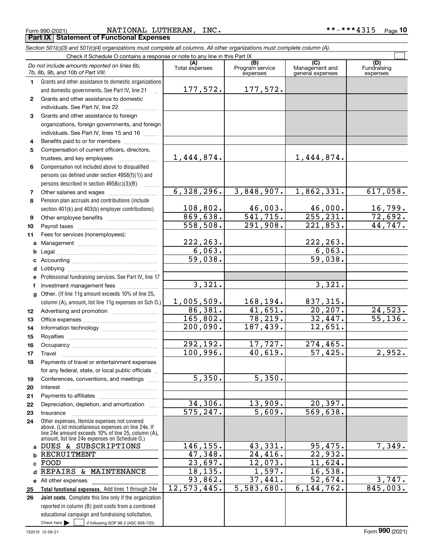Check here  $\blacktriangleright$ 

Check here  $\bullet$  if following SOP 98-2 (ASC 958-720)

reported in column (B) joint costs from a combined educational campaign and fundraising solicitation.

#### Form 990 (2021) NATIONAL LUTHERAN,INC. \*\*-\*\*\*4315 <sub>Page</sub> **Part IX Statement of Functional Expenses**

 $\mathcal{L}^{\text{max}}$ 

|              | Do not include amounts reported on lines 6b,<br>7b, 8b, 9b, and 10b of Part VIII.                                                                                                                            | (A)<br>Total expenses   | (B)<br>Program service<br>expenses | (C)<br>Management and<br>general expenses | (D)<br>Fundraising<br>expenses |
|--------------|--------------------------------------------------------------------------------------------------------------------------------------------------------------------------------------------------------------|-------------------------|------------------------------------|-------------------------------------------|--------------------------------|
| 1.           | Grants and other assistance to domestic organizations                                                                                                                                                        |                         |                                    |                                           |                                |
|              | and domestic governments. See Part IV, line 21                                                                                                                                                               | 177,572.                | 177,572.                           |                                           |                                |
| $\mathbf{2}$ | Grants and other assistance to domestic                                                                                                                                                                      |                         |                                    |                                           |                                |
|              | individuals. See Part IV, line 22                                                                                                                                                                            |                         |                                    |                                           |                                |
| 3            | Grants and other assistance to foreign                                                                                                                                                                       |                         |                                    |                                           |                                |
|              | organizations, foreign governments, and foreign                                                                                                                                                              |                         |                                    |                                           |                                |
|              | individuals. See Part IV, lines 15 and 16                                                                                                                                                                    |                         |                                    |                                           |                                |
| 4            | Benefits paid to or for members                                                                                                                                                                              |                         |                                    |                                           |                                |
| 5            | Compensation of current officers, directors,                                                                                                                                                                 |                         |                                    |                                           |                                |
|              | trustees, and key employees                                                                                                                                                                                  | 1,444,874.              |                                    | 1,444,874.                                |                                |
| 6            | Compensation not included above to disqualified                                                                                                                                                              |                         |                                    |                                           |                                |
|              | persons (as defined under section 4958(f)(1)) and                                                                                                                                                            |                         |                                    |                                           |                                |
|              | persons described in section 4958(c)(3)(B)                                                                                                                                                                   |                         |                                    |                                           |                                |
| 7            |                                                                                                                                                                                                              | 6,328,296.              | 3,848,907.                         | 1,862,331.                                | 617,058.                       |
| 8            | Pension plan accruals and contributions (include                                                                                                                                                             |                         |                                    |                                           |                                |
|              | section 401(k) and 403(b) employer contributions)                                                                                                                                                            | 108,802.                | 46,003.                            | 46,000.                                   | 16,799.                        |
| 9            |                                                                                                                                                                                                              | 869,638.                | 541, 715.                          | 255, 231.                                 | 72,692.                        |
| 10           |                                                                                                                                                                                                              | $\overline{558,508}$ .  | 291,908.                           | 221,853.                                  | 44,747.                        |
| 11           | Fees for services (nonemployees):                                                                                                                                                                            |                         |                                    |                                           |                                |
| a            |                                                                                                                                                                                                              | 222, 263.               |                                    | 222, 263.                                 |                                |
| b            |                                                                                                                                                                                                              | 6,063.                  |                                    | 6,063.                                    |                                |
| c            |                                                                                                                                                                                                              | $\overline{59,038}$ .   |                                    | 59,038.                                   |                                |
| d            |                                                                                                                                                                                                              |                         |                                    |                                           |                                |
| е            | Professional fundraising services. See Part IV, line 17                                                                                                                                                      |                         |                                    |                                           |                                |
| f            | Investment management fees                                                                                                                                                                                   | 3,321.                  |                                    | 3,321.                                    |                                |
| g            | Other. (If line 11g amount exceeds 10% of line 25,                                                                                                                                                           |                         |                                    |                                           |                                |
|              | column (A), amount, list line 11g expenses on Sch O.)                                                                                                                                                        | 1,005,509.              | 168, 194.                          | 837,315.                                  |                                |
| 12           |                                                                                                                                                                                                              | 86,381.                 | 41,651.                            | 20, 207.                                  | 24,523.                        |
| 13           |                                                                                                                                                                                                              | 165,802.                | 78,219.                            | 32,447.                                   | 55,136.                        |
| 14           |                                                                                                                                                                                                              | 200,090.                | 187,439.                           | 12,651.                                   |                                |
| 15           |                                                                                                                                                                                                              |                         |                                    |                                           |                                |
| 16           |                                                                                                                                                                                                              | 292,192.                | 17,727.                            | 274,465.                                  |                                |
| 17           | Travel                                                                                                                                                                                                       | 100,996.                | 40,619.                            | 57,425.                                   | 2,952.                         |
| 18           | Payments of travel or entertainment expenses                                                                                                                                                                 |                         |                                    |                                           |                                |
|              | for any federal, state, or local public officials                                                                                                                                                            |                         |                                    |                                           |                                |
| 19           | Conferences, conventions, and meetings                                                                                                                                                                       | 5,350.                  | 5,350.                             |                                           |                                |
| 20           | Interest                                                                                                                                                                                                     |                         |                                    |                                           |                                |
| 21           |                                                                                                                                                                                                              |                         |                                    |                                           |                                |
| 22           | Depreciation, depletion, and amortization                                                                                                                                                                    | 34,306.                 | 13,909.                            | 20,397.                                   |                                |
| 23           | Insurance                                                                                                                                                                                                    | $\overline{575, 247}$ . | 5,609.                             | 569,638.                                  |                                |
| 24           | Other expenses. Itemize expenses not covered<br>above. (List miscellaneous expenses on line 24e. If<br>line 24e amount exceeds 10% of line 25, column (A),<br>amount, list line 24e expenses on Schedule O.) |                         |                                    |                                           |                                |
| a            | DUES & SUBSCRIPTIONS                                                                                                                                                                                         | 146,155.                | 43,331.                            | 95,475.                                   | 7,349.                         |
| b            | RECRUITMENT                                                                                                                                                                                                  | 47,348.                 | 24,416.                            | 22,932.                                   |                                |
| C            | FOOD                                                                                                                                                                                                         | 23,697.                 | 12,073.                            | 11,624.                                   |                                |
| d            | REPAIRS & MAINTENANCE                                                                                                                                                                                        | 18,135.                 | 1,597.                             | 16,538.                                   |                                |
| е            | All other expenses                                                                                                                                                                                           | 93,862.                 | 37,441.                            | 52,674.                                   | 3,747.                         |
| 25           | Total functional expenses. Add lines 1 through 24e                                                                                                                                                           | 12,573,445.             | 5,583,680.                         | 6, 144, 762.                              | 845,003.                       |
| 26           | Joint costs. Complete this line only if the organization                                                                                                                                                     |                         |                                    |                                           |                                |

*Section 501(c)(3) and 501(c)(4) organizations must complete all columns. All other organizations must complete column (A).* Check if Schedule O contains a response or note to any line in this Part IX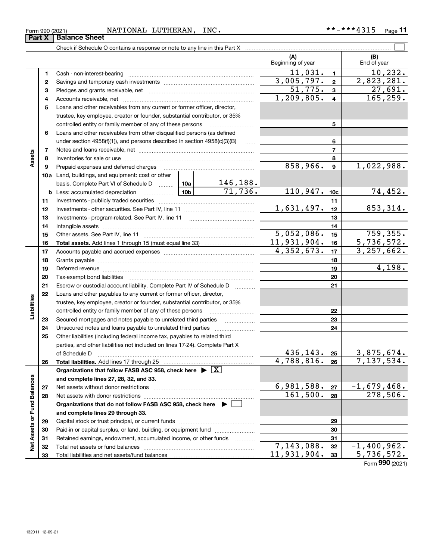| Form 990 (2021) | NATIONAL | LUTHERAN | INC. | .<br>****<br>$***-$<br>≖J⊥J | Page |  |
|-----------------|----------|----------|------|-----------------------------|------|--|
|                 |          |          |      |                             |      |  |

|                             |    |                                                                                                                                                                                                                                |                                     |               | (A)<br>Beginning of year  |                         | (B)<br>End of year |
|-----------------------------|----|--------------------------------------------------------------------------------------------------------------------------------------------------------------------------------------------------------------------------------|-------------------------------------|---------------|---------------------------|-------------------------|--------------------|
|                             | 1  |                                                                                                                                                                                                                                |                                     |               | $\overline{11,031}$ .     | $\mathbf{1}$            | 10, 232.           |
|                             | 2  |                                                                                                                                                                                                                                |                                     |               | 3,005,797.                | $\overline{\mathbf{2}}$ | 2,823,281.         |
|                             | 3  |                                                                                                                                                                                                                                |                                     |               | 51,775.                   | $\mathbf{3}$            | 27,691.            |
|                             | 4  |                                                                                                                                                                                                                                |                                     |               | 1,209,805.                | $\overline{\mathbf{4}}$ | 165, 259.          |
|                             | 5  | Loans and other receivables from any current or former officer, director,                                                                                                                                                      |                                     |               |                           |                         |                    |
|                             |    | trustee, key employee, creator or founder, substantial contributor, or 35%                                                                                                                                                     |                                     |               |                           |                         |                    |
|                             |    | controlled entity or family member of any of these persons                                                                                                                                                                     |                                     |               | 5                         |                         |                    |
|                             | 6  | Loans and other receivables from other disqualified persons (as defined                                                                                                                                                        |                                     |               |                           |                         |                    |
|                             |    | under section $4958(f)(1)$ , and persons described in section $4958(c)(3)(B)$                                                                                                                                                  |                                     | <b>Secure</b> |                           | 6                       |                    |
|                             | 7  |                                                                                                                                                                                                                                |                                     |               |                           | $\overline{7}$          |                    |
| Assets                      | 8  |                                                                                                                                                                                                                                |                                     |               |                           | 8                       |                    |
|                             | 9  | Prepaid expenses and deferred charges                                                                                                                                                                                          |                                     |               | 858,966.                  | $\boldsymbol{9}$        | 1,022,988.         |
|                             |    | 10a Land, buildings, and equipment: cost or other                                                                                                                                                                              |                                     |               |                           |                         |                    |
|                             |    | basis. Complete Part VI of Schedule D  10a                                                                                                                                                                                     |                                     | 146,188.      |                           |                         |                    |
|                             |    | <b>b</b> Less: accumulated depreciation                                                                                                                                                                                        | 10 <sub>b</sub>                     | 71,736.       | 110,947.                  | 10 <sub>c</sub>         | 74,452.            |
|                             | 11 |                                                                                                                                                                                                                                |                                     |               |                           | 11                      |                    |
|                             | 12 |                                                                                                                                                                                                                                |                                     |               | 1,631,497.                | 12                      | 853, 314.          |
|                             | 13 |                                                                                                                                                                                                                                |                                     |               | 13                        |                         |                    |
|                             | 14 |                                                                                                                                                                                                                                |                                     | 14            |                           |                         |                    |
|                             | 15 |                                                                                                                                                                                                                                | 5,052,086.                          | 15            | 759,355.                  |                         |                    |
|                             | 16 |                                                                                                                                                                                                                                | 11,931,904.                         | 16            | 5,736,572.                |                         |                    |
|                             | 17 |                                                                                                                                                                                                                                |                                     |               | 4,352,673.                | 17                      | 3, 257, 662.       |
|                             | 18 |                                                                                                                                                                                                                                |                                     |               | 18                        |                         |                    |
|                             | 19 | Deferred revenue manual contracts and contracts are all the contracts and contracts are contracted and contracts are contracted and contract are contracted and contract are contracted and contract are contracted and contra |                                     |               |                           | 19                      | 4,198.             |
|                             | 20 |                                                                                                                                                                                                                                |                                     |               |                           | 20                      |                    |
|                             | 21 | Escrow or custodial account liability. Complete Part IV of Schedule D                                                                                                                                                          |                                     |               |                           | 21                      |                    |
|                             | 22 | Loans and other payables to any current or former officer, director,                                                                                                                                                           |                                     |               |                           |                         |                    |
|                             |    | trustee, key employee, creator or founder, substantial contributor, or 35%                                                                                                                                                     |                                     |               |                           |                         |                    |
| Liabilities                 |    | controlled entity or family member of any of these persons                                                                                                                                                                     |                                     |               |                           | 22                      |                    |
|                             | 23 |                                                                                                                                                                                                                                |                                     |               |                           | 23                      |                    |
|                             | 24 |                                                                                                                                                                                                                                |                                     |               |                           | 24                      |                    |
|                             | 25 | Other liabilities (including federal income tax, payables to related third                                                                                                                                                     |                                     |               |                           |                         |                    |
|                             |    | parties, and other liabilities not included on lines 17-24). Complete Part X                                                                                                                                                   |                                     |               |                           |                         |                    |
|                             |    | of Schedule D                                                                                                                                                                                                                  | 436, 143.  25                       |               | 3,875,674.                |                         |                    |
|                             | 26 | Total liabilities. Add lines 17 through 25                                                                                                                                                                                     |                                     |               | 4,788,816.                | 26                      | 7,137,534.         |
|                             |    | Organizations that follow FASB ASC 958, check here $\blacktriangleright \lfloor X \rfloor$                                                                                                                                     |                                     |               |                           |                         |                    |
|                             |    | and complete lines 27, 28, 32, and 33.                                                                                                                                                                                         |                                     |               |                           |                         |                    |
|                             | 27 |                                                                                                                                                                                                                                | 6,981,588.<br>$\overline{161,}500.$ | 27            | $-1,679,468.$<br>278,506. |                         |                    |
|                             | 28 |                                                                                                                                                                                                                                |                                     | 28            |                           |                         |                    |
|                             |    | Organizations that do not follow FASB ASC 958, check here ▶ U                                                                                                                                                                  |                                     |               |                           |                         |                    |
|                             |    | and complete lines 29 through 33.                                                                                                                                                                                              |                                     |               |                           |                         |                    |
|                             | 29 |                                                                                                                                                                                                                                |                                     |               |                           | 29                      |                    |
| Net Assets or Fund Balances | 30 | Paid-in or capital surplus, or land, building, or equipment fund                                                                                                                                                               |                                     |               |                           | 30                      |                    |
|                             | 31 | Retained earnings, endowment, accumulated income, or other funds                                                                                                                                                               |                                     |               | 7,143,088.                | 31                      | $-1,400,962.$      |
|                             | 32 |                                                                                                                                                                                                                                |                                     |               | 11,931,904.               | 32                      | 5,736,572.         |
|                             | 33 |                                                                                                                                                                                                                                |                                     |               |                           | 33                      |                    |

Form (2021) **990**

# **Part X Balance Sheet**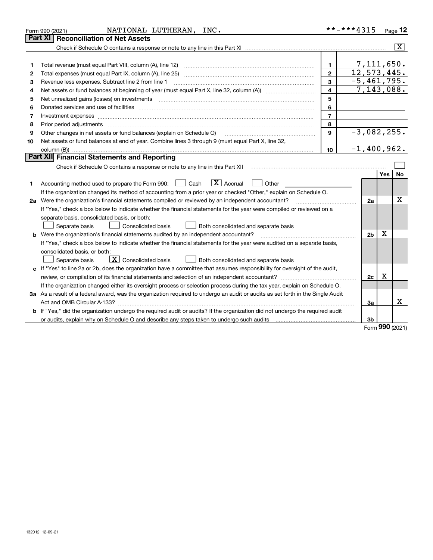|    | NATIONAL LUTHERAN, INC.<br>Form 990 (2021)                                                                                                                                                                                     | **-***4315              |                |            | Page $12$               |  |  |  |
|----|--------------------------------------------------------------------------------------------------------------------------------------------------------------------------------------------------------------------------------|-------------------------|----------------|------------|-------------------------|--|--|--|
|    | <b>Reconciliation of Net Assets</b><br><b>Part XI</b>                                                                                                                                                                          |                         |                |            |                         |  |  |  |
|    |                                                                                                                                                                                                                                |                         |                |            | $\overline{\mathbf{X}}$ |  |  |  |
|    |                                                                                                                                                                                                                                |                         |                |            |                         |  |  |  |
| 1  | Total revenue (must equal Part VIII, column (A), line 12)                                                                                                                                                                      | 1.                      | 7,111,650.     |            |                         |  |  |  |
| 2  | $\overline{12}$ , 573, 445.<br>$\overline{2}$<br>Total expenses (must equal Part IX, column (A), line 25)                                                                                                                      |                         |                |            |                         |  |  |  |
| з  | Revenue less expenses. Subtract line 2 from line 1                                                                                                                                                                             | 3                       | $-5,461,795.$  |            |                         |  |  |  |
| 4  |                                                                                                                                                                                                                                | $\overline{\mathbf{4}}$ | 7,143,088.     |            |                         |  |  |  |
| 5  | Net unrealized gains (losses) on investments                                                                                                                                                                                   | 5                       |                |            |                         |  |  |  |
| 6  | Donated services and use of facilities [111] matter contracts and use of facilities [11] matter contracts and use of facilities [11] matter contracts and use of facilities [11] matter contracts and the service of the servi | 6                       |                |            |                         |  |  |  |
| 7  |                                                                                                                                                                                                                                | $\overline{7}$          |                |            |                         |  |  |  |
| 8  | Prior period adjustments                                                                                                                                                                                                       | 8                       |                |            |                         |  |  |  |
| 9  | Other changes in net assets or fund balances (explain on Schedule O)                                                                                                                                                           | $\mathbf{9}$            | $-3,082,255.$  |            |                         |  |  |  |
| 10 | Net assets or fund balances at end of year. Combine lines 3 through 9 (must equal Part X, line 32,                                                                                                                             |                         |                |            |                         |  |  |  |
|    | column (B))                                                                                                                                                                                                                    | 10                      | $-1,400,962.$  |            |                         |  |  |  |
|    | Part XII Financial Statements and Reporting                                                                                                                                                                                    |                         |                |            |                         |  |  |  |
|    |                                                                                                                                                                                                                                |                         |                |            |                         |  |  |  |
|    |                                                                                                                                                                                                                                |                         |                | <b>Yes</b> | No                      |  |  |  |
| 1. | $\boxed{\mathbf{X}}$ Accrual<br>Accounting method used to prepare the Form 990: <u>[</u> Cash<br>Other                                                                                                                         |                         |                |            |                         |  |  |  |
|    | If the organization changed its method of accounting from a prior year or checked "Other," explain on Schedule O.                                                                                                              |                         |                |            |                         |  |  |  |
|    | 2a Were the organization's financial statements compiled or reviewed by an independent accountant?                                                                                                                             |                         | 2a             |            | х                       |  |  |  |
|    | If "Yes," check a box below to indicate whether the financial statements for the year were compiled or reviewed on a                                                                                                           |                         |                |            |                         |  |  |  |
|    | separate basis, consolidated basis, or both:                                                                                                                                                                                   |                         |                |            |                         |  |  |  |
|    | Separate basis<br>Consolidated basis<br>Both consolidated and separate basis                                                                                                                                                   |                         |                |            |                         |  |  |  |
|    | <b>b</b> Were the organization's financial statements audited by an independent accountant?                                                                                                                                    |                         | 2 <sub>b</sub> | х          |                         |  |  |  |
|    | If "Yes," check a box below to indicate whether the financial statements for the year were audited on a separate basis,                                                                                                        |                         |                |            |                         |  |  |  |
|    | consolidated basis, or both:                                                                                                                                                                                                   |                         |                |            |                         |  |  |  |
|    | $\boxed{\textbf{X}}$ Consolidated basis<br>Both consolidated and separate basis<br>Separate basis                                                                                                                              |                         |                |            |                         |  |  |  |
|    | If "Yes" to line 2a or 2b, does the organization have a committee that assumes responsibility for oversight of the audit,                                                                                                      |                         |                |            |                         |  |  |  |
|    | X<br>review, or compilation of its financial statements and selection of an independent accountant?<br>2c                                                                                                                      |                         |                |            |                         |  |  |  |
|    | If the organization changed either its oversight process or selection process during the tax year, explain on Schedule O.                                                                                                      |                         |                |            |                         |  |  |  |
|    | 3a As a result of a federal award, was the organization required to undergo an audit or audits as set forth in the Single Audit                                                                                                |                         |                |            |                         |  |  |  |
|    |                                                                                                                                                                                                                                |                         | За             |            | х                       |  |  |  |
|    | b If "Yes," did the organization undergo the required audit or audits? If the organization did not undergo the required audit                                                                                                  |                         |                |            |                         |  |  |  |
|    |                                                                                                                                                                                                                                |                         | 3b             |            |                         |  |  |  |

Form (2021) **990**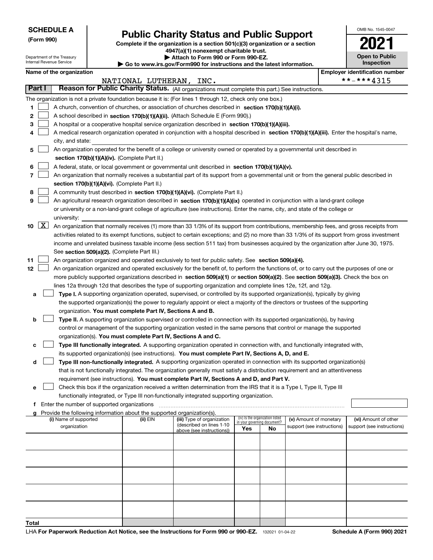Department of the Treasury Internal Revenue Service

**(Form 990)**

# **Public Charity Status and Public Support**

**Complete if the organization is a section 501(c)(3) organization or a section**

**4947(a)(1) nonexempt charitable trust. | Attach to Form 990 or Form 990-EZ.** 

**| Go to www.irs.gov/Form990 for instructions and the latest information.**

| OMB No. 1545-0047                   |
|-------------------------------------|
|                                     |
| <b>Open to Public</b><br>Inspection |

|             | Name of the organization<br><b>Employer identification number</b>                                                 |                                                                                                                                              |                         |                                                       |     |                                   |                            |  |                            |
|-------------|-------------------------------------------------------------------------------------------------------------------|----------------------------------------------------------------------------------------------------------------------------------------------|-------------------------|-------------------------------------------------------|-----|-----------------------------------|----------------------------|--|----------------------------|
|             |                                                                                                                   |                                                                                                                                              | NATIONAL LUTHERAN, INC. |                                                       |     |                                   |                            |  | **-***4315                 |
|             | Reason for Public Charity Status. (All organizations must complete this part.) See instructions.<br><b>Part I</b> |                                                                                                                                              |                         |                                                       |     |                                   |                            |  |                            |
|             |                                                                                                                   | The organization is not a private foundation because it is: (For lines 1 through 12, check only one box.)                                    |                         |                                                       |     |                                   |                            |  |                            |
| 1           |                                                                                                                   | A church, convention of churches, or association of churches described in section 170(b)(1)(A)(i).                                           |                         |                                                       |     |                                   |                            |  |                            |
| 2           |                                                                                                                   | A school described in section 170(b)(1)(A)(ii). (Attach Schedule E (Form 990).)                                                              |                         |                                                       |     |                                   |                            |  |                            |
| 3           |                                                                                                                   | A hospital or a cooperative hospital service organization described in section 170(b)(1)(A)(iii).                                            |                         |                                                       |     |                                   |                            |  |                            |
| 4           |                                                                                                                   | A medical research organization operated in conjunction with a hospital described in section 170(b)(1)(A)(iii). Enter the hospital's name,   |                         |                                                       |     |                                   |                            |  |                            |
|             |                                                                                                                   | city, and state:                                                                                                                             |                         |                                                       |     |                                   |                            |  |                            |
| 5           |                                                                                                                   | An organization operated for the benefit of a college or university owned or operated by a governmental unit described in                    |                         |                                                       |     |                                   |                            |  |                            |
|             |                                                                                                                   | section 170(b)(1)(A)(iv). (Complete Part II.)                                                                                                |                         |                                                       |     |                                   |                            |  |                            |
| 6           |                                                                                                                   | A federal, state, or local government or governmental unit described in section 170(b)(1)(A)(v).                                             |                         |                                                       |     |                                   |                            |  |                            |
| 7           |                                                                                                                   | An organization that normally receives a substantial part of its support from a governmental unit or from the general public described in    |                         |                                                       |     |                                   |                            |  |                            |
|             |                                                                                                                   | section 170(b)(1)(A)(vi). (Complete Part II.)                                                                                                |                         |                                                       |     |                                   |                            |  |                            |
| 8           |                                                                                                                   | A community trust described in section 170(b)(1)(A)(vi). (Complete Part II.)                                                                 |                         |                                                       |     |                                   |                            |  |                            |
| 9           |                                                                                                                   | An agricultural research organization described in section 170(b)(1)(A)(ix) operated in conjunction with a land-grant college                |                         |                                                       |     |                                   |                            |  |                            |
|             |                                                                                                                   | or university or a non-land-grant college of agriculture (see instructions). Enter the name, city, and state of the college or               |                         |                                                       |     |                                   |                            |  |                            |
|             |                                                                                                                   | university:                                                                                                                                  |                         |                                                       |     |                                   |                            |  |                            |
| $10 \mid X$ |                                                                                                                   | An organization that normally receives (1) more than 33 1/3% of its support from contributions, membership fees, and gross receipts from     |                         |                                                       |     |                                   |                            |  |                            |
|             |                                                                                                                   | activities related to its exempt functions, subject to certain exceptions; and (2) no more than 33 1/3% of its support from gross investment |                         |                                                       |     |                                   |                            |  |                            |
|             |                                                                                                                   | income and unrelated business taxable income (less section 511 tax) from businesses acquired by the organization after June 30, 1975.        |                         |                                                       |     |                                   |                            |  |                            |
|             |                                                                                                                   | See section 509(a)(2). (Complete Part III.)                                                                                                  |                         |                                                       |     |                                   |                            |  |                            |
| 11          |                                                                                                                   | An organization organized and operated exclusively to test for public safety. See section 509(a)(4).                                         |                         |                                                       |     |                                   |                            |  |                            |
| 12          |                                                                                                                   | An organization organized and operated exclusively for the benefit of, to perform the functions of, or to carry out the purposes of one or   |                         |                                                       |     |                                   |                            |  |                            |
|             |                                                                                                                   | more publicly supported organizations described in section 509(a)(1) or section 509(a)(2). See section 509(a)(3). Check the box on           |                         |                                                       |     |                                   |                            |  |                            |
|             |                                                                                                                   | lines 12a through 12d that describes the type of supporting organization and complete lines 12e, 12f, and 12g.                               |                         |                                                       |     |                                   |                            |  |                            |
| а           |                                                                                                                   | Type I. A supporting organization operated, supervised, or controlled by its supported organization(s), typically by giving                  |                         |                                                       |     |                                   |                            |  |                            |
|             |                                                                                                                   | the supported organization(s) the power to regularly appoint or elect a majority of the directors or trustees of the supporting              |                         |                                                       |     |                                   |                            |  |                            |
|             |                                                                                                                   | organization. You must complete Part IV, Sections A and B.                                                                                   |                         |                                                       |     |                                   |                            |  |                            |
| b           |                                                                                                                   | Type II. A supporting organization supervised or controlled in connection with its supported organization(s), by having                      |                         |                                                       |     |                                   |                            |  |                            |
|             |                                                                                                                   | control or management of the supporting organization vested in the same persons that control or manage the supported                         |                         |                                                       |     |                                   |                            |  |                            |
|             |                                                                                                                   | organization(s). You must complete Part IV, Sections A and C.                                                                                |                         |                                                       |     |                                   |                            |  |                            |
| c           |                                                                                                                   | Type III functionally integrated. A supporting organization operated in connection with, and functionally integrated with,                   |                         |                                                       |     |                                   |                            |  |                            |
|             |                                                                                                                   | its supported organization(s) (see instructions). You must complete Part IV, Sections A, D, and E.                                           |                         |                                                       |     |                                   |                            |  |                            |
| d           |                                                                                                                   | Type III non-functionally integrated. A supporting organization operated in connection with its supported organization(s)                    |                         |                                                       |     |                                   |                            |  |                            |
|             |                                                                                                                   | that is not functionally integrated. The organization generally must satisfy a distribution requirement and an attentiveness                 |                         |                                                       |     |                                   |                            |  |                            |
|             |                                                                                                                   | requirement (see instructions). You must complete Part IV, Sections A and D, and Part V.                                                     |                         |                                                       |     |                                   |                            |  |                            |
| е           |                                                                                                                   | Check this box if the organization received a written determination from the IRS that it is a Type I, Type II, Type III                      |                         |                                                       |     |                                   |                            |  |                            |
|             |                                                                                                                   | functionally integrated, or Type III non-functionally integrated supporting organization.                                                    |                         |                                                       |     |                                   |                            |  |                            |
|             |                                                                                                                   | f Enter the number of supported organizations<br>Provide the following information about the supported organization(s).                      |                         |                                                       |     |                                   |                            |  |                            |
|             |                                                                                                                   | (i) Name of supported                                                                                                                        | (ii) EIN                | (iii) Type of organization                            |     | (iv) Is the organization listed   | (v) Amount of monetary     |  | (vi) Amount of other       |
|             |                                                                                                                   | organization                                                                                                                                 |                         | (described on lines 1-10<br>above (see instructions)) | Yes | in your governing document?<br>No | support (see instructions) |  | support (see instructions) |
|             |                                                                                                                   |                                                                                                                                              |                         |                                                       |     |                                   |                            |  |                            |
|             |                                                                                                                   |                                                                                                                                              |                         |                                                       |     |                                   |                            |  |                            |
|             |                                                                                                                   |                                                                                                                                              |                         |                                                       |     |                                   |                            |  |                            |
|             |                                                                                                                   |                                                                                                                                              |                         |                                                       |     |                                   |                            |  |                            |
|             |                                                                                                                   |                                                                                                                                              |                         |                                                       |     |                                   |                            |  |                            |
|             |                                                                                                                   |                                                                                                                                              |                         |                                                       |     |                                   |                            |  |                            |
|             |                                                                                                                   |                                                                                                                                              |                         |                                                       |     |                                   |                            |  |                            |
|             |                                                                                                                   |                                                                                                                                              |                         |                                                       |     |                                   |                            |  |                            |
|             |                                                                                                                   |                                                                                                                                              |                         |                                                       |     |                                   |                            |  |                            |
|             |                                                                                                                   |                                                                                                                                              |                         |                                                       |     |                                   |                            |  |                            |
| Total       |                                                                                                                   |                                                                                                                                              |                         |                                                       |     |                                   |                            |  |                            |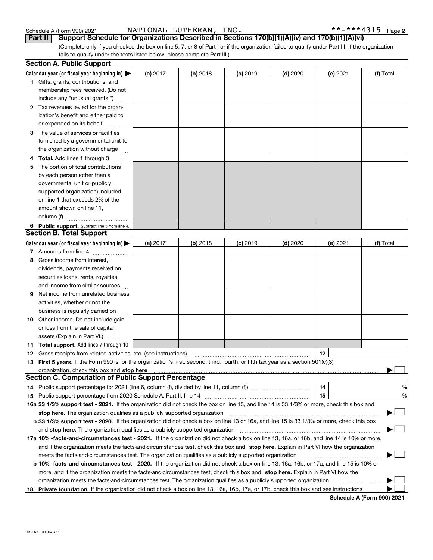| 132022 01-04-22 |
|-----------------|

| 1. | Gifts, grants, contributions, and<br>membership fees received. (Do not                                                                                                                                                         |                 |          |            |            |          |                            |
|----|--------------------------------------------------------------------------------------------------------------------------------------------------------------------------------------------------------------------------------|-----------------|----------|------------|------------|----------|----------------------------|
|    | include any "unusual grants.")                                                                                                                                                                                                 |                 |          |            |            |          |                            |
|    | 2 Tax revenues levied for the organ-<br>ization's benefit and either paid to                                                                                                                                                   |                 |          |            |            |          |                            |
|    | or expended on its behalf                                                                                                                                                                                                      |                 |          |            |            |          |                            |
|    | <b>3</b> The value of services or facilities                                                                                                                                                                                   |                 |          |            |            |          |                            |
|    | furnished by a governmental unit to                                                                                                                                                                                            |                 |          |            |            |          |                            |
|    | the organization without charge                                                                                                                                                                                                |                 |          |            |            |          |                            |
|    | 4 Total. Add lines 1 through 3                                                                                                                                                                                                 |                 |          |            |            |          |                            |
| 5. | The portion of total contributions                                                                                                                                                                                             |                 |          |            |            |          |                            |
|    | by each person (other than a                                                                                                                                                                                                   |                 |          |            |            |          |                            |
|    | governmental unit or publicly                                                                                                                                                                                                  |                 |          |            |            |          |                            |
|    | supported organization) included                                                                                                                                                                                               |                 |          |            |            |          |                            |
|    | on line 1 that exceeds 2% of the                                                                                                                                                                                               |                 |          |            |            |          |                            |
|    | amount shown on line 11,                                                                                                                                                                                                       |                 |          |            |            |          |                            |
|    | column (f)                                                                                                                                                                                                                     |                 |          |            |            |          |                            |
|    | 6 Public support. Subtract line 5 from line 4.                                                                                                                                                                                 |                 |          |            |            |          |                            |
|    | <b>Section B. Total Support</b>                                                                                                                                                                                                |                 |          |            |            |          |                            |
|    | Calendar year (or fiscal year beginning in)                                                                                                                                                                                    | <b>(a)</b> 2017 | (b) 2018 | $(c)$ 2019 | $(d)$ 2020 | (e) 2021 | (f) Total                  |
|    | 7 Amounts from line 4                                                                                                                                                                                                          |                 |          |            |            |          |                            |
|    | 8 Gross income from interest,                                                                                                                                                                                                  |                 |          |            |            |          |                            |
|    | dividends, payments received on                                                                                                                                                                                                |                 |          |            |            |          |                            |
|    | securities loans, rents, royalties,                                                                                                                                                                                            |                 |          |            |            |          |                            |
|    | and income from similar sources                                                                                                                                                                                                |                 |          |            |            |          |                            |
| 9  | Net income from unrelated business                                                                                                                                                                                             |                 |          |            |            |          |                            |
|    | activities, whether or not the                                                                                                                                                                                                 |                 |          |            |            |          |                            |
|    | business is regularly carried on                                                                                                                                                                                               |                 |          |            |            |          |                            |
|    | <b>10</b> Other income. Do not include gain                                                                                                                                                                                    |                 |          |            |            |          |                            |
|    | or loss from the sale of capital                                                                                                                                                                                               |                 |          |            |            |          |                            |
|    | assets (Explain in Part VI.)                                                                                                                                                                                                   |                 |          |            |            |          |                            |
|    | <b>11 Total support.</b> Add lines 7 through 10                                                                                                                                                                                |                 |          |            |            |          |                            |
|    | <b>12</b> Gross receipts from related activities, etc. (see instructions)                                                                                                                                                      |                 |          |            |            | 12       |                            |
|    | 13 First 5 years. If the Form 990 is for the organization's first, second, third, fourth, or fifth tax year as a section 501(c)(3)                                                                                             |                 |          |            |            |          |                            |
|    | organization, check this box and stop here manufactured and content to the state of the state of the state of the state of the state of the state of the state of the state of the state of the state of the state of the stat |                 |          |            |            |          |                            |
|    | <b>Section C. Computation of Public Support Percentage</b>                                                                                                                                                                     |                 |          |            |            |          |                            |
|    |                                                                                                                                                                                                                                |                 |          |            |            | 14       | %                          |
|    | 15 Public support percentage from 2020 Schedule A, Part II, line 14                                                                                                                                                            |                 |          |            |            | 15       | %                          |
|    | 16a 33 1/3% support test - 2021. If the organization did not check the box on line 13, and line 14 is 33 1/3% or more, check this box and                                                                                      |                 |          |            |            |          |                            |
|    |                                                                                                                                                                                                                                |                 |          |            |            |          |                            |
|    | b 33 1/3% support test - 2020. If the organization did not check a box on line 13 or 16a, and line 15 is 33 1/3% or more, check this box                                                                                       |                 |          |            |            |          |                            |
|    |                                                                                                                                                                                                                                |                 |          |            |            |          |                            |
|    | 17a 10% -facts-and-circumstances test - 2021. If the organization did not check a box on line 13, 16a, or 16b, and line 14 is 10% or more,                                                                                     |                 |          |            |            |          |                            |
|    | and if the organization meets the facts-and-circumstances test, check this box and stop here. Explain in Part VI how the organization                                                                                          |                 |          |            |            |          |                            |
|    | meets the facts-and-circumstances test. The organization qualifies as a publicly supported organization                                                                                                                        |                 |          |            |            |          |                            |
|    | <b>b 10% -facts-and-circumstances test - 2020.</b> If the organization did not check a box on line 13, 16a, 16b, or 17a, and line 15 is 10% or                                                                                 |                 |          |            |            |          |                            |
|    | more, and if the organization meets the facts-and-circumstances test, check this box and stop here. Explain in Part VI how the                                                                                                 |                 |          |            |            |          |                            |
|    | organization meets the facts-and-circumstances test. The organization qualifies as a publicly supported organization                                                                                                           |                 |          |            |            |          |                            |
|    | 18 Private foundation. If the organization did not check a box on line 13, 16a, 16b, 17a, or 17b, check this box and see instructions                                                                                          |                 |          |            |            |          |                            |
|    |                                                                                                                                                                                                                                |                 |          |            |            |          | Schedule A (Form 990) 2021 |

(Complete only if you checked the box on line 5, 7, or 8 of Part I or if the organization failed to qualify under Part III. If the organization **Part II Support Schedule for Organizations Described in Sections 170(b)(1)(A)(iv) and 170(b)(1)(A)(vi)**

**(a)** 2017 **(b)** 2018 **(c)** 2019 (**d)** 2020 **(e)** 2021 **(f)** Total

fails to qualify under the tests listed below, please complete Part III.)

(a) 2017

| Schedule A (Form 990) 2021 |  |  |
|----------------------------|--|--|

**Calendar year (or fiscal year beginning in)**  |

**Section A. Public Support**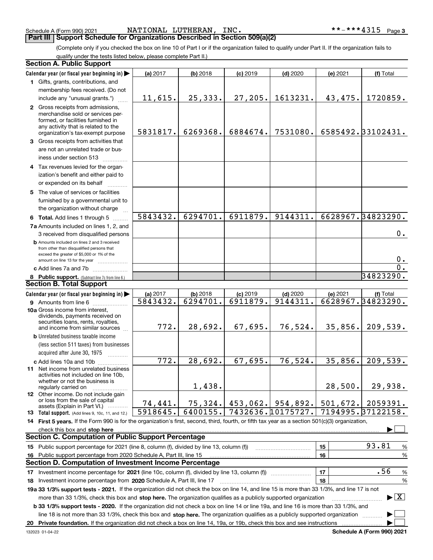Schedule A (Form 990) 2021 Page NATIONAL LUTHERAN, INC. \*\*-\*\*\*4315

**Part III Support Schedule for Organizations Described in Section 509(a)(2)** 

(Complete only if you checked the box on line 10 of Part I or if the organization failed to qualify under Part II. If the organization fails to qualify under the tests listed below, please complete Part II.)

|    | <b>Section A. Public Support</b>                                                                                                                                                                                                                                 |          |            |            |                   |          |                                          |
|----|------------------------------------------------------------------------------------------------------------------------------------------------------------------------------------------------------------------------------------------------------------------|----------|------------|------------|-------------------|----------|------------------------------------------|
|    | Calendar year (or fiscal year beginning in)                                                                                                                                                                                                                      | (a) 2017 | (b) 2018   | $(c)$ 2019 | $(d)$ 2020        | (e) 2021 | (f) Total                                |
|    | 1 Gifts, grants, contributions, and                                                                                                                                                                                                                              |          |            |            |                   |          |                                          |
|    | membership fees received. (Do not                                                                                                                                                                                                                                |          |            |            |                   |          |                                          |
|    | include any "unusual grants.")                                                                                                                                                                                                                                   | 11,615.  | 25, 333.   | 27,205.    | 1613231.          | 43,475.  | 1720859.                                 |
|    | 2 Gross receipts from admissions,<br>merchandise sold or services per-<br>formed, or facilities furnished in<br>any activity that is related to the<br>organization's tax-exempt purpose                                                                         | 5831817. | 6269368.   | 6884674.   | 7531080.          |          | 6585492.33102431.                        |
|    | 3 Gross receipts from activities that                                                                                                                                                                                                                            |          |            |            |                   |          |                                          |
|    | are not an unrelated trade or bus-<br>iness under section 513                                                                                                                                                                                                    |          |            |            |                   |          |                                          |
|    | 4 Tax revenues levied for the organ-                                                                                                                                                                                                                             |          |            |            |                   |          |                                          |
|    | ization's benefit and either paid to<br>or expended on its behalf                                                                                                                                                                                                |          |            |            |                   |          |                                          |
|    | 5 The value of services or facilities                                                                                                                                                                                                                            |          |            |            |                   |          |                                          |
|    | furnished by a governmental unit to<br>the organization without charge                                                                                                                                                                                           |          |            |            |                   |          |                                          |
|    | 6 Total. Add lines 1 through 5                                                                                                                                                                                                                                   | 5843432. | 6294701.   | 6911879.   | 9144311.          |          | 6628967.34823290.                        |
|    | 7a Amounts included on lines 1, 2, and<br>3 received from disqualified persons                                                                                                                                                                                   |          |            |            |                   |          | 0.                                       |
|    | <b>b</b> Amounts included on lines 2 and 3 received<br>from other than disqualified persons that<br>exceed the greater of \$5,000 or 1% of the<br>amount on line 13 for the year                                                                                 |          |            |            |                   |          | $0_{.}$                                  |
|    | c Add lines 7a and 7b                                                                                                                                                                                                                                            |          |            |            |                   |          | $\overline{0}$ .                         |
|    | 8 Public support. (Subtract line 7c from line 6.)                                                                                                                                                                                                                |          |            |            |                   |          | 34823290.                                |
|    | <b>Section B. Total Support</b>                                                                                                                                                                                                                                  |          |            |            |                   |          |                                          |
|    | Calendar year (or fiscal year beginning in)                                                                                                                                                                                                                      | (a) 2017 | $(b)$ 2018 | $(c)$ 2019 | $(d)$ 2020        | (e) 2021 | (f) Total                                |
|    | 9 Amounts from line 6                                                                                                                                                                                                                                            | 5843432. | 6294701.   | 6911879.   | 9144311.          |          | 6628967.34823290.                        |
|    | 10a Gross income from interest,<br>dividends, payments received on<br>securities loans, rents, royalties,<br>and income from similar sources                                                                                                                     | 772.     | 28,692.    | 67,695.    | 76,524.           | 35,856.  | 209,539.                                 |
|    | <b>b</b> Unrelated business taxable income                                                                                                                                                                                                                       |          |            |            |                   |          |                                          |
|    | (less section 511 taxes) from businesses                                                                                                                                                                                                                         |          |            |            |                   |          |                                          |
|    | acquired after June 30, 1975                                                                                                                                                                                                                                     |          |            |            |                   |          |                                          |
|    | c Add lines 10a and 10b                                                                                                                                                                                                                                          | 772.     | 28,692.    | 67,695.    | 76,524.           | 35,856.  | 209,539.                                 |
|    | 11 Net income from unrelated business<br>activities not included on line 10b,<br>whether or not the business is                                                                                                                                                  |          |            |            |                   |          |                                          |
|    | regularly carried on                                                                                                                                                                                                                                             |          | 1,438.     |            |                   | 28,500.  | 29,938.                                  |
|    | 12 Other income. Do not include gain<br>or loss from the sale of capital<br>assets (Explain in Part VI.)                                                                                                                                                         | 74,441.  | 75,324.    | 453,062.   | 954,892.          | 501,672. | 2059391.                                 |
|    | <b>13</b> Total support. (Add lines 9, 10c, 11, and 12.)                                                                                                                                                                                                         | 5918645. | 6400155.   |            | 7432636.10175727. |          | 7194995.37122158.                        |
|    | 14 First 5 years. If the Form 990 is for the organization's first, second, third, fourth, or fifth tax year as a section 501(c)(3) organization,                                                                                                                 |          |            |            |                   |          |                                          |
|    | check this box and stop here www.communication.communication.com/                                                                                                                                                                                                |          |            |            |                   |          |                                          |
|    | <b>Section C. Computation of Public Support Percentage</b>                                                                                                                                                                                                       |          |            |            |                   |          |                                          |
|    | 15 Public support percentage for 2021 (line 8, column (f), divided by line 13, column (f))                                                                                                                                                                       |          |            |            |                   | 15       | 93.81<br>%                               |
| 16 | Public support percentage from 2020 Schedule A, Part III, line 15                                                                                                                                                                                                |          |            |            |                   | 16       | %                                        |
|    | <b>Section D. Computation of Investment Income Percentage</b>                                                                                                                                                                                                    |          |            |            |                   |          |                                          |
| 17 | Investment income percentage for 2021 (line 10c, column (f), divided by line 13, column (f))                                                                                                                                                                     |          |            |            |                   | 17       | .56<br>%                                 |
|    | 18 Investment income percentage from 2020 Schedule A, Part III, line 17                                                                                                                                                                                          |          |            |            |                   | 18       | %                                        |
|    | 19a 33 1/3% support tests - 2021. If the organization did not check the box on line 14, and line 15 is more than 33 1/3%, and line 17 is not<br>more than 33 1/3%, check this box and stop here. The organization qualifies as a publicly supported organization |          |            |            |                   |          | $\blacktriangleright$ $\boxed{\text{X}}$ |
|    | <b>b 33 1/3% support tests - 2020.</b> If the organization did not check a box on line 14 or line 19a, and line 16 is more than 33 1/3%, and                                                                                                                     |          |            |            |                   |          |                                          |
|    | line 18 is not more than 33 1/3%, check this box and stop here. The organization qualifies as a publicly supported organization                                                                                                                                  |          |            |            |                   |          |                                          |
| 20 |                                                                                                                                                                                                                                                                  |          |            |            |                   |          |                                          |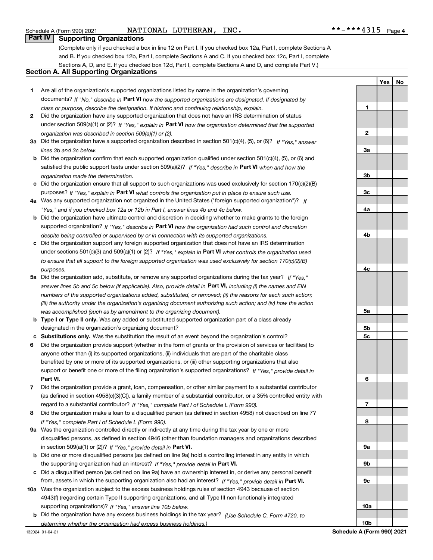Schedule A (Form 990) 2021 Page NATIONAL LUTHERAN, INC. \*\*-\*\*\*4315

**YesNo**

#### **Part IV Supporting Organizations**

(Complete only if you checked a box in line 12 on Part I. If you checked box 12a, Part I, complete Sections A and B. If you checked box 12b, Part I, complete Sections A and C. If you checked box 12c, Part I, complete Sections A, D, and E. If you checked box 12d, Part I, complete Sections A and D, and complete Part V.)

#### **Section A. All Supporting Organizations**

- **1** Are all of the organization's supported organizations listed by name in the organization's governing documents? If "No," describe in **Part VI** how the supported organizations are designated. If designated by *class or purpose, describe the designation. If historic and continuing relationship, explain.*
- **2** Did the organization have any supported organization that does not have an IRS determination of status under section 509(a)(1) or (2)? If "Yes," explain in Part VI how the organization determined that the supported *organization was described in section 509(a)(1) or (2).*
- **3a** Did the organization have a supported organization described in section 501(c)(4), (5), or (6)? If "Yes," answer *lines 3b and 3c below.*
- **b** Did the organization confirm that each supported organization qualified under section 501(c)(4), (5), or (6) and satisfied the public support tests under section 509(a)(2)? If "Yes," describe in **Part VI** when and how the *organization made the determination.*
- **c**Did the organization ensure that all support to such organizations was used exclusively for section 170(c)(2)(B) purposes? If "Yes," explain in **Part VI** what controls the organization put in place to ensure such use.
- **4a***If* Was any supported organization not organized in the United States ("foreign supported organization")? *"Yes," and if you checked box 12a or 12b in Part I, answer lines 4b and 4c below.*
- **b** Did the organization have ultimate control and discretion in deciding whether to make grants to the foreign supported organization? If "Yes," describe in **Part VI** how the organization had such control and discretion *despite being controlled or supervised by or in connection with its supported organizations.*
- **c** Did the organization support any foreign supported organization that does not have an IRS determination under sections 501(c)(3) and 509(a)(1) or (2)? If "Yes," explain in **Part VI** what controls the organization used *to ensure that all support to the foreign supported organization was used exclusively for section 170(c)(2)(B) purposes.*
- **5a***If "Yes,"* Did the organization add, substitute, or remove any supported organizations during the tax year? answer lines 5b and 5c below (if applicable). Also, provide detail in **Part VI,** including (i) the names and EIN *numbers of the supported organizations added, substituted, or removed; (ii) the reasons for each such action; (iii) the authority under the organization's organizing document authorizing such action; and (iv) how the action was accomplished (such as by amendment to the organizing document).*
- **b** Type I or Type II only. Was any added or substituted supported organization part of a class already designated in the organization's organizing document?
- **cSubstitutions only.**  Was the substitution the result of an event beyond the organization's control?
- **6** Did the organization provide support (whether in the form of grants or the provision of services or facilities) to **Part VI.** *If "Yes," provide detail in* support or benefit one or more of the filing organization's supported organizations? anyone other than (i) its supported organizations, (ii) individuals that are part of the charitable class benefited by one or more of its supported organizations, or (iii) other supporting organizations that also
- **7**Did the organization provide a grant, loan, compensation, or other similar payment to a substantial contributor *If "Yes," complete Part I of Schedule L (Form 990).* regard to a substantial contributor? (as defined in section 4958(c)(3)(C)), a family member of a substantial contributor, or a 35% controlled entity with
- **8** Did the organization make a loan to a disqualified person (as defined in section 4958) not described on line 7? *If "Yes," complete Part I of Schedule L (Form 990).*
- **9a** Was the organization controlled directly or indirectly at any time during the tax year by one or more in section 509(a)(1) or (2))? If "Yes," *provide detail in* <code>Part VI.</code> disqualified persons, as defined in section 4946 (other than foundation managers and organizations described
- **b** Did one or more disqualified persons (as defined on line 9a) hold a controlling interest in any entity in which the supporting organization had an interest? If "Yes," provide detail in P**art VI**.
- **c**Did a disqualified person (as defined on line 9a) have an ownership interest in, or derive any personal benefit from, assets in which the supporting organization also had an interest? If "Yes," provide detail in P**art VI.**
- **10a** Was the organization subject to the excess business holdings rules of section 4943 because of section supporting organizations)? If "Yes," answer line 10b below. 4943(f) (regarding certain Type II supporting organizations, and all Type III non-functionally integrated
- **b** Did the organization have any excess business holdings in the tax year? (Use Schedule C, Form 4720, to *determine whether the organization had excess business holdings.)*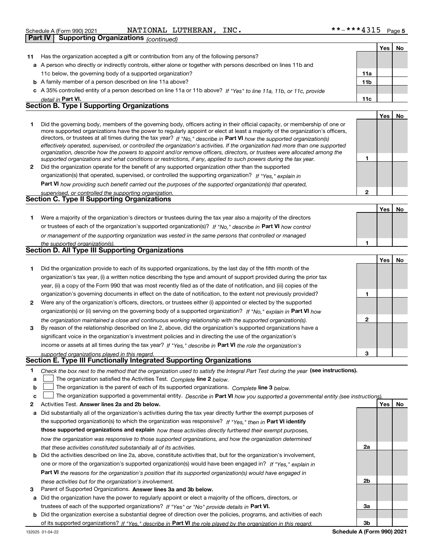**Part IV Supporting Organizations** *(continued)*

|    |                                                                                                                                                                                                                                                                                                                                                                                        |                 | Yes   | No |
|----|----------------------------------------------------------------------------------------------------------------------------------------------------------------------------------------------------------------------------------------------------------------------------------------------------------------------------------------------------------------------------------------|-----------------|-------|----|
| 11 | Has the organization accepted a gift or contribution from any of the following persons?                                                                                                                                                                                                                                                                                                |                 |       |    |
|    | a A person who directly or indirectly controls, either alone or together with persons described on lines 11b and                                                                                                                                                                                                                                                                       |                 |       |    |
|    | 11c below, the governing body of a supported organization?                                                                                                                                                                                                                                                                                                                             | 11a             |       |    |
|    | <b>b</b> A family member of a person described on line 11a above?                                                                                                                                                                                                                                                                                                                      | 11 <sub>b</sub> |       |    |
|    | c A 35% controlled entity of a person described on line 11a or 11b above? If "Yes" to line 11a, 11b, or 11c, provide                                                                                                                                                                                                                                                                   |                 |       |    |
|    | detail in Part VI.                                                                                                                                                                                                                                                                                                                                                                     | 11c             |       |    |
|    | <b>Section B. Type I Supporting Organizations</b>                                                                                                                                                                                                                                                                                                                                      |                 |       |    |
|    |                                                                                                                                                                                                                                                                                                                                                                                        |                 | Yes l | No |
|    | Did the governing body, members of the governing body, officers acting in their official capacity, or membership of one or<br>more supported organizations have the power to regularly appoint or elect at least a majority of the organization's officers,<br>directors, or trustees at all times during the tax year? If "No," describe in Part VI how the supported organization(s) |                 |       |    |

**2** Did the organization operate for the benefit of any supported organization other than the supported *effectively operated, supervised, or controlled the organization's activities. If the organization had more than one supported organization, describe how the powers to appoint and/or remove officers, directors, or trustees were allocated among the supported organizations and what conditions or restrictions, if any, applied to such powers during the tax year. If "Yes," explain in* organization(s) that operated, supervised, or controlled the supporting organization?

**Part VI**  *how providing such benefit carried out the purposes of the supported organization(s) that operated,*

|                                                                                                                  |                                                                                                                                                                                                                                    | Yes | No |  |
|------------------------------------------------------------------------------------------------------------------|------------------------------------------------------------------------------------------------------------------------------------------------------------------------------------------------------------------------------------|-----|----|--|
| Were a majority of the organization's directors or trustees during the tax year also a majority of the directors |                                                                                                                                                                                                                                    |     |    |  |
|                                                                                                                  |                                                                                                                                                                                                                                    |     |    |  |
|                                                                                                                  | <u>____supervised, or controlled the supporting organization._</u><br>Section C. Type II Supporting Organizations<br>or trustees of each of the organization's supported organization(s)? If "No," describe in Part VI how control |     |    |  |

| or management of the supporting organization was vested in the same persons that controlled or managed |
|--------------------------------------------------------------------------------------------------------|
| the sunnorted organization(s)                                                                          |

| ult subbolltud ordanizations).                          |  |
|---------------------------------------------------------|--|
| <b>Section D. All Type III Supporting Organizations</b> |  |

|              |                                                                                                                        |   | Yes l | No |
|--------------|------------------------------------------------------------------------------------------------------------------------|---|-------|----|
|              | Did the organization provide to each of its supported organizations, by the last day of the fifth month of the         |   |       |    |
|              | organization's tax year, (i) a written notice describing the type and amount of support provided during the prior tax  |   |       |    |
|              | year, (ii) a copy of the Form 990 that was most recently filed as of the date of notification, and (iii) copies of the |   |       |    |
|              | organization's governing documents in effect on the date of notification, to the extent not previously provided?       |   |       |    |
| $\mathbf{2}$ | Were any of the organization's officers, directors, or trustees either (i) appointed or elected by the supported       |   |       |    |
|              | organization(s) or (ii) serving on the governing body of a supported organization? If "No," explain in Part VI how     |   |       |    |
|              | the organization maintained a close and continuous working relationship with the supported organization(s).            | 2 |       |    |
| 3            | By reason of the relationship described on line 2, above, did the organization's supported organizations have a        |   |       |    |
|              | significant voice in the organization's investment policies and in directing the use of the organization's             |   |       |    |
|              | income or assets at all times during the tax year? If "Yes," describe in Part VI the role the organization's           |   |       |    |
|              | supported organizations played in this regard                                                                          | з |       |    |

# *supported organizations played in this regard.* **Section E. Type III Functionally Integrated Supporting Organizations**

- **1**Check the box next to the method that the organization used to satisfy the Integral Part Test during the year (see instructions).
- **alinupy** The organization satisfied the Activities Test. Complete line 2 below.
- **b**The organization is the parent of each of its supported organizations. *Complete* line 3 *below.*  $\mathcal{L}^{\text{max}}$

|  | The organization supported a governmental entity. Describe in Part VI how you supported a governmental entity (see instructions). |  |
|--|-----------------------------------------------------------------------------------------------------------------------------------|--|

- **2Answer lines 2a and 2b below. Yes No** Activities Test.
- **a** Did substantially all of the organization's activities during the tax year directly further the exempt purposes of the supported organization(s) to which the organization was responsive? If "Yes," then in **Part VI identify those supported organizations and explain**  *how these activities directly furthered their exempt purposes, how the organization was responsive to those supported organizations, and how the organization determined that these activities constituted substantially all of its activities.*
- **b** Did the activities described on line 2a, above, constitute activities that, but for the organization's involvement, **Part VI**  *the reasons for the organization's position that its supported organization(s) would have engaged in* one or more of the organization's supported organization(s) would have been engaged in? If "Yes," e*xplain in these activities but for the organization's involvement.*
- **3** Parent of Supported Organizations. Answer lines 3a and 3b below.
- **a** Did the organization have the power to regularly appoint or elect a majority of the officers, directors, or trustees of each of the supported organizations? If "Yes" or "No" provide details in P**art VI.**
- **b** Did the organization exercise a substantial degree of direction over the policies, programs, and activities of each of its supported organizations? If "Yes," describe in Part VI the role played by the organization in this regard.

**3bSchedule A (Form 990) 2021**

**2a**

**2b**

**3a**

**1**

**1**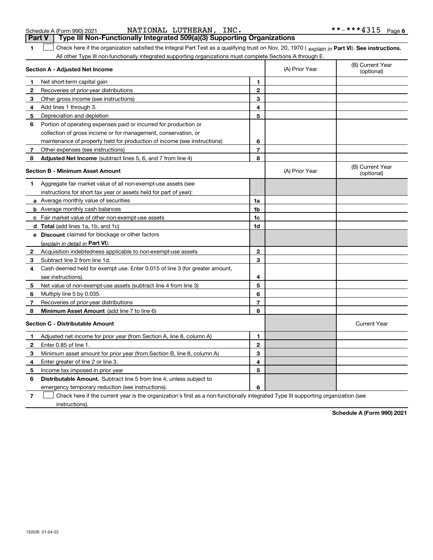| NATIONAL LUTHERAN.<br>INC.<br>Schedule A (Form 990) 2021                                                                                                                                                                                                      |   |                | **-***4315<br>Page             |
|---------------------------------------------------------------------------------------------------------------------------------------------------------------------------------------------------------------------------------------------------------------|---|----------------|--------------------------------|
| Type III Non-Functionally Integrated 509(a)(3) Supporting Organizations<br>Part V                                                                                                                                                                             |   |                |                                |
| Check here if the organization satisfied the Integral Part Test as a qualifying trust on Nov. 20, 1970 (explain in Part VI). See instructions.<br>All other Type III non-functionally integrated supporting organizations must complete Sections A through E. |   |                |                                |
| Section A - Adjusted Net Income                                                                                                                                                                                                                               |   | (A) Prior Year | (B) Current Year<br>(optional) |
| Net short-term capital gain                                                                                                                                                                                                                                   | 1 |                |                                |
| Recoveries of prior-year distributions                                                                                                                                                                                                                        | 2 |                |                                |
| 3<br>Other gross income (see instructions)                                                                                                                                                                                                                    | 3 |                |                                |
| Add lines 1 through 3.<br>4                                                                                                                                                                                                                                   | 4 |                |                                |
| 5<br>Depreciation and depletion                                                                                                                                                                                                                               | 5 |                |                                |
| 6<br>Portion of operating expenses paid or incurred for production or                                                                                                                                                                                         |   |                |                                |
| collection of gross income or for management, conservation, or                                                                                                                                                                                                |   |                |                                |
| maintenance of property held for production of income (see instructions)                                                                                                                                                                                      | 6 |                |                                |
| Other expenses (see instructions)                                                                                                                                                                                                                             | 7 |                |                                |
| Adjusted Net Income (subtract lines 5, 6, and 7 from line 4)<br>8                                                                                                                                                                                             | 8 |                |                                |
| <b>Section B - Minimum Asset Amount</b>                                                                                                                                                                                                                       |   | (A) Prior Year | (B) Current Year<br>(optional) |
| Aggregate fair market value of all non-exempt-use assets (see                                                                                                                                                                                                 |   |                |                                |
| instructions for short tax year or assets held for part of year):                                                                                                                                                                                             |   |                |                                |
|                                                                                                                                                                                                                                                               |   |                |                                |

**2**Acquisition indebtedness applicable to non-exempt-use assets **3** Subtract line 2 from line 1d. **4**Cash deemed held for exempt use. Enter 0.015 of line 3 (for greater amount, **5** Net value of non-exempt-use assets (subtract line 4 from line 3) **6** Multiply line 5 by 0.035. **78a** Average monthly value of securities **b** Average monthly cash balances **c** Fair market value of other non-exempt-use assets **dTotal**  (add lines 1a, 1b, and 1c) **eDiscount** claimed for blockage or other factors **1a 1b1c 1d2345678**(explain in detail in Part VI): **Minimum Asset Amount**  (add line 7 to line 6) **Section C - Distributable Amount 12**Enter 0.85 of line 1. **3** Minimum asset amount for prior year (from Section B, line 8, column A) **456** Distributable Amount. Subtract line 5 from line 4, unless subject to **123456**urrent Year ptional) see instructions). Recoveries of prior-year distributions Current Year Adjusted net income for prior year (from Section A, line 8, column A) Enter greater of line 2 or line 3. Income tax imposed in prior year emergency temporary reduction (see instructions).

**7**Check here if the current year is the organization's first as a non-functionally integrated Type III supporting organization (see instructions). $\mathcal{L}^{\text{max}}$ 

**Schedule A (Form 990) 2021**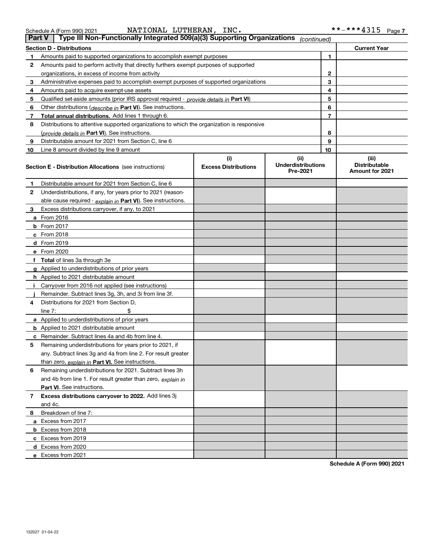|  |  |  | Schedule A (Form 990) 2021 |  |
|--|--|--|----------------------------|--|
|  |  |  |                            |  |

|  | Schedule A (Form 990) 2021 |  | NATIONAL LUTHERAN, | INC. | **_*** <i>\</i> ?1 5<br>ᆂᆚᆂᆚ | Page |  |
|--|----------------------------|--|--------------------|------|------------------------------|------|--|
|--|----------------------------|--|--------------------|------|------------------------------|------|--|

| <b>Part V</b> | Type III Non-Functionally Integrated 509(a)(3) Supporting Organizations                    |                                    | (continued)                                   |    |                                                         |
|---------------|--------------------------------------------------------------------------------------------|------------------------------------|-----------------------------------------------|----|---------------------------------------------------------|
|               | <b>Section D - Distributions</b>                                                           |                                    |                                               |    | <b>Current Year</b>                                     |
| 1             | Amounts paid to supported organizations to accomplish exempt purposes                      |                                    | 1                                             |    |                                                         |
| 2             | Amounts paid to perform activity that directly furthers exempt purposes of supported       |                                    |                                               |    |                                                         |
|               | organizations, in excess of income from activity                                           |                                    | $\mathbf{2}$                                  |    |                                                         |
| 3             | Administrative expenses paid to accomplish exempt purposes of supported organizations      |                                    | 3                                             |    |                                                         |
| 4             | Amounts paid to acquire exempt-use assets                                                  |                                    |                                               | 4  |                                                         |
| 5             | Qualified set-aside amounts (prior IRS approval required - provide details in Part VI)     |                                    |                                               | 5  |                                                         |
| 6             | Other distributions ( <i>describe in</i> Part VI). See instructions.                       |                                    |                                               | 6  |                                                         |
| 7             | Total annual distributions. Add lines 1 through 6.                                         |                                    |                                               | 7  |                                                         |
| 8             | Distributions to attentive supported organizations to which the organization is responsive |                                    |                                               |    |                                                         |
|               | (provide details in Part VI). See instructions.                                            |                                    |                                               | 8  |                                                         |
| 9             | Distributable amount for 2021 from Section C, line 6                                       |                                    |                                               | 9  |                                                         |
| 10            | Line 8 amount divided by line 9 amount                                                     |                                    |                                               | 10 |                                                         |
|               | <b>Section E - Distribution Allocations</b> (see instructions)                             | (i)<br><b>Excess Distributions</b> | (ii)<br><b>Underdistributions</b><br>Pre-2021 |    | (iii)<br><b>Distributable</b><br><b>Amount for 2021</b> |
| 1             | Distributable amount for 2021 from Section C, line 6                                       |                                    |                                               |    |                                                         |
| 2             | Underdistributions, if any, for years prior to 2021 (reason-                               |                                    |                                               |    |                                                         |
|               | able cause required - explain in Part VI). See instructions.                               |                                    |                                               |    |                                                         |
| 3             | Excess distributions carryover, if any, to 2021                                            |                                    |                                               |    |                                                         |
|               | a From 2016                                                                                |                                    |                                               |    |                                                         |
|               | <b>b</b> From 2017                                                                         |                                    |                                               |    |                                                         |
|               | $c$ From 2018                                                                              |                                    |                                               |    |                                                         |
|               | d From 2019                                                                                |                                    |                                               |    |                                                         |
|               | e From 2020                                                                                |                                    |                                               |    |                                                         |
|               | f Total of lines 3a through 3e                                                             |                                    |                                               |    |                                                         |
|               | g Applied to underdistributions of prior years                                             |                                    |                                               |    |                                                         |
|               | <b>h</b> Applied to 2021 distributable amount                                              |                                    |                                               |    |                                                         |
|               | Carryover from 2016 not applied (see instructions)                                         |                                    |                                               |    |                                                         |
|               | Remainder. Subtract lines 3g, 3h, and 3i from line 3f.                                     |                                    |                                               |    |                                                         |
| 4             | Distributions for 2021 from Section D,                                                     |                                    |                                               |    |                                                         |
|               | line $7:$                                                                                  |                                    |                                               |    |                                                         |
|               | a Applied to underdistributions of prior years                                             |                                    |                                               |    |                                                         |
|               | <b>b</b> Applied to 2021 distributable amount                                              |                                    |                                               |    |                                                         |
|               | c Remainder. Subtract lines 4a and 4b from line 4.                                         |                                    |                                               |    |                                                         |
| 5.            | Remaining underdistributions for years prior to 2021, if                                   |                                    |                                               |    |                                                         |
|               | any. Subtract lines 3g and 4a from line 2. For result greater                              |                                    |                                               |    |                                                         |
|               | than zero, explain in Part VI. See instructions.                                           |                                    |                                               |    |                                                         |
| 6             | Remaining underdistributions for 2021. Subtract lines 3h                                   |                                    |                                               |    |                                                         |
|               | and 4b from line 1. For result greater than zero, explain in                               |                                    |                                               |    |                                                         |
|               | Part VI. See instructions.                                                                 |                                    |                                               |    |                                                         |
| 7             | Excess distributions carryover to 2022. Add lines 3j                                       |                                    |                                               |    |                                                         |
|               | and 4c.                                                                                    |                                    |                                               |    |                                                         |
| 8             | Breakdown of line 7:                                                                       |                                    |                                               |    |                                                         |
|               | a Excess from 2017                                                                         |                                    |                                               |    |                                                         |
|               | <b>b</b> Excess from 2018                                                                  |                                    |                                               |    |                                                         |
|               | c Excess from 2019                                                                         |                                    |                                               |    |                                                         |
|               | d Excess from 2020                                                                         |                                    |                                               |    |                                                         |
|               | e Excess from 2021                                                                         |                                    |                                               |    |                                                         |

**Schedule A (Form 990) 2021**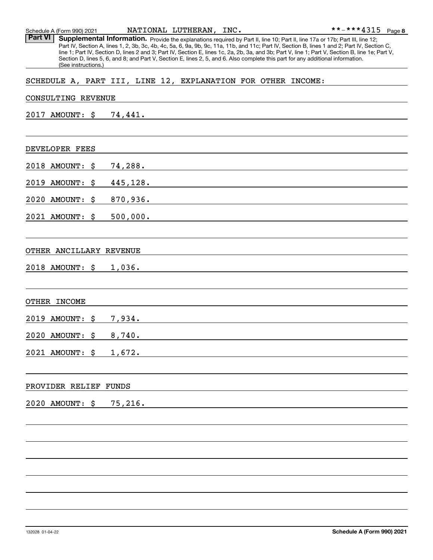Schedule A (Form 990) 2021 Page NATIONAL LUTHERAN, INC.

Part VI | Supplemental Information. Provide the explanations required by Part II, line 10; Part II, line 17a or 17b; Part III, line 12; Part IV, Section A, lines 1, 2, 3b, 3c, 4b, 4c, 5a, 6, 9a, 9b, 9c, 11a, 11b, and 11c; Part IV, Section B, lines 1 and 2; Part IV, Section C, line 1; Part IV, Section D, lines 2 and 3; Part IV, Section E, lines 1c, 2a, 2b, 3a, and 3b; Part V, line 1; Part V, Section B, line 1e; Part V, Section D, lines 5, 6, and 8; and Part V, Section E, lines 2, 5, and 6. Also complete this part for any additional information. (See instructions.)

#### SCHEDULE A, PART III, LINE 12, EXPLANATION FOR OTHER INCOME:

# CONSULTING REVENUE 2017 AMOUNT: \$ 74,441. DEVELOPER FEES 2018 AMOUNT: \$ 74,288. 2019 AMOUNT: \$ 445,128. 2020 AMOUNT: \$ 870,936. 2021 AMOUNT: \$ 500,000. OTHER ANCILLARY REVENUE 2018 AMOUNT: \$ 1,036. OTHER INCOME 2019 AMOUNT: \$ 7,934. 2020 AMOUNT: \$ 8,740. 2021 AMOUNT: \$ 1,672. PROVIDER RELIEF FUNDS 2020 AMOUNT: \$ 75,216.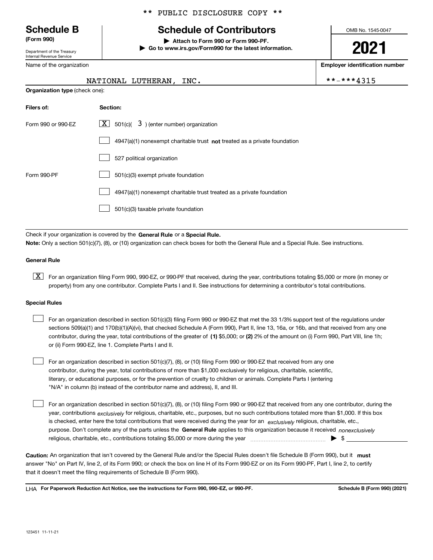Department of the Treasury Internal Revenue Service

Name of the organization

#### \*\* PUBLIC DISCLOSURE COPY \*\*

# **Schedule B Schedule of Contributors**

**(Form 990) | Attach to Form 990 or Form 990-PF. | Go to www.irs.gov/Form990 for the latest information.** OMB No. 1545-0047

# **2021**

**Employer identification number**

|  |  |  |  |  |  |  |  | -***4315 |  |
|--|--|--|--|--|--|--|--|----------|--|
|--|--|--|--|--|--|--|--|----------|--|

| ime of the organization |  |  |  |  |
|-------------------------|--|--|--|--|
| NATIONAL LUTHERAN, INC. |  |  |  |  |

**Organization type** (check one):

| Filers of:         | Section:                                                                    |
|--------------------|-----------------------------------------------------------------------------|
| Form 990 or 990-EZ | $3$ ) (enter number) organization<br>$X$ 501(c)(                            |
|                    | $4947(a)(1)$ nonexempt charitable trust not treated as a private foundation |
|                    | 527 political organization                                                  |
| Form 990-PF        | 501(c)(3) exempt private foundation                                         |
|                    | 4947(a)(1) nonexempt charitable trust treated as a private foundation       |
|                    | 501(c)(3) taxable private foundation                                        |

Check if your organization is covered by the **General Rule** or a **Special Rule. Note:**  Only a section 501(c)(7), (8), or (10) organization can check boxes for both the General Rule and a Special Rule. See instructions.

#### **General Rule**

 $\boxed{\textbf{X}}$  For an organization filing Form 990, 990-EZ, or 990-PF that received, during the year, contributions totaling \$5,000 or more (in money or property) from any one contributor. Complete Parts I and II. See instructions for determining a contributor's total contributions.

#### **Special Rules**

| $\mathbf{1}$ | For an organization described in section 501(c)(3) filing Form 990 or 990-EZ that met the 33 1/3% support test of the regulations under       |
|--------------|-----------------------------------------------------------------------------------------------------------------------------------------------|
|              | sections 509(a)(1) and 170(b)(1)(A)(vi), that checked Schedule A (Form 990), Part II, line 13, 16a, or 16b, and that received from any one    |
|              | contributor, during the year, total contributions of the greater of (1) \$5,000; or (2) 2% of the amount on (i) Form 990, Part VIII, line 1h; |
|              | or (ii) Form 990-EZ, line 1. Complete Parts I and II.                                                                                         |

For an organization described in section 501(c)(7), (8), or (10) filing Form 990 or 990-EZ that received from any one contributor, during the year, total contributions of more than \$1,000 exclusively for religious, charitable, scientific, literary, or educational purposes, or for the prevention of cruelty to children or animals. Complete Parts I (entering "N/A" in column (b) instead of the contributor name and address), II, and III.  $\mathcal{L}^{\text{max}}$ 

purpose. Don't complete any of the parts unless the **General Rule** applies to this organization because it received *nonexclusively* year, contributions <sub>exclusively</sub> for religious, charitable, etc., purposes, but no such contributions totaled more than \$1,000. If this box is checked, enter here the total contributions that were received during the year for an  $\;$ exclusively religious, charitable, etc., For an organization described in section 501(c)(7), (8), or (10) filing Form 990 or 990-EZ that received from any one contributor, during the religious, charitable, etc., contributions totaling \$5,000 or more during the year  $\Box$ — $\Box$  =  $\Box$  $\mathcal{L}^{\text{max}}$ 

Caution: An organization that isn't covered by the General Rule and/or the Special Rules doesn't file Schedule B (Form 990), but it **must** answer "No" on Part IV, line 2, of its Form 990; or check the box on line H of its Form 990-EZ or on its Form 990-PF, Part I, line 2, to certify that it doesn't meet the filing requirements of Schedule B (Form 990).

LHA For Paperwork Reduction Act Notice, see the instructions for Form 990, 990-EZ, or 990-PF. **In the act and Schedule B** (Form 990) (2021)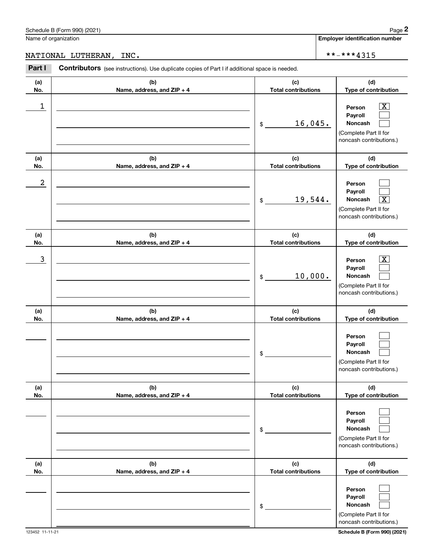## NATIONAL LUTHERAN, INC.  $* * * * * 4315$

|                 | Schedule B (Form 990) (2021)                                                                   |                            |         | Page 2                                                                                                                  |
|-----------------|------------------------------------------------------------------------------------------------|----------------------------|---------|-------------------------------------------------------------------------------------------------------------------------|
|                 | Name of organization                                                                           |                            |         | <b>Employer identification number</b>                                                                                   |
|                 | NATIONAL LUTHERAN, INC.                                                                        |                            |         | **-***4315                                                                                                              |
| Part I          | Contributors (see instructions). Use duplicate copies of Part I if additional space is needed. |                            |         |                                                                                                                         |
| (a)<br>No.      | (b)<br>Name, address, and ZIP + 4                                                              | <b>Total contributions</b> | (c)     | (d)<br>Type of contribution                                                                                             |
| 1               |                                                                                                | \$                         | 16,045. | $\overline{\text{X}}$<br>Person<br>Payroll<br>Noncash<br>(Complete Part II for<br>noncash contributions.)               |
| (a)<br>No.      | (b)<br>Name, address, and ZIP + 4                                                              | <b>Total contributions</b> | (c)     | (d)<br>Type of contribution                                                                                             |
| 2               |                                                                                                | \$                         | 19,544. | Person<br>Payroll<br>Noncash<br>$\overline{\mathbf{X}}$<br>(Complete Part II for<br>noncash contributions.)             |
| (a)<br>No.      | (b)<br>Name, address, and ZIP + 4                                                              | <b>Total contributions</b> | (c)     | (d)<br>Type of contribution                                                                                             |
| 3               |                                                                                                | \$                         | 10,000. | x<br>Person<br>Payroll<br>Noncash<br>(Complete Part II for<br>noncash contributions.)                                   |
| (a)<br>No.      | (b)<br>Name, address, and ZIP + 4                                                              | <b>Total contributions</b> | (c)     | (d)<br>Type of contribution                                                                                             |
|                 |                                                                                                | \$                         |         | Person<br>Payroll<br>Noncash<br>(Complete Part II for<br>noncash contributions.)                                        |
| (a)<br>No.      | (b)<br>Name, address, and ZIP + 4                                                              | <b>Total contributions</b> | (c)     | (d)<br>Type of contribution                                                                                             |
|                 |                                                                                                | \$                         |         | Person<br>Payroll<br>Noncash<br>(Complete Part II for<br>noncash contributions.)                                        |
| (a)<br>No.      | (b)<br>Name, address, and ZIP + 4                                                              | <b>Total contributions</b> | (c)     | (d)<br>Type of contribution                                                                                             |
| 123452 11-11-21 |                                                                                                | \$                         |         | Person<br>Payroll<br>Noncash<br>(Complete Part II for<br>noncash contributions.)<br><b>Schedule B (Form 990) (2021)</b> |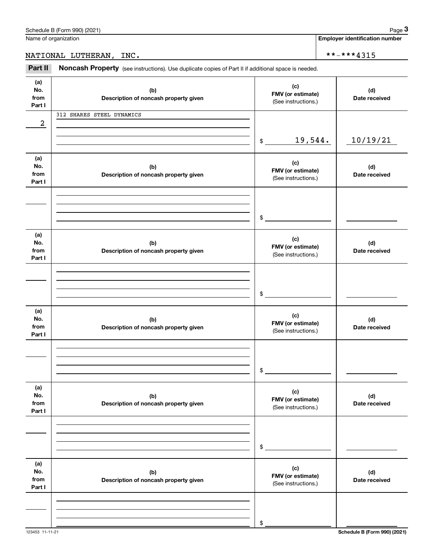| Part I                       |                                                                                                                                                                                                                               | (See instructions.)                             |                      |
|------------------------------|-------------------------------------------------------------------------------------------------------------------------------------------------------------------------------------------------------------------------------|-------------------------------------------------|----------------------|
| 2                            | 312 SHARES STEEL DYNAMICS<br><u> 1980 - Johann Barn, amerikan besteman besteman besteman besteman besteman besteman besteman besteman bestema</u>                                                                             |                                                 |                      |
|                              |                                                                                                                                                                                                                               | 19,544.<br>$\frac{1}{2}$                        | 10/19/21             |
| (a)<br>No.<br>from<br>Part I | (b)<br>Description of noncash property given                                                                                                                                                                                  | (c)<br>FMV (or estimate)<br>(See instructions.) | (d)<br>Date received |
|                              | the control of the control of the control of the control of the control of the control of                                                                                                                                     | $\mathsf{\$}$                                   |                      |
| (a)<br>No.<br>from<br>Part I | (b)<br>Description of noncash property given                                                                                                                                                                                  | (c)<br>FMV (or estimate)<br>(See instructions.) | (d)<br>Date received |
|                              | the control of the control of the control of the control of the control of the control of the control of the control of the control of the control of the control of the control of the control of the control of the control | $\mathsf{\$}$                                   |                      |
| (a)<br>No.<br>from<br>Part I | (b)<br>Description of noncash property given                                                                                                                                                                                  | (c)<br>FMV (or estimate)<br>(See instructions.) | (d)<br>Date received |
|                              | the control of the control of the control of the control of the control of the control of                                                                                                                                     | $\mathsf{\$}$                                   |                      |
| (a)<br>No.<br>from<br>Part I | (b)<br>Description of noncash property given                                                                                                                                                                                  | (c)<br>FMV (or estimate)<br>(See instructions.) | (d)<br>Date received |
|                              |                                                                                                                                                                                                                               | \$                                              |                      |
| (a)<br>No.<br>from<br>Part I | (b)<br>Description of noncash property given                                                                                                                                                                                  | (c)<br>FMV (or estimate)<br>(See instructions.) | (d)<br>Date received |
|                              |                                                                                                                                                                                                                               |                                                 |                      |

\$

**(b) Description of noncash property given**

Name of organization

**(a) No.from**

(see instructions). Use duplicate copies of Part II if additional space is needed.<br> **3Part II Noncash Property** (see instructions). Use duplicate copies of Part II if additional space is needed. NATIONAL LUTHERAN, INC.  $\vert$  \*\*-\*\*\*4315

> **(c) FMV (or estimate)**

(See instructions.)

**Employer identification number**

**(d) Date received**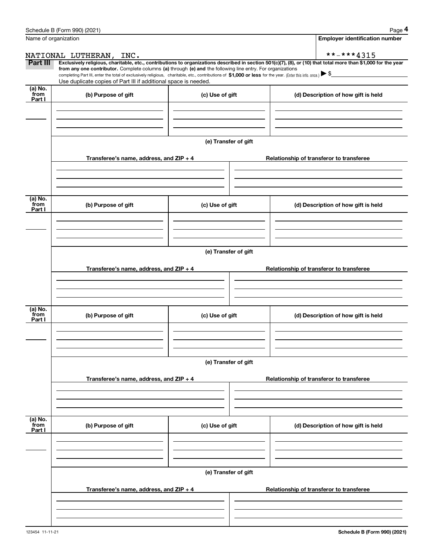|                           | Schedule B (Form 990) (2021)                                                                                                                                 |                      | Page 4                                                                                                                                                         |  |  |  |  |  |
|---------------------------|--------------------------------------------------------------------------------------------------------------------------------------------------------------|----------------------|----------------------------------------------------------------------------------------------------------------------------------------------------------------|--|--|--|--|--|
|                           | Name of organization                                                                                                                                         |                      | <b>Employer identification number</b>                                                                                                                          |  |  |  |  |  |
|                           | NATIONAL LUTHERAN, INC.                                                                                                                                      |                      | **-***4315                                                                                                                                                     |  |  |  |  |  |
| Part III                  | from any one contributor. Complete columns (a) through (e) and the following line entry. For organizations                                                   |                      | Exclusively religious, charitable, etc., contributions to organizations described in section 501(c)(7), (8), or (10) that total more than \$1,000 for the year |  |  |  |  |  |
|                           | completing Part III, enter the total of exclusively religious, charitable, etc., contributions of \$1,000 or less for the year. (Enter this info. once.) \\$ |                      |                                                                                                                                                                |  |  |  |  |  |
| (a) No.                   | Use duplicate copies of Part III if additional space is needed.                                                                                              |                      |                                                                                                                                                                |  |  |  |  |  |
| from<br>Part I            | (b) Purpose of gift                                                                                                                                          | (c) Use of gift      | (d) Description of how gift is held                                                                                                                            |  |  |  |  |  |
|                           |                                                                                                                                                              |                      |                                                                                                                                                                |  |  |  |  |  |
|                           |                                                                                                                                                              |                      |                                                                                                                                                                |  |  |  |  |  |
|                           |                                                                                                                                                              |                      |                                                                                                                                                                |  |  |  |  |  |
|                           |                                                                                                                                                              | (e) Transfer of gift |                                                                                                                                                                |  |  |  |  |  |
|                           | Transferee's name, address, and ZIP + 4                                                                                                                      |                      | Relationship of transferor to transferee                                                                                                                       |  |  |  |  |  |
|                           |                                                                                                                                                              |                      |                                                                                                                                                                |  |  |  |  |  |
|                           |                                                                                                                                                              |                      |                                                                                                                                                                |  |  |  |  |  |
|                           |                                                                                                                                                              |                      |                                                                                                                                                                |  |  |  |  |  |
| (a) No.<br>from           | (b) Purpose of gift                                                                                                                                          | (c) Use of gift      | (d) Description of how gift is held                                                                                                                            |  |  |  |  |  |
| Part I                    |                                                                                                                                                              |                      |                                                                                                                                                                |  |  |  |  |  |
|                           |                                                                                                                                                              |                      |                                                                                                                                                                |  |  |  |  |  |
|                           |                                                                                                                                                              |                      |                                                                                                                                                                |  |  |  |  |  |
|                           |                                                                                                                                                              | (e) Transfer of gift |                                                                                                                                                                |  |  |  |  |  |
|                           |                                                                                                                                                              |                      |                                                                                                                                                                |  |  |  |  |  |
|                           | Transferee's name, address, and ZIP + 4                                                                                                                      |                      | Relationship of transferor to transferee                                                                                                                       |  |  |  |  |  |
|                           |                                                                                                                                                              |                      |                                                                                                                                                                |  |  |  |  |  |
|                           |                                                                                                                                                              |                      |                                                                                                                                                                |  |  |  |  |  |
| (a) No.<br>from           |                                                                                                                                                              |                      |                                                                                                                                                                |  |  |  |  |  |
| Part I                    | (b) Purpose of gift                                                                                                                                          | (c) Use of gift      | (d) Description of how gift is held                                                                                                                            |  |  |  |  |  |
|                           |                                                                                                                                                              |                      |                                                                                                                                                                |  |  |  |  |  |
|                           |                                                                                                                                                              |                      |                                                                                                                                                                |  |  |  |  |  |
|                           |                                                                                                                                                              |                      |                                                                                                                                                                |  |  |  |  |  |
|                           |                                                                                                                                                              | (e) Transfer of gift |                                                                                                                                                                |  |  |  |  |  |
|                           | Transferee's name, address, and ZIP + 4                                                                                                                      |                      | Relationship of transferor to transferee                                                                                                                       |  |  |  |  |  |
|                           |                                                                                                                                                              |                      |                                                                                                                                                                |  |  |  |  |  |
|                           |                                                                                                                                                              |                      |                                                                                                                                                                |  |  |  |  |  |
|                           |                                                                                                                                                              |                      |                                                                                                                                                                |  |  |  |  |  |
| (a) No.<br>from<br>Part I | (b) Purpose of gift                                                                                                                                          | (c) Use of gift      | (d) Description of how gift is held                                                                                                                            |  |  |  |  |  |
|                           |                                                                                                                                                              |                      |                                                                                                                                                                |  |  |  |  |  |
|                           |                                                                                                                                                              |                      |                                                                                                                                                                |  |  |  |  |  |
|                           |                                                                                                                                                              |                      |                                                                                                                                                                |  |  |  |  |  |
|                           |                                                                                                                                                              | (e) Transfer of gift |                                                                                                                                                                |  |  |  |  |  |
|                           | Transferee's name, address, and $ZIP + 4$                                                                                                                    |                      | Relationship of transferor to transferee                                                                                                                       |  |  |  |  |  |
|                           |                                                                                                                                                              |                      |                                                                                                                                                                |  |  |  |  |  |
|                           |                                                                                                                                                              |                      |                                                                                                                                                                |  |  |  |  |  |
|                           |                                                                                                                                                              |                      |                                                                                                                                                                |  |  |  |  |  |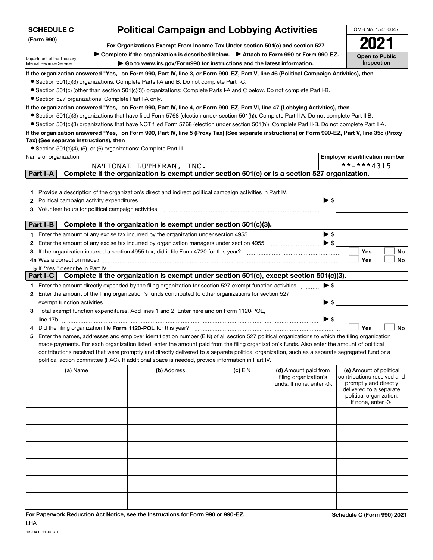| <b>SCHEDULE C</b>                                                                           | <b>Political Campaign and Lobbying Activities</b>                      | OMB No. 1545-0047                                                                                                                                                                                                                                  |         |                                               |                          |                                                       |
|---------------------------------------------------------------------------------------------|------------------------------------------------------------------------|----------------------------------------------------------------------------------------------------------------------------------------------------------------------------------------------------------------------------------------------------|---------|-----------------------------------------------|--------------------------|-------------------------------------------------------|
| (Form 990)<br>For Organizations Exempt From Income Tax Under section 501(c) and section 527 |                                                                        |                                                                                                                                                                                                                                                    |         |                                               |                          |                                                       |
|                                                                                             |                                                                        | ▶ Complete if the organization is described below. ▶ Attach to Form 990 or Form 990-EZ.                                                                                                                                                            |         |                                               |                          | <b>Open to Public</b>                                 |
| Department of the Treasury<br>Internal Revenue Service                                      | Go to www.irs.gov/Form990 for instructions and the latest information. |                                                                                                                                                                                                                                                    |         |                                               |                          |                                                       |
|                                                                                             |                                                                        | If the organization answered "Yes," on Form 990, Part IV, line 3, or Form 990-EZ, Part V, line 46 (Political Campaign Activities), then                                                                                                            |         |                                               |                          |                                                       |
|                                                                                             |                                                                        | • Section 501(c)(3) organizations: Complete Parts I-A and B. Do not complete Part I-C.                                                                                                                                                             |         |                                               |                          |                                                       |
|                                                                                             |                                                                        | • Section 501(c) (other than section 501(c)(3)) organizations: Complete Parts I-A and C below. Do not complete Part I-B.                                                                                                                           |         |                                               |                          |                                                       |
| • Section 527 organizations: Complete Part I-A only.                                        |                                                                        |                                                                                                                                                                                                                                                    |         |                                               |                          |                                                       |
|                                                                                             |                                                                        | If the organization answered "Yes," on Form 990, Part IV, line 4, or Form 990-EZ, Part VI, line 47 (Lobbying Activities), then                                                                                                                     |         |                                               |                          |                                                       |
|                                                                                             |                                                                        | • Section 501(c)(3) organizations that have filed Form 5768 (election under section 501(h)): Complete Part II-A. Do not complete Part II-B.                                                                                                        |         |                                               |                          |                                                       |
|                                                                                             |                                                                        | • Section 501(c)(3) organizations that have NOT filed Form 5768 (election under section 501(h)): Complete Part II-B. Do not complete Part II-A.                                                                                                    |         |                                               |                          |                                                       |
|                                                                                             |                                                                        | If the organization answered "Yes," on Form 990, Part IV, line 5 (Proxy Tax) (See separate instructions) or Form 990-EZ, Part V, line 35c (Proxy                                                                                                   |         |                                               |                          |                                                       |
| Tax) (See separate instructions), then                                                      |                                                                        |                                                                                                                                                                                                                                                    |         |                                               |                          |                                                       |
| Name of organization                                                                        |                                                                        | • Section 501(c)(4), (5), or (6) organizations: Complete Part III.                                                                                                                                                                                 |         |                                               |                          |                                                       |
|                                                                                             |                                                                        |                                                                                                                                                                                                                                                    |         |                                               |                          | <b>Employer identification number</b><br>**-***4315   |
| Part I-A                                                                                    |                                                                        | NATIONAL LUTHERAN, INC.<br>Complete if the organization is exempt under section 501(c) or is a section 527 organization.                                                                                                                           |         |                                               |                          |                                                       |
|                                                                                             |                                                                        |                                                                                                                                                                                                                                                    |         |                                               |                          |                                                       |
|                                                                                             |                                                                        | 1 Provide a description of the organization's direct and indirect political campaign activities in Part IV.                                                                                                                                        |         |                                               |                          |                                                       |
| Political campaign activity expenditures<br>2                                               |                                                                        |                                                                                                                                                                                                                                                    |         |                                               |                          | $\triangleright$ \$                                   |
| 3 Volunteer hours for political campaign activities                                         |                                                                        |                                                                                                                                                                                                                                                    |         |                                               |                          |                                                       |
|                                                                                             |                                                                        |                                                                                                                                                                                                                                                    |         |                                               |                          |                                                       |
| Part I-B                                                                                    |                                                                        | Complete if the organization is exempt under section 501(c)(3).                                                                                                                                                                                    |         |                                               |                          |                                                       |
|                                                                                             |                                                                        | 1 Enter the amount of any excise tax incurred by the organization under section 4955                                                                                                                                                               |         | $\bullet \mathsf{s}$                          |                          |                                                       |
|                                                                                             |                                                                        |                                                                                                                                                                                                                                                    |         |                                               |                          |                                                       |
|                                                                                             |                                                                        |                                                                                                                                                                                                                                                    |         |                                               |                          | Yes<br>No                                             |
|                                                                                             |                                                                        |                                                                                                                                                                                                                                                    |         |                                               |                          | Yes<br>No                                             |
| <b>b</b> If "Yes," describe in Part IV.                                                     |                                                                        |                                                                                                                                                                                                                                                    |         |                                               |                          |                                                       |
|                                                                                             |                                                                        | Part I-C Complete if the organization is exempt under section 501(c), except section 501(c)(3).                                                                                                                                                    |         |                                               |                          |                                                       |
|                                                                                             |                                                                        | 1 Enter the amount directly expended by the filing organization for section 527 exempt function activities                                                                                                                                         |         |                                               | $\blacktriangleright$ \$ |                                                       |
|                                                                                             |                                                                        | 2 Enter the amount of the filing organization's funds contributed to other organizations for section 527                                                                                                                                           |         |                                               |                          |                                                       |
| exempt function activities                                                                  |                                                                        |                                                                                                                                                                                                                                                    |         |                                               | $\blacktriangleright$ \$ |                                                       |
|                                                                                             |                                                                        | 3 Total exempt function expenditures. Add lines 1 and 2. Enter here and on Form 1120-POL,                                                                                                                                                          |         |                                               |                          |                                                       |
|                                                                                             |                                                                        |                                                                                                                                                                                                                                                    |         |                                               | $\triangleright$ \$      |                                                       |
|                                                                                             |                                                                        | Did the filing organization file Form 1120-POL for this year?                                                                                                                                                                                      |         |                                               |                          | Yes<br><b>No</b>                                      |
|                                                                                             |                                                                        | 5 Enter the names, addresses and employer identification number (EIN) of all section 527 political organizations to which the filing organization                                                                                                  |         |                                               |                          |                                                       |
|                                                                                             |                                                                        | made payments. For each organization listed, enter the amount paid from the filing organization's funds. Also enter the amount of political                                                                                                        |         |                                               |                          |                                                       |
|                                                                                             |                                                                        | contributions received that were promptly and directly delivered to a separate political organization, such as a separate segregated fund or a<br>political action committee (PAC). If additional space is needed, provide information in Part IV. |         |                                               |                          |                                                       |
|                                                                                             |                                                                        |                                                                                                                                                                                                                                                    |         |                                               |                          |                                                       |
| (a) Name                                                                                    |                                                                        | (b) Address                                                                                                                                                                                                                                        | (c) EIN | (d) Amount paid from<br>filing organization's |                          | (e) Amount of political<br>contributions received and |
|                                                                                             |                                                                        |                                                                                                                                                                                                                                                    |         | funds. If none, enter -0-.                    |                          | promptly and directly                                 |
|                                                                                             |                                                                        |                                                                                                                                                                                                                                                    |         |                                               |                          | delivered to a separate<br>political organization.    |
|                                                                                             |                                                                        |                                                                                                                                                                                                                                                    |         |                                               |                          | If none, enter -0-.                                   |
|                                                                                             |                                                                        |                                                                                                                                                                                                                                                    |         |                                               |                          |                                                       |
|                                                                                             |                                                                        |                                                                                                                                                                                                                                                    |         |                                               |                          |                                                       |
|                                                                                             |                                                                        |                                                                                                                                                                                                                                                    |         |                                               |                          |                                                       |
|                                                                                             |                                                                        |                                                                                                                                                                                                                                                    |         |                                               |                          |                                                       |
|                                                                                             |                                                                        |                                                                                                                                                                                                                                                    |         |                                               |                          |                                                       |
|                                                                                             |                                                                        |                                                                                                                                                                                                                                                    |         |                                               |                          |                                                       |
|                                                                                             |                                                                        |                                                                                                                                                                                                                                                    |         |                                               |                          |                                                       |
|                                                                                             |                                                                        |                                                                                                                                                                                                                                                    |         |                                               |                          |                                                       |
|                                                                                             |                                                                        |                                                                                                                                                                                                                                                    |         |                                               |                          |                                                       |
|                                                                                             |                                                                        |                                                                                                                                                                                                                                                    |         |                                               |                          |                                                       |
|                                                                                             |                                                                        |                                                                                                                                                                                                                                                    |         |                                               |                          |                                                       |
|                                                                                             |                                                                        |                                                                                                                                                                                                                                                    |         |                                               |                          |                                                       |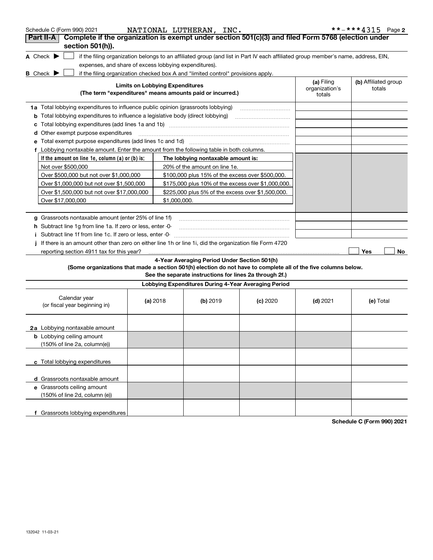| Schedule C (Form 990) 2021                                                                                                          |                                        | NATIONAL LUTHERAN, INC.                                                          |                                                                                                                                   |                                        | **-***4315 Page 2              |
|-------------------------------------------------------------------------------------------------------------------------------------|----------------------------------------|----------------------------------------------------------------------------------|-----------------------------------------------------------------------------------------------------------------------------------|----------------------------------------|--------------------------------|
| Complete if the organization is exempt under section 501(c)(3) and filed Form 5768 (election under<br>Part II-A<br>section 501(h)). |                                        |                                                                                  |                                                                                                                                   |                                        |                                |
| A Check $\blacktriangleright$                                                                                                       |                                        |                                                                                  | if the filing organization belongs to an affiliated group (and list in Part IV each affiliated group member's name, address, EIN, |                                        |                                |
| expenses, and share of excess lobbying expenditures).                                                                               |                                        |                                                                                  |                                                                                                                                   |                                        |                                |
| <b>B</b> Check $\blacktriangleright$                                                                                                |                                        | if the filing organization checked box A and "limited control" provisions apply. |                                                                                                                                   |                                        |                                |
|                                                                                                                                     | <b>Limits on Lobbying Expenditures</b> | (The term "expenditures" means amounts paid or incurred.)                        |                                                                                                                                   | (a) Filing<br>organization's<br>totals | (b) Affiliated group<br>totals |
| 1a Total lobbying expenditures to influence public opinion (grassroots lobbying)                                                    |                                        |                                                                                  |                                                                                                                                   |                                        |                                |
| <b>b</b> Total lobbying expenditures to influence a legislative body (direct lobbying)                                              |                                        |                                                                                  |                                                                                                                                   |                                        |                                |
|                                                                                                                                     |                                        |                                                                                  |                                                                                                                                   |                                        |                                |
| <b>d</b> Other exempt purpose expenditures                                                                                          |                                        |                                                                                  |                                                                                                                                   |                                        |                                |
|                                                                                                                                     |                                        |                                                                                  |                                                                                                                                   |                                        |                                |
| Lobbying nontaxable amount. Enter the amount from the following table in both columns.<br>f                                         |                                        |                                                                                  |                                                                                                                                   |                                        |                                |
| If the amount on line 1e, column $(a)$ or $(b)$ is:                                                                                 |                                        | The lobbying nontaxable amount is:                                               |                                                                                                                                   |                                        |                                |
| Not over \$500,000                                                                                                                  |                                        | 20% of the amount on line 1e.                                                    |                                                                                                                                   |                                        |                                |
| Over \$500,000 but not over \$1,000,000                                                                                             |                                        | \$100,000 plus 15% of the excess over \$500,000.                                 |                                                                                                                                   |                                        |                                |
| Over \$1,000,000 but not over \$1,500,000                                                                                           |                                        | \$175,000 plus 10% of the excess over \$1,000,000.                               |                                                                                                                                   |                                        |                                |
| Over \$1,500,000 but not over \$17,000,000                                                                                          |                                        | \$225,000 plus 5% of the excess over \$1,500,000.                                |                                                                                                                                   |                                        |                                |
| Over \$17,000,000                                                                                                                   |                                        | \$1,000,000.                                                                     |                                                                                                                                   |                                        |                                |
|                                                                                                                                     |                                        |                                                                                  |                                                                                                                                   |                                        |                                |
| g Grassroots nontaxable amount (enter 25% of line 1f)                                                                               |                                        |                                                                                  |                                                                                                                                   |                                        |                                |
| <b>h</b> Subtract line 1g from line 1a. If zero or less, enter 0-                                                                   |                                        |                                                                                  |                                                                                                                                   |                                        |                                |
| Subtract line 1f from line 1c. If zero or less, enter 0                                                                             |                                        |                                                                                  |                                                                                                                                   |                                        |                                |
| If there is an amount other than zero on either line 1h or line 1i, did the organization file Form 4720                             |                                        |                                                                                  |                                                                                                                                   |                                        |                                |
| reporting section 4911 tax for this year?                                                                                           |                                        |                                                                                  |                                                                                                                                   |                                        | Yes<br>No                      |
|                                                                                                                                     |                                        | 4-Year Averaging Period Under Section 501(h)                                     |                                                                                                                                   |                                        |                                |
| (Some organizations that made a section 501(h) election do not have to complete all of the five columns below.                      |                                        | See the separate instructions for lines 2a through 2f.)                          |                                                                                                                                   |                                        |                                |
|                                                                                                                                     |                                        | Lobbying Expenditures During 4-Year Averaging Period                             |                                                                                                                                   |                                        |                                |
| Calendar year<br>(or fiscal year beginning in)                                                                                      | (a) 2018                               | (b) 2019                                                                         | $(c)$ 2020                                                                                                                        | $(d)$ 2021                             | (e) Total                      |
| 2a Lobbying nontaxable amount                                                                                                       |                                        |                                                                                  |                                                                                                                                   |                                        |                                |
| <b>b</b> Lobbying ceiling amount<br>(150% of line 2a, column(e))                                                                    |                                        |                                                                                  |                                                                                                                                   |                                        |                                |
| c Total lobbying expenditures                                                                                                       |                                        |                                                                                  |                                                                                                                                   |                                        |                                |
| d Grassroots nontaxable amount                                                                                                      |                                        |                                                                                  |                                                                                                                                   |                                        |                                |
| e Grassroots ceiling amount<br>(150% of line 2d, column (e))                                                                        |                                        |                                                                                  |                                                                                                                                   |                                        |                                |
| f Grassroots lobbying expenditures                                                                                                  |                                        |                                                                                  |                                                                                                                                   | Sabadula C (Farm 000) 2021             |                                |

**Schedule C (Form 990) 2021**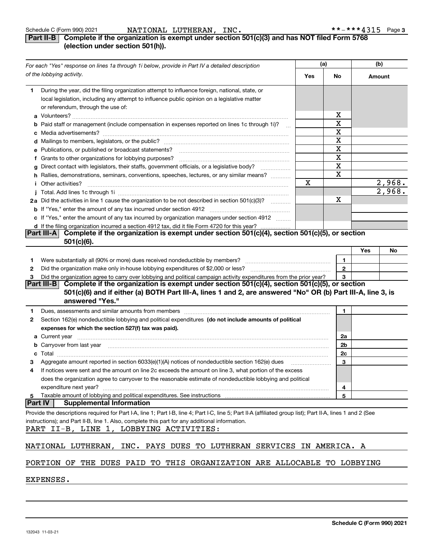#### **Part II-B Complete if the organization is exempt under section 501(c)(3) and has NOT filed Form 5768 (election under section 501(h)).**

|         | For each "Yes" response on lines 1a through 1i below, provide in Part IV a detailed description                                                                                                                                     | (a) |              |     | (b)    |
|---------|-------------------------------------------------------------------------------------------------------------------------------------------------------------------------------------------------------------------------------------|-----|--------------|-----|--------|
|         | of the lobbying activity.                                                                                                                                                                                                           | Yes | No           |     | Amount |
| 1.      | During the year, did the filing organization attempt to influence foreign, national, state, or                                                                                                                                      |     |              |     |        |
|         | local legislation, including any attempt to influence public opinion on a legislative matter<br>or referendum, through the use of:                                                                                                  |     |              |     |        |
|         |                                                                                                                                                                                                                                     |     | x            |     |        |
|         | b Paid staff or management (include compensation in expenses reported on lines 1c through 1i)?                                                                                                                                      |     | X            |     |        |
|         | $\sim$                                                                                                                                                                                                                              |     | X            |     |        |
|         |                                                                                                                                                                                                                                     |     | X            |     |        |
|         | e Publications, or published or broadcast statements?                                                                                                                                                                               |     | X            |     |        |
|         | f Grants to other organizations for lobbying purposes?                                                                                                                                                                              |     | X            |     |        |
|         | g Direct contact with legislators, their staffs, government officials, or a legislative body?                                                                                                                                       |     | X            |     |        |
|         | h Rallies, demonstrations, seminars, conventions, speeches, lectures, or any similar means?                                                                                                                                         |     | X            |     |        |
|         | <i>i</i> Other activities?                                                                                                                                                                                                          | X   |              |     | 2,968. |
|         |                                                                                                                                                                                                                                     |     |              |     | 2,968. |
|         | 2a Did the activities in line 1 cause the organization to be not described in section 501(c)(3)?                                                                                                                                    |     | х            |     |        |
|         |                                                                                                                                                                                                                                     |     |              |     |        |
|         | c If "Yes," enter the amount of any tax incurred by organization managers under section 4912                                                                                                                                        |     |              |     |        |
|         | d If the filing organization incurred a section 4912 tax, did it file Form 4720 for this year?                                                                                                                                      |     |              |     |        |
|         | Complete if the organization is exempt under section 501(c)(4), section 501(c)(5), or section<br> Part III-A                                                                                                                        |     |              |     |        |
|         | $501(c)(6)$ .                                                                                                                                                                                                                       |     |              |     |        |
|         |                                                                                                                                                                                                                                     |     |              | Yes | No     |
| 1.      |                                                                                                                                                                                                                                     |     | 1            |     |        |
| 2       |                                                                                                                                                                                                                                     |     | $\mathbf{2}$ |     |        |
| 3       | Did the organization agree to carry over lobbying and political campaign activity expenditures from the prior year?                                                                                                                 |     | 3            |     |        |
|         | Part III-B Complete if the organization is exempt under section 501(c)(4), section 501(c)(5), or section                                                                                                                            |     |              |     |        |
|         | 501(c)(6) and if either (a) BOTH Part III-A, lines 1 and 2, are answered "No" OR (b) Part III-A, line 3, is                                                                                                                         |     |              |     |        |
|         | answered "Yes."                                                                                                                                                                                                                     |     |              |     |        |
| 1.      | Dues, assessments and similar amounts from members [11] matter content to the state of the state of the state of the state of the state of the state of the state of the state of the state of the state of the state of the s      |     | 1.           |     |        |
| 2       | Section 162(e) nondeductible lobbying and political expenditures (do not include amounts of political                                                                                                                               |     |              |     |        |
|         | expenses for which the section 527(f) tax was paid).                                                                                                                                                                                |     |              |     |        |
|         | <b>a</b> Current year                                                                                                                                                                                                               |     | 2a           |     |        |
|         | <b>b</b> Carryover from last year manufactured and contain the control of the control of the control of the control of the control of the control of the control of the control of the control of the control of the control of the |     | 2b           |     |        |
| c       |                                                                                                                                                                                                                                     |     | 2c           |     |        |
| з       | Aggregate amount reported in section 6033(e)(1)(A) notices of nondeductible section 162(e) dues                                                                                                                                     |     | 3            |     |        |
| 4       | If notices were sent and the amount on line 2c exceeds the amount on line 3, what portion of the excess                                                                                                                             |     |              |     |        |
|         | does the organization agree to carryover to the reasonable estimate of nondeductible lobbying and political                                                                                                                         |     |              |     |        |
|         | expenditure next year?                                                                                                                                                                                                              |     | 4            |     |        |
| 5       | Taxable amount of lobbying and political expenditures. See instructions                                                                                                                                                             |     | 5            |     |        |
| Part IV | <b>Supplemental Information</b>                                                                                                                                                                                                     |     |              |     |        |
|         | Provide the descriptions required for Part I-A, line 1; Part I-B, line 4; Part I-C, line 5; Part II-A (affiliated group list); Part II-A, lines 1 and 2 (See                                                                        |     |              |     |        |
|         | instructions); and Part II-B, line 1. Also, complete this part for any additional information.                                                                                                                                      |     |              |     |        |
|         | PART II-B, LINE 1, LOBBYING ACTIVITIES:                                                                                                                                                                                             |     |              |     |        |
|         |                                                                                                                                                                                                                                     |     |              |     |        |
|         | NATIONAL LUTHERAN, INC. PAYS DUES TO LUTHERAN SERVICES IN AMERICA. A                                                                                                                                                                |     |              |     |        |
|         | PORTION OF THE DUES PAID TO THIS ORGANIZATION ARE ALLOCABLE TO LOBBYING                                                                                                                                                             |     |              |     |        |
|         |                                                                                                                                                                                                                                     |     |              |     |        |

EXPENSES.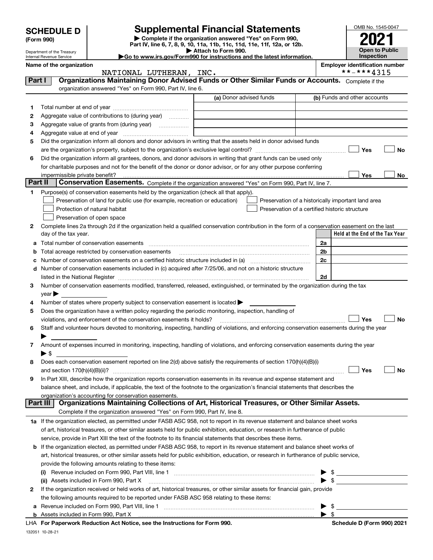|         |                                                        |                                                                                                        |                                                                                                                                                                                                                                               |                | OMB No. 1545-0047                     |  |
|---------|--------------------------------------------------------|--------------------------------------------------------------------------------------------------------|-----------------------------------------------------------------------------------------------------------------------------------------------------------------------------------------------------------------------------------------------|----------------|---------------------------------------|--|
|         | <b>SCHEDULE D</b>                                      |                                                                                                        | <b>Supplemental Financial Statements</b>                                                                                                                                                                                                      |                |                                       |  |
|         | (Form 990)                                             |                                                                                                        | Complete if the organization answered "Yes" on Form 990,<br>Part IV, line 6, 7, 8, 9, 10, 11a, 11b, 11c, 11d, 11e, 11f, 12a, or 12b.                                                                                                          |                |                                       |  |
|         | Department of the Treasury<br>Internal Revenue Service |                                                                                                        | Attach to Form 990.<br>Go to www.irs.gov/Form990 for instructions and the latest information.                                                                                                                                                 |                | <b>Open to Public</b><br>Inspection   |  |
|         | Name of the organization                               |                                                                                                        |                                                                                                                                                                                                                                               |                | <b>Employer identification number</b> |  |
|         |                                                        | NATIONAL LUTHERAN, INC.                                                                                |                                                                                                                                                                                                                                               |                | **-***4315                            |  |
| Part I  |                                                        |                                                                                                        | Organizations Maintaining Donor Advised Funds or Other Similar Funds or Accounts. Complete if the                                                                                                                                             |                |                                       |  |
|         |                                                        | organization answered "Yes" on Form 990, Part IV, line 6.                                              |                                                                                                                                                                                                                                               |                |                                       |  |
|         |                                                        |                                                                                                        | (a) Donor advised funds                                                                                                                                                                                                                       |                | (b) Funds and other accounts          |  |
| 1       |                                                        |                                                                                                        |                                                                                                                                                                                                                                               |                |                                       |  |
| 2       |                                                        | Aggregate value of contributions to (during year)                                                      |                                                                                                                                                                                                                                               |                |                                       |  |
| 3<br>4  |                                                        |                                                                                                        |                                                                                                                                                                                                                                               |                |                                       |  |
| 5       |                                                        |                                                                                                        | Did the organization inform all donors and donor advisors in writing that the assets held in donor advised funds                                                                                                                              |                |                                       |  |
|         |                                                        |                                                                                                        |                                                                                                                                                                                                                                               |                | Yes<br>No                             |  |
| 6       |                                                        |                                                                                                        | Did the organization inform all grantees, donors, and donor advisors in writing that grant funds can be used only                                                                                                                             |                |                                       |  |
|         |                                                        |                                                                                                        | for charitable purposes and not for the benefit of the donor or donor advisor, or for any other purpose conferring                                                                                                                            |                |                                       |  |
|         | impermissible private benefit?                         |                                                                                                        |                                                                                                                                                                                                                                               |                | Yes<br>No                             |  |
| Part II |                                                        |                                                                                                        | Conservation Easements. Complete if the organization answered "Yes" on Form 990, Part IV, line 7.                                                                                                                                             |                |                                       |  |
| 1       |                                                        | Purpose(s) of conservation easements held by the organization (check all that apply).                  |                                                                                                                                                                                                                                               |                |                                       |  |
|         |                                                        | Preservation of land for public use (for example, recreation or education)                             | Preservation of a historically important land area                                                                                                                                                                                            |                |                                       |  |
|         |                                                        | Protection of natural habitat                                                                          | Preservation of a certified historic structure                                                                                                                                                                                                |                |                                       |  |
|         |                                                        | Preservation of open space                                                                             |                                                                                                                                                                                                                                               |                |                                       |  |
| 2       | day of the tax year.                                   |                                                                                                        | Complete lines 2a through 2d if the organization held a qualified conservation contribution in the form of a conservation easement on the last                                                                                                |                | Held at the End of the Tax Year       |  |
|         |                                                        | a Total number of conservation easements                                                               |                                                                                                                                                                                                                                               | 2a             |                                       |  |
| b       |                                                        | Total acreage restricted by conservation easements                                                     |                                                                                                                                                                                                                                               | 2 <sub>b</sub> |                                       |  |
| c       |                                                        |                                                                                                        |                                                                                                                                                                                                                                               | 2c             |                                       |  |
| d       |                                                        |                                                                                                        | Number of conservation easements included in (c) acquired after 7/25/06, and not on a historic structure                                                                                                                                      |                |                                       |  |
|         |                                                        |                                                                                                        | listed in the National Register [111] Marshall Register [11] Marshall Register [11] Marshall Register [11] Marshall Register [11] Marshall Register [11] Marshall Register [11] Marshall Register [11] Marshall Register [11]                 | 2d             |                                       |  |
| 3       |                                                        |                                                                                                        | Number of conservation easements modified, transferred, released, extinguished, or terminated by the organization during the tax                                                                                                              |                |                                       |  |
|         | $year \blacktriangleright$                             |                                                                                                        |                                                                                                                                                                                                                                               |                |                                       |  |
| 4       |                                                        | Number of states where property subject to conservation easement is located                            |                                                                                                                                                                                                                                               |                |                                       |  |
| 5       |                                                        | Does the organization have a written policy regarding the periodic monitoring, inspection, handling of |                                                                                                                                                                                                                                               |                |                                       |  |
|         |                                                        | violations, and enforcement of the conservation easements it holds?                                    |                                                                                                                                                                                                                                               |                | <b>No</b><br>Yes                      |  |
| 6       |                                                        |                                                                                                        | Staff and volunteer hours devoted to monitoring, inspecting, handling of violations, and enforcing conservation easements during the year                                                                                                     |                |                                       |  |
| 7       |                                                        |                                                                                                        | Amount of expenses incurred in monitoring, inspecting, handling of violations, and enforcing conservation easements during the year                                                                                                           |                |                                       |  |
|         | $\blacktriangleright$ \$                               |                                                                                                        |                                                                                                                                                                                                                                               |                |                                       |  |
| 8       |                                                        |                                                                                                        | Does each conservation easement reported on line 2(d) above satisfy the requirements of section 170(h)(4)(B)(i)                                                                                                                               |                |                                       |  |
|         |                                                        |                                                                                                        |                                                                                                                                                                                                                                               |                | Yes<br>No                             |  |
| 9       |                                                        |                                                                                                        | In Part XIII, describe how the organization reports conservation easements in its revenue and expense statement and                                                                                                                           |                |                                       |  |
|         |                                                        |                                                                                                        | balance sheet, and include, if applicable, the text of the footnote to the organization's financial statements that describes the                                                                                                             |                |                                       |  |
|         |                                                        | organization's accounting for conservation easements.                                                  |                                                                                                                                                                                                                                               |                |                                       |  |
|         | Part III                                               |                                                                                                        | Organizations Maintaining Collections of Art, Historical Treasures, or Other Similar Assets.                                                                                                                                                  |                |                                       |  |
|         |                                                        | Complete if the organization answered "Yes" on Form 990, Part IV, line 8.                              |                                                                                                                                                                                                                                               |                |                                       |  |
|         |                                                        |                                                                                                        | 1a If the organization elected, as permitted under FASB ASC 958, not to report in its revenue statement and balance sheet works                                                                                                               |                |                                       |  |
|         |                                                        |                                                                                                        | of art, historical treasures, or other similar assets held for public exhibition, education, or research in furtherance of public                                                                                                             |                |                                       |  |
| b       |                                                        |                                                                                                        | service, provide in Part XIII the text of the footnote to its financial statements that describes these items.<br>If the organization elected, as permitted under FASB ASC 958, to report in its revenue statement and balance sheet works of |                |                                       |  |
|         |                                                        |                                                                                                        | art, historical treasures, or other similar assets held for public exhibition, education, or research in furtherance of public service,                                                                                                       |                |                                       |  |
|         |                                                        | provide the following amounts relating to these items:                                                 |                                                                                                                                                                                                                                               |                |                                       |  |
|         |                                                        |                                                                                                        |                                                                                                                                                                                                                                               |                |                                       |  |
|         |                                                        |                                                                                                        |                                                                                                                                                                                                                                               |                | $\bullet$ \$                          |  |
| 2       |                                                        |                                                                                                        | If the organization received or held works of art, historical treasures, or other similar assets for financial gain, provide                                                                                                                  |                |                                       |  |
|         |                                                        | the following amounts required to be reported under FASB ASC 958 relating to these items:              |                                                                                                                                                                                                                                               |                |                                       |  |
|         | -\$                                                    |                                                                                                        |                                                                                                                                                                                                                                               |                |                                       |  |

| 990<br>$Part \wedge$<br>Form.<br>uncluded in F<br>Accatc<br>າວວອເວ |  |
|--------------------------------------------------------------------|--|
|                                                                    |  |

132051 10-28-21 **For Paperwork Reduction Act Notice, see the Instructions for Form 990. Schedule D (Form 990) 2021** LHA

Schedule D (Form 990) 2021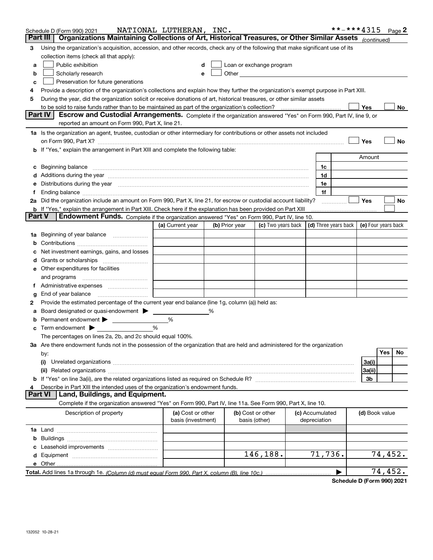|          | Schedule D (Form 990) 2021                                                                                                                                                                                                     | NATIONAL LUTHERAN, INC. |   |                |                                                   |                                                          | **-***4315 |                |         | Page $2$ |
|----------|--------------------------------------------------------------------------------------------------------------------------------------------------------------------------------------------------------------------------------|-------------------------|---|----------------|---------------------------------------------------|----------------------------------------------------------|------------|----------------|---------|----------|
| Part III | Organizations Maintaining Collections of Art, Historical Treasures, or Other Similar Assets (continued)                                                                                                                        |                         |   |                |                                                   |                                                          |            |                |         |          |
| 3        | Using the organization's acquisition, accession, and other records, check any of the following that make significant use of its                                                                                                |                         |   |                |                                                   |                                                          |            |                |         |          |
|          | collection items (check all that apply):                                                                                                                                                                                       |                         |   |                |                                                   |                                                          |            |                |         |          |
| a        | Public exhibition                                                                                                                                                                                                              |                         |   |                | Loan or exchange program                          |                                                          |            |                |         |          |
| b        | Scholarly research                                                                                                                                                                                                             | e                       |   |                | Other <u>with the contract of the contract of</u> |                                                          |            |                |         |          |
| c        | Preservation for future generations                                                                                                                                                                                            |                         |   |                |                                                   |                                                          |            |                |         |          |
|          | Provide a description of the organization's collections and explain how they further the organization's exempt purpose in Part XIII.                                                                                           |                         |   |                |                                                   |                                                          |            |                |         |          |
| 5        | During the year, did the organization solicit or receive donations of art, historical treasures, or other similar assets                                                                                                       |                         |   |                |                                                   |                                                          |            |                |         |          |
|          | to be sold to raise funds rather than to be maintained as part of the organization's collection?                                                                                                                               |                         |   |                |                                                   |                                                          |            | Yes            |         | No       |
|          | Part IV<br>Escrow and Custodial Arrangements. Complete if the organization answered "Yes" on Form 990, Part IV, line 9, or                                                                                                     |                         |   |                |                                                   |                                                          |            |                |         |          |
|          | reported an amount on Form 990, Part X, line 21.                                                                                                                                                                               |                         |   |                |                                                   |                                                          |            |                |         |          |
|          | 1a Is the organization an agent, trustee, custodian or other intermediary for contributions or other assets not included                                                                                                       |                         |   |                |                                                   |                                                          |            |                |         |          |
|          | on Form 990, Part X? [11] matter contracts and contracts and contracts are contracted as a form 990, Part X?                                                                                                                   |                         |   |                |                                                   |                                                          |            | Yes            |         | No       |
|          | b If "Yes," explain the arrangement in Part XIII and complete the following table:                                                                                                                                             |                         |   |                |                                                   |                                                          |            | Amount         |         |          |
|          |                                                                                                                                                                                                                                |                         |   |                |                                                   |                                                          |            |                |         |          |
|          |                                                                                                                                                                                                                                |                         |   |                |                                                   | 1c<br>1d                                                 |            |                |         |          |
|          |                                                                                                                                                                                                                                |                         |   |                |                                                   | 1e                                                       |            |                |         |          |
|          | e Distributions during the year manufactured and continuum and contract the contract of the contract of the contract of the contract of the contract of the contract of the contract of the contract of the contract of the co |                         |   |                |                                                   | 1f                                                       |            |                |         |          |
|          | 2a Did the organization include an amount on Form 990, Part X, line 21, for escrow or custodial account liability?                                                                                                             |                         |   |                |                                                   |                                                          | .          | Yes            |         | No       |
|          | <b>b</b> If "Yes," explain the arrangement in Part XIII. Check here if the explanation has been provided on Part XIII                                                                                                          |                         |   |                |                                                   |                                                          |            |                |         |          |
| Part V   | <b>Endowment Funds.</b> Complete if the organization answered "Yes" on Form 990, Part IV, line 10.                                                                                                                             |                         |   |                |                                                   |                                                          |            |                |         |          |
|          |                                                                                                                                                                                                                                | (a) Current year        |   | (b) Prior year | (c) Two years back                                | $\vert$ (d) Three years back $\vert$ (e) Four years back |            |                |         |          |
|          | 1a Beginning of year balance                                                                                                                                                                                                   |                         |   |                |                                                   |                                                          |            |                |         |          |
|          |                                                                                                                                                                                                                                |                         |   |                |                                                   |                                                          |            |                |         |          |
|          | Net investment earnings, gains, and losses                                                                                                                                                                                     |                         |   |                |                                                   |                                                          |            |                |         |          |
|          |                                                                                                                                                                                                                                |                         |   |                |                                                   |                                                          |            |                |         |          |
|          | e Other expenditures for facilities                                                                                                                                                                                            |                         |   |                |                                                   |                                                          |            |                |         |          |
|          |                                                                                                                                                                                                                                |                         |   |                |                                                   |                                                          |            |                |         |          |
|          |                                                                                                                                                                                                                                |                         |   |                |                                                   |                                                          |            |                |         |          |
| g        | End of year balance                                                                                                                                                                                                            |                         |   |                |                                                   |                                                          |            |                |         |          |
| 2        | Provide the estimated percentage of the current year end balance (line 1g, column (a)) held as:                                                                                                                                |                         |   |                |                                                   |                                                          |            |                |         |          |
| а        | Board designated or quasi-endowment                                                                                                                                                                                            |                         | % |                |                                                   |                                                          |            |                |         |          |
|          | <b>b</b> Permanent endowment > <u>example</u>                                                                                                                                                                                  | %                       |   |                |                                                   |                                                          |            |                |         |          |
|          | Term endowment $\blacktriangleright$                                                                                                                                                                                           | %                       |   |                |                                                   |                                                          |            |                |         |          |
|          | The percentages on lines 2a, 2b, and 2c should equal 100%.                                                                                                                                                                     |                         |   |                |                                                   |                                                          |            |                |         |          |
|          | 3a Are there endowment funds not in the possession of the organization that are held and administered for the organization                                                                                                     |                         |   |                |                                                   |                                                          |            |                |         |          |
|          | by:                                                                                                                                                                                                                            |                         |   |                |                                                   |                                                          |            |                | Yes     | No       |
|          | (i)                                                                                                                                                                                                                            |                         |   |                |                                                   |                                                          |            | 3a(i)          |         |          |
|          |                                                                                                                                                                                                                                |                         |   |                |                                                   |                                                          |            | 3a(ii)         |         |          |
|          |                                                                                                                                                                                                                                |                         |   |                |                                                   |                                                          |            | 3b             |         |          |
|          | Describe in Part XIII the intended uses of the organization's endowment funds.<br><b>Part VI</b><br>Land, Buildings, and Equipment.                                                                                            |                         |   |                |                                                   |                                                          |            |                |         |          |
|          | Complete if the organization answered "Yes" on Form 990, Part IV, line 11a. See Form 990, Part X, line 10.                                                                                                                     |                         |   |                |                                                   |                                                          |            |                |         |          |
|          | Description of property                                                                                                                                                                                                        | (a) Cost or other       |   |                | (b) Cost or other                                 | (c) Accumulated                                          |            | (d) Book value |         |          |
|          |                                                                                                                                                                                                                                | basis (investment)      |   | basis (other)  |                                                   | depreciation                                             |            |                |         |          |
|          |                                                                                                                                                                                                                                |                         |   |                |                                                   |                                                          |            |                |         |          |
|          |                                                                                                                                                                                                                                |                         |   |                |                                                   |                                                          |            |                |         |          |
|          |                                                                                                                                                                                                                                |                         |   |                |                                                   |                                                          |            |                |         |          |
|          |                                                                                                                                                                                                                                |                         |   |                | 146,188.                                          | 71,736.                                                  |            |                | 74,452. |          |
|          | e Other                                                                                                                                                                                                                        |                         |   |                |                                                   |                                                          |            |                |         |          |
|          |                                                                                                                                                                                                                                |                         |   |                |                                                   |                                                          |            |                | 74,452. |          |
|          |                                                                                                                                                                                                                                |                         |   |                |                                                   |                                                          |            |                |         |          |

**Schedule D (Form 990) 2021**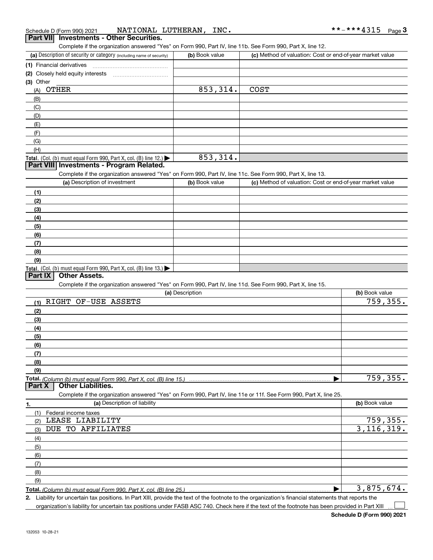| Schedule D (Form 990) 2021 |                                          | NATIONAL LUTHERAN, | INC. | **-***4315 | Page J |
|----------------------------|------------------------------------------|--------------------|------|------------|--------|
|                            | Part VII Investments - Other Securities. |                    |      |            |        |

| Part VIII Investments - Other Securities. |  |
|-------------------------------------------|--|
|                                           |  |

Complete if the organization answered "Yes" on Form 990, Part IV, line 11b. See Form 990, Part X, line 12.

| (a) Description of security or category (including name of security)                   | (b) Book value | (c) Method of valuation: Cost or end-of-year market value |
|----------------------------------------------------------------------------------------|----------------|-----------------------------------------------------------|
| (1) Financial derivatives                                                              |                |                                                           |
| (2) Closely held equity interests                                                      |                |                                                           |
| $(3)$ Other                                                                            |                |                                                           |
| OTHER<br>(A)                                                                           | 853,314.       | <b>COST</b>                                               |
| (B)                                                                                    |                |                                                           |
| (C)                                                                                    |                |                                                           |
| (D)                                                                                    |                |                                                           |
| (E)                                                                                    |                |                                                           |
| (F)                                                                                    |                |                                                           |
| (G)                                                                                    |                |                                                           |
| (H)                                                                                    |                |                                                           |
| Total. (Col. (b) must equal Form 990, Part X, col. (B) line 12.) $\blacktriangleright$ | 853,314.       |                                                           |

#### **Part VIII Investments - Program Related.**

Complete if the organization answered "Yes" on Form 990, Part IV, line 11c. See Form 990, Part X, line 13.

| (a) Description of investment                                    | (b) Book value | (c) Method of valuation: Cost or end-of-year market value |
|------------------------------------------------------------------|----------------|-----------------------------------------------------------|
| (1)                                                              |                |                                                           |
| (2)                                                              |                |                                                           |
| (3)                                                              |                |                                                           |
| (4)                                                              |                |                                                           |
| $\frac{1}{2}$                                                    |                |                                                           |
| (6)                                                              |                |                                                           |
| (7)                                                              |                |                                                           |
| (8)                                                              |                |                                                           |
| (9)                                                              |                |                                                           |
| Total. (Col. (b) must equal Form 990, Part X, col. (B) line 13.) |                |                                                           |

#### **Part IX Other Assets.**

Complete if the organization answered "Yes" on Form 990, Part IV, line 11d. See Form 990, Part X, line 15.

| (a) Description                                                                                                   | (b) Book value |
|-------------------------------------------------------------------------------------------------------------------|----------------|
| OF-USE ASSETS<br>RIGHT<br>(1)                                                                                     | 759,355.       |
| (2)                                                                                                               |                |
| (3)                                                                                                               |                |
| (4)                                                                                                               |                |
| (5)                                                                                                               |                |
| (6)                                                                                                               |                |
| (7)                                                                                                               |                |
| (8)                                                                                                               |                |
| (9)                                                                                                               |                |
| Total. (Column (b) must equal Form 990, Part X, col. (B) line 15.)                                                | 759,355.       |
| <b>Other Liabilities.</b><br>Part X                                                                               |                |
| Complete if the organization answered "Yes" on Form 990, Part IV, line 11e or 11f. See Form 990, Part X, line 25. |                |
| (a) Description of liability<br>1.                                                                                | (b) Book value |
| Federal income taxes                                                                                              |                |
| LEASE LIABILITY<br>(2)                                                                                            | 759,355.       |
| DUE TO AFFILIATES<br>(3)                                                                                          | 3, 116, 319.   |
| (4)                                                                                                               |                |

| (6) |  |
|-----|--|
|     |  |
| (8) |  |
| (9) |  |
|     |  |

**Total.**  *(Column (b) must equal Form 990, Part X, col. (B) line 25.)* 

**2.** Liability for uncertain tax positions. In Part XIII, provide the text of the footnote to the organization's financial statements that reports the

organization's liability for uncertain tax positions under FASB ASC 740. Check here if the text of the footnote has been provided in Part XIII

 $\mathcal{L}^{\text{max}}$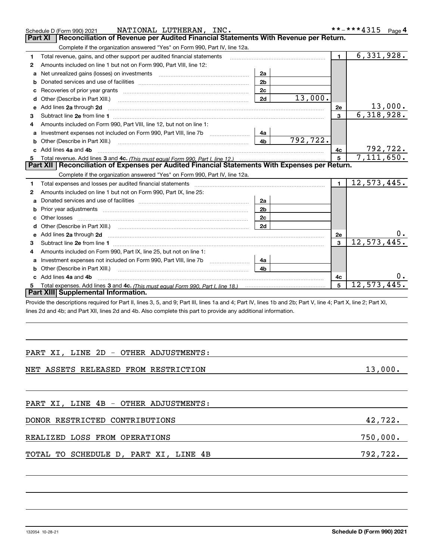|   | NATIONAL LUTHERAN, INC.<br>Schedule D (Form 990) 2021                                                                                                                                                                               |                |          |                | **-***4315      | Page 4 |
|---|-------------------------------------------------------------------------------------------------------------------------------------------------------------------------------------------------------------------------------------|----------------|----------|----------------|-----------------|--------|
|   | Reconciliation of Revenue per Audited Financial Statements With Revenue per Return.<br>Part XI                                                                                                                                      |                |          |                |                 |        |
|   | Complete if the organization answered "Yes" on Form 990, Part IV, line 12a.                                                                                                                                                         |                |          |                |                 |        |
| 1 | Total revenue, gains, and other support per audited financial statements                                                                                                                                                            |                |          | $\blacksquare$ | 6,331,928.      |        |
| 2 | Amounts included on line 1 but not on Form 990, Part VIII, line 12:                                                                                                                                                                 |                |          |                |                 |        |
| a | Net unrealized gains (losses) on investments [11] matter contracts and the unrealized gains (losses) on investments                                                                                                                 | 2a             |          |                |                 |        |
| b |                                                                                                                                                                                                                                     | 2 <sub>b</sub> |          |                |                 |        |
| с |                                                                                                                                                                                                                                     | 2c             |          |                |                 |        |
| d | Other (Describe in Part XIII.)                                                                                                                                                                                                      | 2d             | 13,000.  |                |                 |        |
| е | Add lines 2a through 2d                                                                                                                                                                                                             |                |          | 2e             | 13,000.         |        |
| 3 |                                                                                                                                                                                                                                     |                |          | 3              | 6,318,928.      |        |
| 4 | Amounts included on Form 990, Part VIII, line 12, but not on line 1:                                                                                                                                                                |                |          |                |                 |        |
| a |                                                                                                                                                                                                                                     | 4a             |          |                |                 |        |
| b | Other (Describe in Part XIII.) <b>Construction Contract Construction</b> Chern Construction Chern Chern Chern Chern Chern Chern Chern Chern Chern Chern Chern Chern Chern Chern Chern Chern Chern Chern Chern Chern Chern Chern Che | 4b             | 792,722. |                |                 |        |
|   | Add lines 4a and 4b                                                                                                                                                                                                                 |                |          | 4с             | <u>792,722.</u> |        |
| 5 |                                                                                                                                                                                                                                     |                |          | 5              | 7,111,650.      |        |
|   | Part XII   Reconciliation of Expenses per Audited Financial Statements With Expenses per Return.                                                                                                                                    |                |          |                |                 |        |
|   | Complete if the organization answered "Yes" on Form 990, Part IV, line 12a.                                                                                                                                                         |                |          |                |                 |        |
| 1 | Total expenses and losses per audited financial statements [111] [12] contain an interview and losses per audited financial statements [11] [12] contain an interview and the statements of the statements of the statements a      |                |          | $\mathbf{1}$   | 12,573,445.     |        |
| 2 | Amounts included on line 1 but not on Form 990, Part IX, line 25:                                                                                                                                                                   |                |          |                |                 |        |
| a |                                                                                                                                                                                                                                     | 2a             |          |                |                 |        |
| b |                                                                                                                                                                                                                                     | 2 <sub>b</sub> |          |                |                 |        |
| c |                                                                                                                                                                                                                                     | 2c             |          |                |                 |        |
| d |                                                                                                                                                                                                                                     | 2d             |          |                |                 |        |
| e | Add lines 2a through 2d                                                                                                                                                                                                             |                |          | 2e             |                 |        |
| 3 |                                                                                                                                                                                                                                     |                |          | $\mathbf{a}$   | 12,573,445      |        |
| 4 | Amounts included on Form 990, Part IX, line 25, but not on line 1:                                                                                                                                                                  |                |          |                |                 |        |
| a |                                                                                                                                                                                                                                     | 4a             |          |                |                 |        |
| b | Other (Describe in Part XIII.)                                                                                                                                                                                                      | 4b             |          |                |                 |        |
|   | Add lines 4a and 4b                                                                                                                                                                                                                 |                |          | 4c             |                 |        |
|   |                                                                                                                                                                                                                                     |                |          | 5              | 12,573,445.     |        |
|   | Part XIII Supplemental Information.                                                                                                                                                                                                 |                |          |                |                 |        |
|   | Provide the descriptions required for Part II, lines 3, 5, and 9; Part III, lines 1a and 4; Part IV, lines 1b and 2b; Part V, line 4; Part X, line 2; Part XI,                                                                      |                |          |                |                 |        |
|   | lines 2d and 4b; and Part XII, lines 2d and 4b. Also complete this part to provide any additional information.                                                                                                                      |                |          |                |                 |        |
|   |                                                                                                                                                                                                                                     |                |          |                |                 |        |
|   |                                                                                                                                                                                                                                     |                |          |                |                 |        |
|   |                                                                                                                                                                                                                                     |                |          |                |                 |        |

#### PART XI, LINE 2D - OTHER ADJUSTMENTS:

#### NET ASSETS RELEASED FROM RESTRICTION 13,000.

| PART XI, LINE 4B - OTHER ADJUSTMENTS: |          |
|---------------------------------------|----------|
| DONOR RESTRICTED CONTRIBUTIONS        | 42,722.  |
| REALIZED LOSS FROM OPERATIONS         | 750,000. |
| TOTAL TO SCHEDULE D, PART XI, LINE 4B | 792,722. |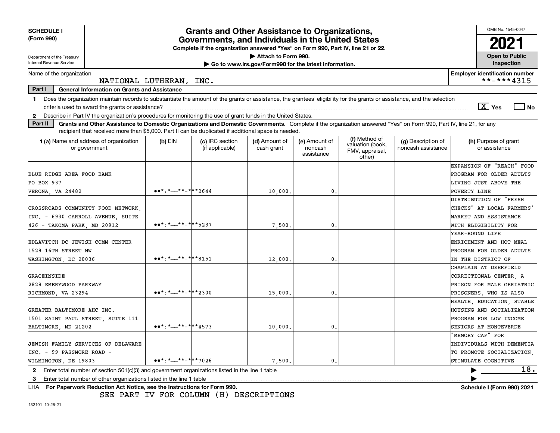| <b>SCHEDULE I</b><br>(Form 990)                                                                                                                                                                                                                                                                                |                                                                                                         | <b>Grants and Other Assistance to Organizations,</b><br>Governments, and Individuals in the United States |                                                                              |                                        |                                                                |                                          | OMB No. 1545-0047<br>2021             |
|----------------------------------------------------------------------------------------------------------------------------------------------------------------------------------------------------------------------------------------------------------------------------------------------------------------|---------------------------------------------------------------------------------------------------------|-----------------------------------------------------------------------------------------------------------|------------------------------------------------------------------------------|----------------------------------------|----------------------------------------------------------------|------------------------------------------|---------------------------------------|
|                                                                                                                                                                                                                                                                                                                |                                                                                                         | Complete if the organization answered "Yes" on Form 990, Part IV, line 21 or 22.                          |                                                                              |                                        |                                                                |                                          |                                       |
| Department of the Treasury<br>Internal Revenue Service                                                                                                                                                                                                                                                         |                                                                                                         |                                                                                                           | Attach to Form 990.<br>Go to www.irs.gov/Form990 for the latest information. |                                        |                                                                |                                          | <b>Open to Public</b><br>Inspection   |
| Name of the organization                                                                                                                                                                                                                                                                                       |                                                                                                         |                                                                                                           |                                                                              |                                        |                                                                |                                          | <b>Employer identification number</b> |
|                                                                                                                                                                                                                                                                                                                | NATIONAL LUTHERAN,                                                                                      | INC.                                                                                                      |                                                                              |                                        |                                                                |                                          | **-***4315                            |
| Part I<br><b>General Information on Grants and Assistance</b><br>Does the organization maintain records to substantiate the amount of the grants or assistance, the grantees' eligibility for the grants or assistance, and the selection<br>$\mathbf 1$                                                       |                                                                                                         |                                                                                                           |                                                                              |                                        |                                                                |                                          | $\boxed{\text{X}}$ Yes<br>  No        |
| Describe in Part IV the organization's procedures for monitoring the use of grant funds in the United States.<br>$\mathbf{2}$<br>Part II<br>Grants and Other Assistance to Domestic Organizations and Domestic Governments. Complete if the organization answered "Yes" on Form 990, Part IV, line 21, for any |                                                                                                         |                                                                                                           |                                                                              |                                        |                                                                |                                          |                                       |
| recipient that received more than \$5,000. Part II can be duplicated if additional space is needed.                                                                                                                                                                                                            |                                                                                                         |                                                                                                           |                                                                              |                                        |                                                                |                                          |                                       |
| <b>1 (a)</b> Name and address of organization<br>or government                                                                                                                                                                                                                                                 | $(b)$ EIN                                                                                               | (c) IRC section<br>(if applicable)                                                                        | (d) Amount of<br>cash grant                                                  | (e) Amount of<br>noncash<br>assistance | (f) Method of<br>valuation (book,<br>FMV, appraisal,<br>other) | (g) Description of<br>noncash assistance | (h) Purpose of grant<br>or assistance |
|                                                                                                                                                                                                                                                                                                                |                                                                                                         |                                                                                                           |                                                                              |                                        |                                                                |                                          | EXPANSION OF "REACH" FOOD             |
| BLUE RIDGE AREA FOOD BANK                                                                                                                                                                                                                                                                                      |                                                                                                         |                                                                                                           |                                                                              |                                        |                                                                |                                          | PROGRAM FOR OLDER ADULTS              |
| PO BOX 937                                                                                                                                                                                                                                                                                                     |                                                                                                         |                                                                                                           |                                                                              |                                        |                                                                |                                          | LIVING JUST ABOVE THE                 |
| VERONA, VA 24482                                                                                                                                                                                                                                                                                               | $\bullet \bullet \star : \star \_ \star \star \_ \star \star \star \star \star \star \star \star \star$ |                                                                                                           | 10,000                                                                       | 0.                                     |                                                                |                                          | POVERTY LINE                          |
|                                                                                                                                                                                                                                                                                                                |                                                                                                         |                                                                                                           |                                                                              |                                        |                                                                |                                          | DISTRIBUTION OF "FRESH                |
| CROSSROADS COMMUNITY FOOD NETWORK,                                                                                                                                                                                                                                                                             |                                                                                                         |                                                                                                           |                                                                              |                                        |                                                                |                                          | CHECKS" AT LOCAL FARMERS              |
| INC. - 6930 CARROLL AVENUE, SUITE                                                                                                                                                                                                                                                                              |                                                                                                         |                                                                                                           |                                                                              |                                        |                                                                |                                          | MARKET AND ASSISTANCE                 |
| 426 - TAKOMA PARK, MD 20912                                                                                                                                                                                                                                                                                    | $\bullet \bullet \star : \star \_ \star \star \_ \star \star \star \star \star \star \star$             |                                                                                                           | 7,500                                                                        | 0.                                     |                                                                |                                          | WITH ELIGIBILITY FOR                  |
|                                                                                                                                                                                                                                                                                                                |                                                                                                         |                                                                                                           |                                                                              |                                        |                                                                |                                          | YEAR-ROUND LIFE                       |
| EDLAVITCH DC JEWISH COMM CENTER                                                                                                                                                                                                                                                                                |                                                                                                         |                                                                                                           |                                                                              |                                        |                                                                |                                          | ENRICHMENT AND HOT MEAL               |
| 1529 16TH STREET NW                                                                                                                                                                                                                                                                                            |                                                                                                         |                                                                                                           |                                                                              |                                        |                                                                |                                          | PROGRAM FOR OLDER ADULTS              |
| WASHINGTON, DC 20036                                                                                                                                                                                                                                                                                           | $\bullet \bullet \star : \star \_ \star \star \_ \star \star \star \star \star \star \star \star$       |                                                                                                           | 12,000                                                                       | $\mathbf{0}$                           |                                                                |                                          | IN THE DISTRICT OF                    |
|                                                                                                                                                                                                                                                                                                                |                                                                                                         |                                                                                                           |                                                                              |                                        |                                                                |                                          | CHAPLAIN AT DEERFIELD                 |
| GRACEINSIDE                                                                                                                                                                                                                                                                                                    |                                                                                                         |                                                                                                           |                                                                              |                                        |                                                                |                                          | CORRECTIONAL CENTER. A                |
| 2828 EMERYWOOD PARKWAY                                                                                                                                                                                                                                                                                         |                                                                                                         |                                                                                                           |                                                                              |                                        |                                                                |                                          | PRISON FOR MALE GERIATRIC             |
| RICHMOND, VA 23294                                                                                                                                                                                                                                                                                             | $\bullet \bullet \star : \star \_ \star \star \_ \star \star \star \star \star \cdot$ 2300              |                                                                                                           | 15,000                                                                       | $\mathbf{0}$                           |                                                                |                                          | PRISONERS, WHO IS ALSO                |
|                                                                                                                                                                                                                                                                                                                |                                                                                                         |                                                                                                           |                                                                              |                                        |                                                                |                                          | HEALTH, EDUCATION, STABLE             |
| GREATER BALTIMORE AHC INC.                                                                                                                                                                                                                                                                                     |                                                                                                         |                                                                                                           |                                                                              |                                        |                                                                |                                          | HOUSING AND SOCIALIZATION             |
| 1501 SAINT PAUL STREET, SUITE 111                                                                                                                                                                                                                                                                              |                                                                                                         |                                                                                                           |                                                                              |                                        |                                                                |                                          | PROGRAM FOR LOW INCOME                |
| BALTIMORE, MD 21202                                                                                                                                                                                                                                                                                            | $\bullet \bullet^* :^* \rightarrow \bullet^* \bullet^* \bullet^* \bullet 4573$                          |                                                                                                           | 10,000                                                                       | $\mathbf{0}$ .                         |                                                                |                                          | SENIORS AT MONTEVERDE                 |
|                                                                                                                                                                                                                                                                                                                |                                                                                                         |                                                                                                           |                                                                              |                                        |                                                                |                                          | 'MEMORY CAF" FOR                      |
| JEWISH FAMILY SERVICES OF DELAWARE                                                                                                                                                                                                                                                                             |                                                                                                         |                                                                                                           |                                                                              |                                        |                                                                |                                          | INDIVIDUALS WITH DEMENTIA             |
| INC. - 99 PASSMORE ROAD -                                                                                                                                                                                                                                                                                      |                                                                                                         |                                                                                                           |                                                                              |                                        |                                                                |                                          | TO PROMOTE SOCIALIZATION.             |
| WILMINGTON, DE 19803                                                                                                                                                                                                                                                                                           | $\bullet \bullet \star : \star \_ \star \star \_ \star \_ \star \star \to 7026$                         |                                                                                                           | 7,500,                                                                       | 0.                                     |                                                                |                                          | STIMULATE COGNITIVE                   |
| Enter total number of section $501(c)(3)$ and government organizations listed in the line 1 table<br>$\mathbf{2}$                                                                                                                                                                                              |                                                                                                         |                                                                                                           |                                                                              |                                        |                                                                |                                          | 18.                                   |
| Enter total number of other organizations listed in the line 1 table<br>3                                                                                                                                                                                                                                      |                                                                                                         |                                                                                                           |                                                                              |                                        |                                                                |                                          |                                       |
| LHA For Paperwork Reduction Act Notice, see the Instructions for Form 990.                                                                                                                                                                                                                                     |                                                                                                         |                                                                                                           |                                                                              |                                        |                                                                |                                          | Schedule I (Form 990) 2021            |

SEE PART IV FOR COLUMN (H) DESCRIPTIONS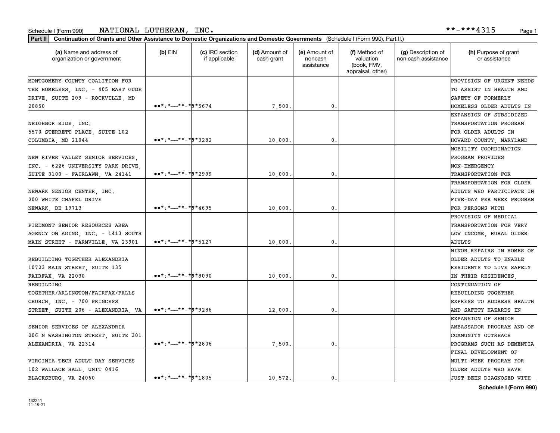#### Schedule I (Form 990) <code>NATIONAL LUTHERAN</code> , <code>INC</code> . \*\*-\*\*\*4315 Page 1

| Part II   Continuation of Grants and Other Assistance to Domestic Organizations and Domestic Governments (Schedule I (Form 990), Part II.) |                                                                                                                                                                                                                                                                                                                                                                                                                                                                                                                                                                    |                                  |                             |                                        |                                                                |                                           |                                       |
|--------------------------------------------------------------------------------------------------------------------------------------------|--------------------------------------------------------------------------------------------------------------------------------------------------------------------------------------------------------------------------------------------------------------------------------------------------------------------------------------------------------------------------------------------------------------------------------------------------------------------------------------------------------------------------------------------------------------------|----------------------------------|-----------------------------|----------------------------------------|----------------------------------------------------------------|-------------------------------------------|---------------------------------------|
| (a) Name and address of<br>organization or government                                                                                      | $(b)$ EIN                                                                                                                                                                                                                                                                                                                                                                                                                                                                                                                                                          | (c) IRC section<br>if applicable | (d) Amount of<br>cash grant | (e) Amount of<br>noncash<br>assistance | (f) Method of<br>valuation<br>(book, FMV,<br>appraisal, other) | (g) Description of<br>non-cash assistance | (h) Purpose of grant<br>or assistance |
| MONTGOMERY COUNTY COALITION FOR                                                                                                            |                                                                                                                                                                                                                                                                                                                                                                                                                                                                                                                                                                    |                                  |                             |                                        |                                                                |                                           | PROVISION OF URGENT NEEDS             |
| THE HOMELESS, INC. - 405 EAST GUDE                                                                                                         |                                                                                                                                                                                                                                                                                                                                                                                                                                                                                                                                                                    |                                  |                             |                                        |                                                                |                                           | TO ASSIST IN HEALTH AND               |
| DRIVE, SUITE 209 - ROCKVILLE, MD                                                                                                           |                                                                                                                                                                                                                                                                                                                                                                                                                                                                                                                                                                    |                                  |                             |                                        |                                                                |                                           | SAFETY OF FORMERLY                    |
| 20850                                                                                                                                      | $\bullet \bullet^* :^* \rightarrow \bullet^* \bullet^* \bullet^* \bullet^* \bullet^* \bullet^* \bullet^* \bullet^*$                                                                                                                                                                                                                                                                                                                                                                                                                                                |                                  | 7,500.                      | 0.                                     |                                                                |                                           | HOMELESS OLDER ADULTS IN              |
|                                                                                                                                            |                                                                                                                                                                                                                                                                                                                                                                                                                                                                                                                                                                    |                                  |                             |                                        |                                                                |                                           | EXPANSION OF SUBSIDIZED               |
| NEIGHBOR RIDE, INC.                                                                                                                        |                                                                                                                                                                                                                                                                                                                                                                                                                                                                                                                                                                    |                                  |                             |                                        |                                                                |                                           | TRANSPORTATION PROGRAM                |
| 5570 STERRETT PLACE, SUITE 102                                                                                                             |                                                                                                                                                                                                                                                                                                                                                                                                                                                                                                                                                                    |                                  |                             |                                        |                                                                |                                           | FOR OLDER ADULTS IN                   |
| COLUMBIA, MD 21044                                                                                                                         | $\bullet \bullet \ast : \ast \_ \ast \ast \_ \ast \ast \ast \ast \ast \ast \ast \ast$                                                                                                                                                                                                                                                                                                                                                                                                                                                                              |                                  | 10,000.                     | 0.                                     |                                                                |                                           | HOWARD COUNTY, MARYLAND               |
|                                                                                                                                            |                                                                                                                                                                                                                                                                                                                                                                                                                                                                                                                                                                    |                                  |                             |                                        |                                                                |                                           | MOBILITY COORDINATION                 |
| NEW RIVER VALLEY SENIOR SERVICES,                                                                                                          |                                                                                                                                                                                                                                                                                                                                                                                                                                                                                                                                                                    |                                  |                             |                                        |                                                                |                                           | PROGRAM PROVIDES                      |
| INC. - 6226 UNIVERSITY PARK DRIVE,                                                                                                         |                                                                                                                                                                                                                                                                                                                                                                                                                                                                                                                                                                    |                                  |                             |                                        |                                                                |                                           | NON-EMERGENCY                         |
| SUITE 3100 - FAIRLAWN, VA 24141                                                                                                            | $\bullet \bullet \ast : \ast \_ \ast \ast \ast \ast \ast \ast \ast \ast \ast \ast \ast \ast$                                                                                                                                                                                                                                                                                                                                                                                                                                                                       |                                  | 10,000.                     | 0.                                     |                                                                |                                           | TRANSPORTATION FOR                    |
|                                                                                                                                            |                                                                                                                                                                                                                                                                                                                                                                                                                                                                                                                                                                    |                                  |                             |                                        |                                                                |                                           | TRANSPORTATION FOR OLDER              |
| NEWARK SENIOR CENTER, INC.                                                                                                                 |                                                                                                                                                                                                                                                                                                                                                                                                                                                                                                                                                                    |                                  |                             |                                        |                                                                |                                           | ADULTS WHO PARTICIPATE IN             |
| 200 WHITE CHAPEL DRIVE                                                                                                                     |                                                                                                                                                                                                                                                                                                                                                                                                                                                                                                                                                                    |                                  |                             |                                        |                                                                |                                           | FIVE-DAY PER WEEK PROGRAM             |
| NEWARK, DE 19713                                                                                                                           | $\bullet \bullet \star : \star \_ \star \star \_ \star \sharp \star 4695$                                                                                                                                                                                                                                                                                                                                                                                                                                                                                          |                                  | 10,000.                     | 0.                                     |                                                                |                                           | FOR PERSONS WITH                      |
|                                                                                                                                            |                                                                                                                                                                                                                                                                                                                                                                                                                                                                                                                                                                    |                                  |                             |                                        |                                                                |                                           | PROVISION OF MEDICAL                  |
| PIEDMONT SENIOR RESOURCES AREA                                                                                                             |                                                                                                                                                                                                                                                                                                                                                                                                                                                                                                                                                                    |                                  |                             |                                        |                                                                |                                           | TRANSPORTATION FOR VERY               |
| AGENCY ON AGING, INC. - 1413 SOUTH                                                                                                         |                                                                                                                                                                                                                                                                                                                                                                                                                                                                                                                                                                    |                                  |                             |                                        |                                                                |                                           | LOW INCOME, RURAL OLDER               |
| MAIN STREET - FARMVILLE, VA 23901                                                                                                          | $\bullet \bullet \star : \star \_ \star \star \_ \star \_ \sharp \star \frac{1}{3}$                                                                                                                                                                                                                                                                                                                                                                                                                                                                                |                                  | 10,000.                     | $\mathbf{0}$                           |                                                                |                                           | ADULTS                                |
|                                                                                                                                            |                                                                                                                                                                                                                                                                                                                                                                                                                                                                                                                                                                    |                                  |                             |                                        |                                                                |                                           | MINOR REPAIRS IN HOMES OF             |
| REBUILDING TOGETHER ALEXANDRIA                                                                                                             |                                                                                                                                                                                                                                                                                                                                                                                                                                                                                                                                                                    |                                  |                             |                                        |                                                                |                                           | OLDER ADULTS TO ENABLE                |
| 10723 MAIN STREET, SUITE 135                                                                                                               |                                                                                                                                                                                                                                                                                                                                                                                                                                                                                                                                                                    |                                  |                             |                                        |                                                                |                                           | RESIDENTS TO LIVE SAFELY              |
| FAIRFAX, VA 22030                                                                                                                          | $\bullet\bullet^*$ : $*$ $\frac{1}{2}$ $\bullet^*$ $\frac{1}{2}$ $\bullet$ 8090                                                                                                                                                                                                                                                                                                                                                                                                                                                                                    |                                  | 10,000.                     | 0.                                     |                                                                |                                           | IN THEIR RESIDENCES,                  |
| REBUILDING                                                                                                                                 |                                                                                                                                                                                                                                                                                                                                                                                                                                                                                                                                                                    |                                  |                             |                                        |                                                                |                                           | CONTINUATION OF                       |
| TOGETHER/ARLINGTON/FAIRFAX/FALLS                                                                                                           |                                                                                                                                                                                                                                                                                                                                                                                                                                                                                                                                                                    |                                  |                             |                                        |                                                                |                                           | REBUILDING TOGETHER                   |
| CHURCH, INC. - 700 PRINCESS                                                                                                                |                                                                                                                                                                                                                                                                                                                                                                                                                                                                                                                                                                    |                                  |                             |                                        |                                                                |                                           | <b>EXPRESS TO ADDRESS HEALTH</b>      |
| STREET, SUITE 206 - ALEXANDRIA, VA                                                                                                         | $\bullet \bullet \star : \star \_ \star \_ \star \_ \star \_ \sharp \star \circ$ 286                                                                                                                                                                                                                                                                                                                                                                                                                                                                               |                                  | 12,000.                     | 0.                                     |                                                                |                                           | AND SAFETY HAZARDS IN                 |
|                                                                                                                                            |                                                                                                                                                                                                                                                                                                                                                                                                                                                                                                                                                                    |                                  |                             |                                        |                                                                |                                           | <b>EXPANSION OF SENIOR</b>            |
| SENIOR SERVICES OF ALEXANDRIA                                                                                                              |                                                                                                                                                                                                                                                                                                                                                                                                                                                                                                                                                                    |                                  |                             |                                        |                                                                |                                           | AMBASSADOR PROGRAM AND OF             |
| 206 N WASHINGTON STREET, SUITE 301                                                                                                         |                                                                                                                                                                                                                                                                                                                                                                                                                                                                                                                                                                    |                                  |                             |                                        |                                                                |                                           | COMMUNITY OUTREACH                    |
| ALEXANDRIA, VA 22314                                                                                                                       | $\bullet \bullet \ast : \ast \_ \ast \ast \ast \ast \ast \ast \ast \ast \ast \ast$                                                                                                                                                                                                                                                                                                                                                                                                                                                                                 |                                  | 7,500.                      | 0.                                     |                                                                |                                           | PROGRAMS SUCH AS DEMENTIA             |
|                                                                                                                                            |                                                                                                                                                                                                                                                                                                                                                                                                                                                                                                                                                                    |                                  |                             |                                        |                                                                |                                           | FINAL DEVELOPMENT OF                  |
| VIRGINIA TECH ADULT DAY SERVICES                                                                                                           |                                                                                                                                                                                                                                                                                                                                                                                                                                                                                                                                                                    |                                  |                             |                                        |                                                                |                                           | MULTI-WEEK PROGRAM FOR                |
| 102 WALLACE HALL, UNIT 0416                                                                                                                |                                                                                                                                                                                                                                                                                                                                                                                                                                                                                                                                                                    |                                  |                             |                                        |                                                                |                                           | OLDER ADULTS WHO HAVE                 |
| BLACKSBURG, VA 24060                                                                                                                       | $\bullet \bullet \star : \star \text{---} \star \star \text{---} \star \star \text{---} \star \text{---} \star \text{---} \star \text{---} \star \text{---} \star \text{---} \star \text{---} \star \text{---} \star \text{---} \star \text{---} \star \text{---} \star \text{---} \star \text{---} \star \text{---} \star \text{---} \star \text{---} \star \text{---} \star \text{---} \star \text{---} \star \text{---} \star \text{---} \star \text{---} \star \text{---} \star \text{---} \star \text{---} \star \text{---} \star \text{---} \star \text{---$ |                                  | 10.572.                     | 0.                                     |                                                                |                                           | <b>JUST BEEN DIAGNOSED WITH</b>       |

**Schedule I (Form 990)**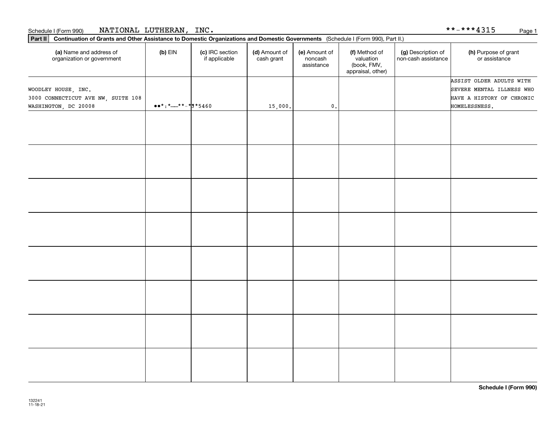| <b>NATIONAL</b><br>LUTHERAN<br>INC.<br>.<br>.<br>. .<br>Schedule I (Form 990)<br>. .<br>$\sim$<br>. .<br>$\overline{\phantom{0}}$ | Page<br>ᆂᇦᆂᇦ |  |
|-----------------------------------------------------------------------------------------------------------------------------------|--------------|--|
|-----------------------------------------------------------------------------------------------------------------------------------|--------------|--|

| Part II   Continuation of Grants and Other Assistance to Domestic Organizations and Domestic Governments (Schedule I (Form 990), Part II.) |                                                                              |                                  |                             |                                        |                                                                |                                           |                                                                                    |
|--------------------------------------------------------------------------------------------------------------------------------------------|------------------------------------------------------------------------------|----------------------------------|-----------------------------|----------------------------------------|----------------------------------------------------------------|-------------------------------------------|------------------------------------------------------------------------------------|
| (a) Name and address of<br>organization or government                                                                                      | $(b)$ EIN                                                                    | (c) IRC section<br>if applicable | (d) Amount of<br>cash grant | (e) Amount of<br>noncash<br>assistance | (f) Method of<br>valuation<br>(book, FMV,<br>appraisal, other) | (g) Description of<br>non-cash assistance | (h) Purpose of grant<br>or assistance                                              |
| WOODLEY HOUSE, INC.<br>3000 CONNECTICUT AVE NW, SUITE 108                                                                                  |                                                                              |                                  |                             |                                        |                                                                |                                           | ASSIST OLDER ADULTS WITH<br>SEVERE MENTAL ILLNESS WHO<br>HAVE A HISTORY OF CHRONIC |
| WASHINGTON, DC 20008                                                                                                                       | $\bullet \bullet \star : \star \_ \star \star \_ \star \_ \sharp \star 5460$ |                                  | 15,000.                     | $\mathfrak o$ .                        |                                                                |                                           | HOMELESSNESS.                                                                      |
|                                                                                                                                            |                                                                              |                                  |                             |                                        |                                                                |                                           |                                                                                    |
|                                                                                                                                            |                                                                              |                                  |                             |                                        |                                                                |                                           |                                                                                    |
|                                                                                                                                            |                                                                              |                                  |                             |                                        |                                                                |                                           |                                                                                    |
|                                                                                                                                            |                                                                              |                                  |                             |                                        |                                                                |                                           |                                                                                    |
|                                                                                                                                            |                                                                              |                                  |                             |                                        |                                                                |                                           |                                                                                    |
|                                                                                                                                            |                                                                              |                                  |                             |                                        |                                                                |                                           |                                                                                    |
|                                                                                                                                            |                                                                              |                                  |                             |                                        |                                                                |                                           |                                                                                    |
|                                                                                                                                            |                                                                              |                                  |                             |                                        |                                                                |                                           |                                                                                    |
|                                                                                                                                            |                                                                              |                                  |                             |                                        |                                                                |                                           |                                                                                    |
|                                                                                                                                            |                                                                              |                                  |                             |                                        |                                                                |                                           |                                                                                    |
|                                                                                                                                            |                                                                              |                                  |                             |                                        |                                                                |                                           |                                                                                    |
|                                                                                                                                            |                                                                              |                                  |                             |                                        |                                                                |                                           |                                                                                    |
|                                                                                                                                            |                                                                              |                                  |                             |                                        |                                                                |                                           |                                                                                    |
|                                                                                                                                            |                                                                              |                                  |                             |                                        |                                                                |                                           |                                                                                    |
|                                                                                                                                            |                                                                              |                                  |                             |                                        |                                                                |                                           |                                                                                    |
|                                                                                                                                            |                                                                              |                                  |                             |                                        |                                                                |                                           |                                                                                    |
|                                                                                                                                            |                                                                              |                                  |                             |                                        |                                                                |                                           |                                                                                    |
|                                                                                                                                            |                                                                              |                                  |                             |                                        |                                                                |                                           |                                                                                    |
|                                                                                                                                            |                                                                              |                                  |                             |                                        |                                                                |                                           |                                                                                    |
|                                                                                                                                            |                                                                              |                                  |                             |                                        |                                                                |                                           |                                                                                    |
|                                                                                                                                            |                                                                              |                                  |                             |                                        |                                                                |                                           |                                                                                    |
|                                                                                                                                            |                                                                              |                                  |                             |                                        |                                                                |                                           |                                                                                    |
|                                                                                                                                            |                                                                              |                                  |                             |                                        |                                                                |                                           |                                                                                    |
|                                                                                                                                            |                                                                              |                                  |                             |                                        |                                                                |                                           |                                                                                    |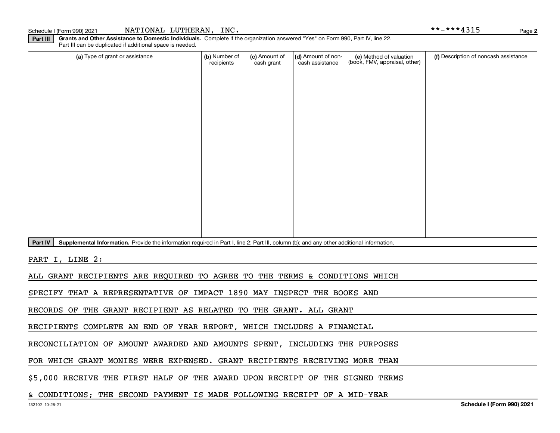Schedule I (Form 990) 2021 **NATIONAL LUTHERAN, INC.** \* \*-\* \* \* 4 3 1 5 Page

**2**

**Part III Grants and Other Assistance to Domestic Individuals.**  Complete if the organization answered "Yes" on Form 990, Part IV, line 22. Part III can be duplicated if additional space is needed.

| (a) Type of grant or assistance | (b) Number of<br>recipients | (c) Amount of<br>cash grant | (d) Amount of non-<br>cash assistance | (e) Method of valuation<br>(book, FMV, appraisal, other) | (f) Description of noncash assistance |
|---------------------------------|-----------------------------|-----------------------------|---------------------------------------|----------------------------------------------------------|---------------------------------------|
|                                 |                             |                             |                                       |                                                          |                                       |
|                                 |                             |                             |                                       |                                                          |                                       |
|                                 |                             |                             |                                       |                                                          |                                       |
|                                 |                             |                             |                                       |                                                          |                                       |
|                                 |                             |                             |                                       |                                                          |                                       |
|                                 |                             |                             |                                       |                                                          |                                       |
|                                 |                             |                             |                                       |                                                          |                                       |
|                                 |                             |                             |                                       |                                                          |                                       |
|                                 |                             |                             |                                       |                                                          |                                       |
|                                 |                             |                             |                                       |                                                          |                                       |

Part IV | Supplemental Information. Provide the information required in Part I, line 2; Part III, column (b); and any other additional information.

PART I, LINE 2:

ALL GRANT RECIPIENTS ARE REQUIRED TO AGREE TO THE TERMS & CONDITIONS WHICH

SPECIFY THAT A REPRESENTATIVE OF IMPACT 1890 MAY INSPECT THE BOOKS AND

RECORDS OF THE GRANT RECIPIENT AS RELATED TO THE GRANT. ALL GRANT

RECIPIENTS COMPLETE AN END OF YEAR REPORT, WHICH INCLUDES A FINANCIAL

RECONCILIATION OF AMOUNT AWARDED AND AMOUNTS SPENT, INCLUDING THE PURPOSES

FOR WHICH GRANT MONIES WERE EXPENSED. GRANT RECIPIENTS RECEIVING MORE THAN

\$5,000 RECEIVE THE FIRST HALF OF THE AWARD UPON RECEIPT OF THE SIGNED TERMS

#### & CONDITIONS; THE SECOND PAYMENT IS MADE FOLLOWING RECEIPT OF A MID-YEAR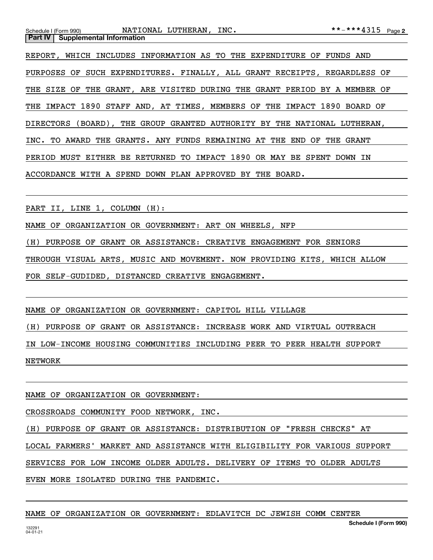|                                           | Schedule I (Form 990) <b>NATIONAL LUTHERAN, INC.</b>                      | **-***4315 Page 2 |
|-------------------------------------------|---------------------------------------------------------------------------|-------------------|
| <b>Part IV   Supplemental Information</b> |                                                                           |                   |
|                                           | REPORT, WHICH INCLUDES INFORMATION AS TO THE EXPENDITURE OF FUNDS AND     |                   |
|                                           | PURPOSES OF SUCH EXPENDITURES. FINALLY, ALL GRANT RECEIPTS, REGARDLESS OF |                   |
|                                           | THE SIZE OF THE GRANT, ARE VISITED DURING THE GRANT PERIOD BY A MEMBER OF |                   |
|                                           | THE IMPACT 1890 STAFF AND, AT TIMES, MEMBERS OF THE IMPACT 1890 BOARD OF  |                   |
|                                           | DIRECTORS (BOARD), THE GROUP GRANTED AUTHORITY BY THE NATIONAL LUTHERAN,  |                   |
|                                           | INC. TO AWARD THE GRANTS. ANY FUNDS REMAINING AT THE END OF THE GRANT     |                   |
|                                           | PERIOD MUST EITHER BE RETURNED TO IMPACT 1890 OR MAY BE SPENT DOWN IN     |                   |
|                                           | ACCORDANCE WITH A SPEND DOWN PLAN APPROVED BY THE BOARD.                  |                   |

PART II, LINE 1, COLUMN (H):

NAME OF ORGANIZATION OR GOVERNMENT: ART ON WHEELS, NFP

(H) PURPOSE OF GRANT OR ASSISTANCE: CREATIVE ENGAGEMENT FOR SENIORS

THROUGH VISUAL ARTS, MUSIC AND MOVEMENT. NOW PROVIDING KITS, WHICH ALLOW

FOR SELF-GUDIDED, DISTANCED CREATIVE ENGAGEMENT.

NAME OF ORGANIZATION OR GOVERNMENT: CAPITOL HILL VILLAGE

(H) PURPOSE OF GRANT OR ASSISTANCE: INCREASE WORK AND VIRTUAL OUTREACH

IN LOW-INCOME HOUSING COMMUNITIES INCLUDING PEER TO PEER HEALTH SUPPORT

NETWORK

NAME OF ORGANIZATION OR GOVERNMENT:

CROSSROADS COMMUNITY FOOD NETWORK, INC.

(H) PURPOSE OF GRANT OR ASSISTANCE: DISTRIBUTION OF "FRESH CHECKS" AT

LOCAL FARMERS' MARKET AND ASSISTANCE WITH ELIGIBILITY FOR VARIOUS SUPPORT

SERVICES FOR LOW INCOME OLDER ADULTS. DELIVERY OF ITEMS TO OLDER ADULTS

EVEN MORE ISOLATED DURING THE PANDEMIC.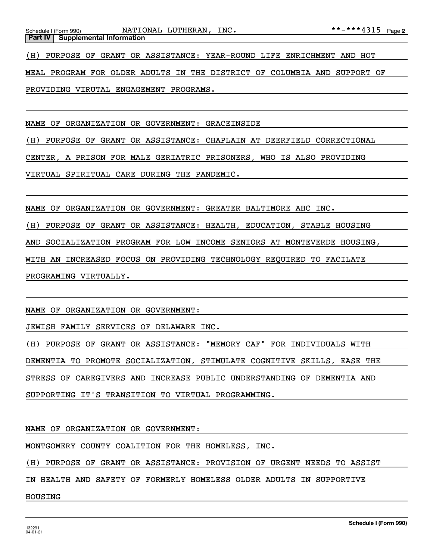(H) PURPOSE OF GRANT OR ASSISTANCE: YEAR-ROUND LIFE ENRICHMENT AND HOT

MEAL PROGRAM FOR OLDER ADULTS IN THE DISTRICT OF COLUMBIA AND SUPPORT OF

PROVIDING VIRUTAL ENGAGEMENT PROGRAMS.

NAME OF ORGANIZATION OR GOVERNMENT: GRACEINSIDE

(H) PURPOSE OF GRANT OR ASSISTANCE: CHAPLAIN AT DEERFIELD CORRECTIONAL

CENTER, A PRISON FOR MALE GERIATRIC PRISONERS, WHO IS ALSO PROVIDING

VIRTUAL SPIRITUAL CARE DURING THE PANDEMIC.

NAME OF ORGANIZATION OR GOVERNMENT: GREATER BALTIMORE AHC INC.

(H) PURPOSE OF GRANT OR ASSISTANCE: HEALTH, EDUCATION, STABLE HOUSING

AND SOCIALIZATION PROGRAM FOR LOW INCOME SENIORS AT MONTEVERDE HOUSING,

WITH AN INCREASED FOCUS ON PROVIDING TECHNOLOGY REQUIRED TO FACILATE

PROGRAMING VIRTUALLY.

NAME OF ORGANIZATION OR GOVERNMENT:

JEWISH FAMILY SERVICES OF DELAWARE INC.

(H) PURPOSE OF GRANT OR ASSISTANCE: "MEMORY CAF" FOR INDIVIDUALS WITH

DEMENTIA TO PROMOTE SOCIALIZATION, STIMULATE COGNITIVE SKILLS, EASE THE

STRESS OF CAREGIVERS AND INCREASE PUBLIC UNDERSTANDING OF DEMENTIA AND

SUPPORTING IT'S TRANSITION TO VIRTUAL PROGRAMMING.

NAME OF ORGANIZATION OR GOVERNMENT:

MONTGOMERY COUNTY COALITION FOR THE HOMELESS, INC.

(H) PURPOSE OF GRANT OR ASSISTANCE: PROVISION OF URGENT NEEDS TO ASSIST

IN HEALTH AND SAFETY OF FORMERLY HOMELESS OLDER ADULTS IN SUPPORTIVE

HOUSING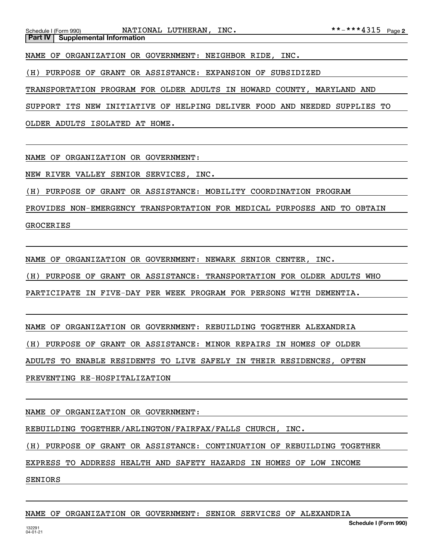Schedule I (Form 990) NATIONAL LUTHERAN, INC. \*\*-\*\*\*4315 Page **Part IV** Supplemental Information

NAME OF ORGANIZATION OR GOVERNMENT: NEIGHBOR RIDE, INC.

(H) PURPOSE OF GRANT OR ASSISTANCE: EXPANSION OF SUBSIDIZED

TRANSPORTATION PROGRAM FOR OLDER ADULTS IN HOWARD COUNTY, MARYLAND AND

SUPPORT ITS NEW INITIATIVE OF HELPING DELIVER FOOD AND NEEDED SUPPLIES TO

OLDER ADULTS ISOLATED AT HOME.

NAME OF ORGANIZATION OR GOVERNMENT:

NEW RIVER VALLEY SENIOR SERVICES, INC.

(H) PURPOSE OF GRANT OR ASSISTANCE: MOBILITY COORDINATION PROGRAM

PROVIDES NON-EMERGENCY TRANSPORTATION FOR MEDICAL PURPOSES AND TO OBTAIN GROCERIES

NAME OF ORGANIZATION OR GOVERNMENT: NEWARK SENIOR CENTER, INC.

(H) PURPOSE OF GRANT OR ASSISTANCE: TRANSPORTATION FOR OLDER ADULTS WHO

PARTICIPATE IN FIVE-DAY PER WEEK PROGRAM FOR PERSONS WITH DEMENTIA.

NAME OF ORGANIZATION OR GOVERNMENT: REBUILDING TOGETHER ALEXANDRIA

(H) PURPOSE OF GRANT OR ASSISTANCE: MINOR REPAIRS IN HOMES OF OLDER

ADULTS TO ENABLE RESIDENTS TO LIVE SAFELY IN THEIR RESIDENCES, OFTEN

PREVENTING RE-HOSPITALIZATION

NAME OF ORGANIZATION OR GOVERNMENT:

REBUILDING TOGETHER/ARLINGTON/FAIRFAX/FALLS CHURCH, INC.

(H) PURPOSE OF GRANT OR ASSISTANCE: CONTINUATION OF REBUILDING TOGETHER

EXPRESS TO ADDRESS HEALTH AND SAFETY HAZARDS IN HOMES OF LOW INCOME

SENIORS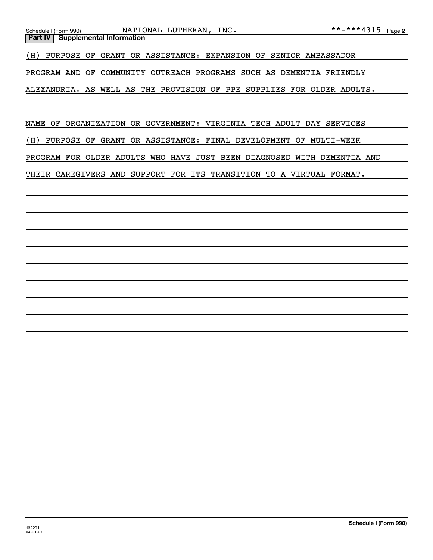| NATIONAL LUTHERAN, INC.<br>Schedule I (Form 990)                        | **-***4315 Page 2 |  |
|-------------------------------------------------------------------------|-------------------|--|
| <b>Supplemental Information</b><br><b>Part IV</b>                       |                   |  |
| (H) PURPOSE OF GRANT OR ASSISTANCE: EXPANSION OF SENIOR AMBASSADOR      |                   |  |
| PROGRAM AND OF COMMUNITY OUTREACH PROGRAMS SUCH AS DEMENTIA FRIENDLY    |                   |  |
| ALEXANDRIA. AS WELL AS THE PROVISION OF PPE SUPPLIES FOR OLDER ADULTS.  |                   |  |
|                                                                         |                   |  |
| NAME OF ORGANIZATION OR GOVERNMENT: VIRGINIA TECH ADULT DAY SERVICES    |                   |  |
| PURPOSE OF GRANT OR ASSISTANCE: FINAL DEVELOPMENT OF MULTI-WEEK<br>(H)  |                   |  |
| PROGRAM FOR OLDER ADULTS WHO HAVE JUST BEEN DIAGNOSED WITH DEMENTIA AND |                   |  |
| THEIR CAREGIVERS AND SUPPORT FOR ITS TRANSITION TO A VIRTUAL FORMAT.    |                   |  |
|                                                                         |                   |  |
|                                                                         |                   |  |
|                                                                         |                   |  |
|                                                                         |                   |  |
|                                                                         |                   |  |
|                                                                         |                   |  |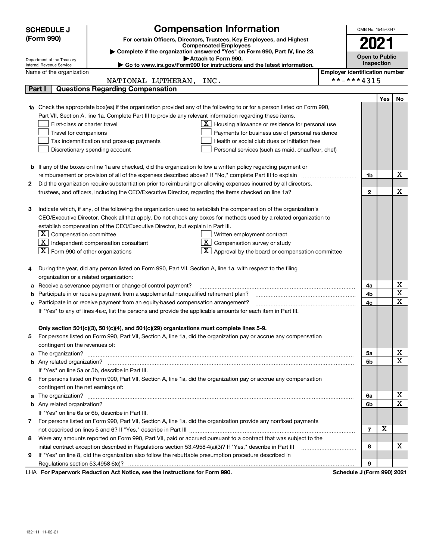|    | <b>SCHEDULE J</b>                                      | <b>Compensation Information</b>                                                                                                                                                                                                      | OMB No. 1545-0047                     |     |             |
|----|--------------------------------------------------------|--------------------------------------------------------------------------------------------------------------------------------------------------------------------------------------------------------------------------------------|---------------------------------------|-----|-------------|
|    | (Form 990)                                             | For certain Officers, Directors, Trustees, Key Employees, and Highest                                                                                                                                                                |                                       |     |             |
|    |                                                        | <b>Compensated Employees</b>                                                                                                                                                                                                         | 2021                                  |     |             |
|    |                                                        | Complete if the organization answered "Yes" on Form 990, Part IV, line 23.<br>Attach to Form 990.                                                                                                                                    | <b>Open to Public</b>                 |     |             |
|    | Department of the Treasury<br>Internal Revenue Service | ► Go to www.irs.gov/Form990 for instructions and the latest information.                                                                                                                                                             | Inspection                            |     |             |
|    | Name of the organization                               |                                                                                                                                                                                                                                      | <b>Employer identification number</b> |     |             |
|    |                                                        | NATIONAL LUTHERAN,<br>INC.                                                                                                                                                                                                           | **-***4315                            |     |             |
|    | Part I                                                 | <b>Questions Regarding Compensation</b>                                                                                                                                                                                              |                                       |     |             |
|    |                                                        |                                                                                                                                                                                                                                      |                                       | Yes | No          |
|    |                                                        | <b>1a</b> Check the appropriate box(es) if the organization provided any of the following to or for a person listed on Form 990,                                                                                                     |                                       |     |             |
|    |                                                        | Part VII, Section A, line 1a. Complete Part III to provide any relevant information regarding these items.                                                                                                                           |                                       |     |             |
|    | First-class or charter travel                          | $\mathbf{X}$ Housing allowance or residence for personal use                                                                                                                                                                         |                                       |     |             |
|    | Travel for companions                                  | Payments for business use of personal residence                                                                                                                                                                                      |                                       |     |             |
|    |                                                        | Tax indemnification and gross-up payments<br>Health or social club dues or initiation fees                                                                                                                                           |                                       |     |             |
|    |                                                        | Discretionary spending account<br>Personal services (such as maid, chauffeur, chef)                                                                                                                                                  |                                       |     |             |
|    |                                                        |                                                                                                                                                                                                                                      |                                       |     |             |
|    |                                                        | <b>b</b> If any of the boxes on line 1a are checked, did the organization follow a written policy regarding payment or                                                                                                               |                                       |     |             |
|    |                                                        | reimbursement or provision of all of the expenses described above? If "No," complete Part III to explain                                                                                                                             | 1b                                    |     | х           |
| 2  |                                                        | Did the organization require substantiation prior to reimbursing or allowing expenses incurred by all directors,                                                                                                                     |                                       |     |             |
|    |                                                        |                                                                                                                                                                                                                                      | $\mathbf{2}$                          |     | X           |
|    |                                                        |                                                                                                                                                                                                                                      |                                       |     |             |
| з  |                                                        | Indicate which, if any, of the following the organization used to establish the compensation of the organization's                                                                                                                   |                                       |     |             |
|    |                                                        | CEO/Executive Director. Check all that apply. Do not check any boxes for methods used by a related organization to                                                                                                                   |                                       |     |             |
|    |                                                        | establish compensation of the CEO/Executive Director, but explain in Part III.                                                                                                                                                       |                                       |     |             |
|    | $X$ Compensation committee                             | Written employment contract                                                                                                                                                                                                          |                                       |     |             |
|    | ΧI                                                     | $ \mathbf{X} $ Compensation survey or study<br>Independent compensation consultant                                                                                                                                                   |                                       |     |             |
|    | $\boxed{\text{X}}$ Form 990 of other organizations     | $X$ Approval by the board or compensation committee                                                                                                                                                                                  |                                       |     |             |
|    |                                                        |                                                                                                                                                                                                                                      |                                       |     |             |
| 4  |                                                        | During the year, did any person listed on Form 990, Part VII, Section A, line 1a, with respect to the filing                                                                                                                         |                                       |     |             |
|    | organization or a related organization:                |                                                                                                                                                                                                                                      |                                       |     |             |
| а  |                                                        | Receive a severance payment or change-of-control payment?                                                                                                                                                                            | 4a                                    |     | х           |
| b  |                                                        | Participate in or receive payment from a supplemental nonqualified retirement plan?                                                                                                                                                  | 4b                                    |     | X           |
|    |                                                        | Participate in or receive payment from an equity-based compensation arrangement?                                                                                                                                                     | 4с                                    |     | $\mathbf X$ |
|    |                                                        | If "Yes" to any of lines 4a-c, list the persons and provide the applicable amounts for each item in Part III.                                                                                                                        |                                       |     |             |
|    |                                                        |                                                                                                                                                                                                                                      |                                       |     |             |
|    |                                                        | Only section 501(c)(3), 501(c)(4), and 501(c)(29) organizations must complete lines 5-9.                                                                                                                                             |                                       |     |             |
|    |                                                        | For persons listed on Form 990, Part VII, Section A, line 1a, did the organization pay or accrue any compensation                                                                                                                    |                                       |     |             |
|    | contingent on the revenues of:                         |                                                                                                                                                                                                                                      |                                       |     |             |
|    |                                                        | a The organization? <b>With the Contract of the Contract of the Contract of The Organization?</b>                                                                                                                                    | 5a                                    |     | х<br>х      |
|    |                                                        |                                                                                                                                                                                                                                      | 5b                                    |     |             |
|    |                                                        | If "Yes" on line 5a or 5b, describe in Part III.                                                                                                                                                                                     |                                       |     |             |
| 6. |                                                        | For persons listed on Form 990, Part VII, Section A, line 1a, did the organization pay or accrue any compensation                                                                                                                    |                                       |     |             |
|    | contingent on the net earnings of:                     |                                                                                                                                                                                                                                      |                                       |     |             |
|    |                                                        | a The organization? <b>Entitled Strategies and Strategies and Strategies and Strategies and Strategies and Strategies and Strategies and Strategies and Strategies and Strategies and Strategies and Strategies and Strategies a</b> | 6a                                    |     | х<br>х      |
|    |                                                        |                                                                                                                                                                                                                                      | 6b                                    |     |             |
|    |                                                        | If "Yes" on line 6a or 6b, describe in Part III.                                                                                                                                                                                     |                                       |     |             |
|    |                                                        | 7 For persons listed on Form 990, Part VII, Section A, line 1a, did the organization provide any nonfixed payments                                                                                                                   |                                       | Х   |             |
|    |                                                        |                                                                                                                                                                                                                                      | $\overline{7}$                        |     |             |
| 8  |                                                        | Were any amounts reported on Form 990, Part VII, paid or accrued pursuant to a contract that was subject to the                                                                                                                      |                                       |     | x           |
|    |                                                        | initial contract exception described in Regulations section 53.4958-4(a)(3)? If "Yes," describe in Part III                                                                                                                          | 8                                     |     |             |
| 9  |                                                        | If "Yes" on line 8, did the organization also follow the rebuttable presumption procedure described in                                                                                                                               |                                       |     |             |
|    |                                                        | successive Department of Anti-Additional and the Instructions for Forms 000.                                                                                                                                                         | 9                                     |     |             |

LHA For Paperwork Reduction Act Notice, see the Instructions for Form 990. Schedule J (Form 990) 2021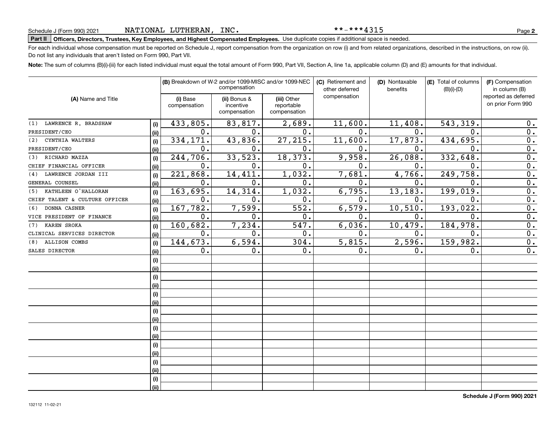\*\*-\*\*\*4315

# **Part II Officers, Directors, Trustees, Key Employees, and Highest Compensated Employees.**  Schedule J (Form 990) 2021 Page Use duplicate copies if additional space is needed.

For each individual whose compensation must be reported on Schedule J, report compensation from the organization on row (i) and from related organizations, described in the instructions, on row (ii). Do not list any individuals that aren't listed on Form 990, Part VII.

**Note:**  The sum of columns (B)(i)-(iii) for each listed individual must equal the total amount of Form 990, Part VII, Section A, line 1a, applicable column (D) and (E) amounts for that individual.

|                                |       | (B) Breakdown of W-2 and/or 1099-MISC and/or 1099-NEC<br>compensation |                                           |                                           | (C) Retirement and<br>other deferred | (D) Nontaxable<br>benefits | (E) Total of columns<br>$(B)(i)-(D)$ | (F) Compensation<br>in column (B)         |
|--------------------------------|-------|-----------------------------------------------------------------------|-------------------------------------------|-------------------------------------------|--------------------------------------|----------------------------|--------------------------------------|-------------------------------------------|
| (A) Name and Title             |       | (i) Base<br>compensation                                              | (ii) Bonus &<br>incentive<br>compensation | (iii) Other<br>reportable<br>compensation | compensation                         |                            |                                      | reported as deferred<br>on prior Form 990 |
| LAWRENCE R. BRADSHAW<br>(1)    | (i)   | 433,805.                                                              | 83,817.                                   | 2,689.                                    | 11,600.                              | 11,408.                    | 543, 319                             | 0.                                        |
| PRESIDENT/CEO                  | (i)   | $\mathbf 0$ .                                                         | о.                                        | 0.                                        | 0.                                   | о.                         | 0.                                   | 0.                                        |
| CYNTHIA WALTERS<br>(2)         | (i)   | 334, 171.                                                             | 43,836.                                   | 27, 215.                                  | 11,600.                              | 17,873.                    | 434,695.                             | $\overline{0}$ .                          |
| PRESIDENT/CEO                  | (ii)  | $\mathbf 0$ .                                                         | 0.                                        | 0.                                        | $\mathbf 0$ .                        | $\mathbf 0$ .              | $\Omega$ .                           | $\overline{0}$ .                          |
| (3) RICHARD MAZZA              | (i)   | 244,706.                                                              | 33,523.                                   | 18,373.                                   | 9,958.                               | 26,088.                    | 332,648                              | $\overline{0}$ .                          |
| CHIEF FINANCIAL OFFICER        | (iii) | 0.                                                                    | 0.                                        | 0.                                        | $\mathbf 0$ .                        | $\mathbf 0$ .              | 0.                                   | $\overline{0}$ .                          |
| LAWRENCE JORDAN III<br>(4)     | (i)   | 221,868.                                                              | 14,411.                                   | 1,032.                                    | 7,681.                               | 4,766.                     | 249,758.                             | $\overline{0}$ .                          |
| GENERAL COUNSEL                | (ii)  | 0.                                                                    | 0.                                        | 0.                                        | $\mathbf 0$ .                        | 0.                         | 0.                                   | 0.                                        |
| KATHLEEN O'HALLORAN<br>(5)     | (i)   | 163,695.                                                              | 14,314.                                   | 1,032.                                    | 6,795.                               | 13, 183.                   | 199,019.                             | 0.                                        |
| CHIEF TALENT & CULTURE OFFICER | (ii)  | 0.                                                                    | 0.                                        | 0.                                        | $\mathbf{0}$ .                       | 0.                         | 0.                                   | 0.                                        |
| DONNA CASNER<br>(6)            | (i)   | 167,782.                                                              | 7,599.                                    | 552.                                      | 6, 579.                              | 10, 510.                   | 193, 022.                            | $\overline{0}$ .                          |
| VICE PRESIDENT OF FINANCE      | (ii)  | 0.                                                                    | 0.                                        | 0.                                        | $\mathbf 0$ .                        | $\mathbf 0$ .              | $\mathbf 0$ .                        | $\overline{0}$ .                          |
| <b>KAREN SROKA</b><br>(7)      | (i)   | 160,682.                                                              | 7,234.                                    | 547.                                      | 6,036.                               | 10,479.                    | 184,978.                             | 0.                                        |
| CLINICAL SERVICES DIRECTOR     | (ii)  | 0.                                                                    | 0.                                        | 0.                                        | $\mathbf 0$ .                        | $\mathbf 0$ .              | $\mathbf 0$ .                        | 0.                                        |
| ALLISON COMBS<br>(8)           | (i)   | 144,673.                                                              | 6,594.                                    | 304.                                      | 5,815.                               | 2,596.                     | 159,982.                             | 0.                                        |
| SALES DIRECTOR                 | (ii)  | 0.                                                                    | 0.                                        | 0.                                        | $\mathbf 0$ .                        | 0.                         | 0.                                   | 0.                                        |
|                                | (i)   |                                                                       |                                           |                                           |                                      |                            |                                      |                                           |
|                                | (i)   |                                                                       |                                           |                                           |                                      |                            |                                      |                                           |
|                                | (i)   |                                                                       |                                           |                                           |                                      |                            |                                      |                                           |
|                                | (i)   |                                                                       |                                           |                                           |                                      |                            |                                      |                                           |
|                                | (i)   |                                                                       |                                           |                                           |                                      |                            |                                      |                                           |
|                                | (ii)  |                                                                       |                                           |                                           |                                      |                            |                                      |                                           |
|                                | (i)   |                                                                       |                                           |                                           |                                      |                            |                                      |                                           |
|                                | (ii)  |                                                                       |                                           |                                           |                                      |                            |                                      |                                           |
|                                | (i)   |                                                                       |                                           |                                           |                                      |                            |                                      |                                           |
|                                | (ii)  |                                                                       |                                           |                                           |                                      |                            |                                      |                                           |
|                                | (i)   |                                                                       |                                           |                                           |                                      |                            |                                      |                                           |
|                                | (ii)  |                                                                       |                                           |                                           |                                      |                            |                                      |                                           |
|                                | (i)   |                                                                       |                                           |                                           |                                      |                            |                                      |                                           |
|                                | (ii)  |                                                                       |                                           |                                           |                                      |                            |                                      |                                           |
|                                | (i)   |                                                                       |                                           |                                           |                                      |                            |                                      |                                           |
|                                | (ii)  |                                                                       |                                           |                                           |                                      |                            |                                      |                                           |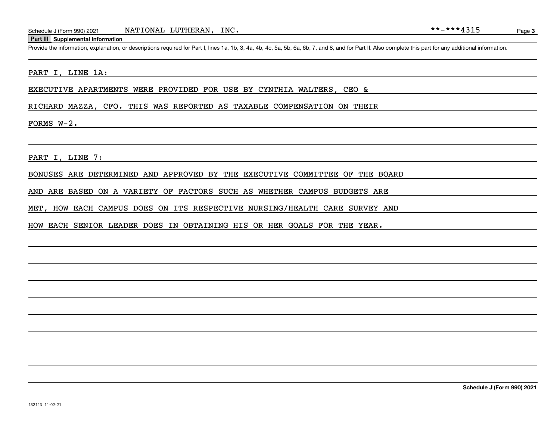#### **Part III Supplemental Information**

Schedule J (Form 990) 2021 NATIONAL LUTHERAN, INC.<br>Part III Supplemental Information<br>Provide the information, explanation, or descriptions required for Part I, lines 1a, 1b, 3, 4a, 4b, 4c, 5a, 5b, 6a, 6b, 7, and 8, and for

#### PART I, LINE 1A:

EXECUTIVE APARTMENTS WERE PROVIDED FOR USE BY CYNTHIA WALTERS, CEO &

RICHARD MAZZA, CFO. THIS WAS REPORTED AS TAXABLE COMPENSATION ON THEIR

FORMS W-2.

PART I, LINE 7:

BONUSES ARE DETERMINED AND APPROVED BY THE EXECUTIVE COMMITTEE OF THE BOARD

AND ARE BASED ON A VARIETY OF FACTORS SUCH AS WHETHER CAMPUS BUDGETS ARE

MET, HOW EACH CAMPUS DOES ON ITS RESPECTIVE NURSING/HEALTH CARE SURVEY AND

HOW EACH SENIOR LEADER DOES IN OBTAINING HIS OR HER GOALS FOR THE YEAR.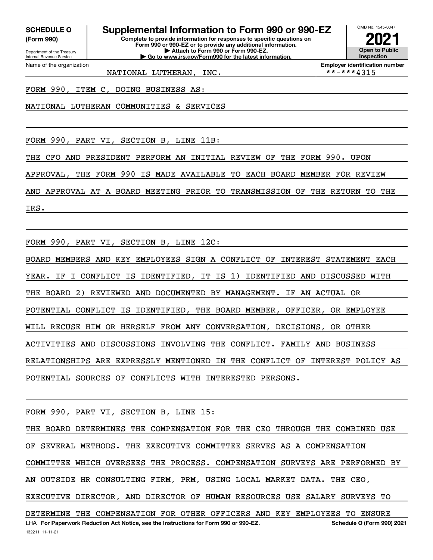**(Form 990)**

Department of the Treasury Internal Revenue Service

Name of the organization

# **SCHEDULE O Supplemental Information to Form 990 or 990-EZ**

**Complete to provide information for responses to specific questions on Form 990 or 990-EZ or to provide any additional information. | Attach to Form 990 or Form 990-EZ. | Go to www.irs.gov/Form990 for the latest information.**



**Employer identification number**<br>\* \* - \* \* \*  $4315$ 

FORM 990, ITEM C, DOING BUSINESS AS:

NATIONAL LUTHERAN COMMUNITIES & SERVICES

NATIONAL LUTHERAN, INC.

FORM 990, PART VI, SECTION B, LINE 11B:

THE CFO AND PRESIDENT PERFORM AN INITIAL REVIEW OF THE FORM 990. UPON

APPROVAL, THE FORM 990 IS MADE AVAILABLE TO EACH BOARD MEMBER FOR REVIEW

AND APPROVAL AT A BOARD MEETING PRIOR TO TRANSMISSION OF THE RETURN TO THE

IRS.

FORM 990, PART VI, SECTION B, LINE 12C:

BOARD MEMBERS AND KEY EMPLOYEES SIGN A CONFLICT OF INTEREST STATEMENT EACH YEAR. IF I CONFLICT IS IDENTIFIED, IT IS 1) IDENTIFIED AND DISCUSSED WITH THE BOARD 2) REVIEWED AND DOCUMENTED BY MANAGEMENT. IF AN ACTUAL OR POTENTIAL CONFLICT IS IDENTIFIED, THE BOARD MEMBER, OFFICER, OR EMPLOYEE WILL RECUSE HIM OR HERSELF FROM ANY CONVERSATION, DECISIONS, OR OTHER ACTIVITIES AND DISCUSSIONS INVOLVING THE CONFLICT. FAMILY AND BUSINESS RELATIONSHIPS ARE EXPRESSLY MENTIONED IN THE CONFLICT OF INTEREST POLICY AS POTENTIAL SOURCES OF CONFLICTS WITH INTERESTED PERSONS.

FORM 990, PART VI, SECTION B, LINE 15:

132211 11-11-21 LHA For Paperwork Reduction Act Notice, see the Instructions for Form 990 or 990-EZ. Schedule O (Form 990) 2021 THE BOARD DETERMINES THE COMPENSATION FOR THE CEO THROUGH THE COMBINED USE OF SEVERAL METHODS. THE EXECUTIVE COMMITTEE SERVES AS A COMPENSATION COMMITTEE WHICH OVERSEES THE PROCESS. COMPENSATION SURVEYS ARE PERFORMED BY AN OUTSIDE HR CONSULTING FIRM, PRM, USING LOCAL MARKET DATA. THE CEO, EXECUTIVE DIRECTOR, AND DIRECTOR OF HUMAN RESOURCES USE SALARY SURVEYS TO DETERMINE THE COMPENSATION FOR OTHER OFFICERS AND KEY EMPLOYEES TO ENSURE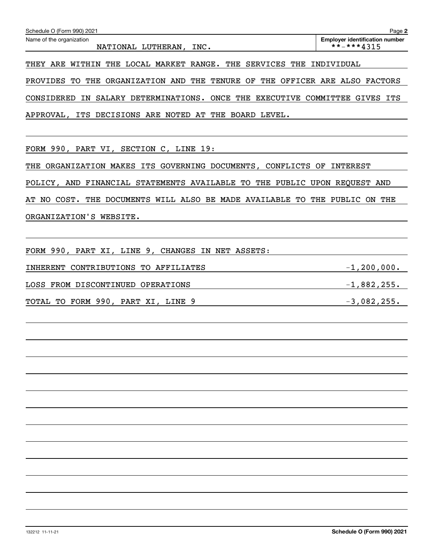| Schedule O (Form 990) 2021                                                  | Page 2                                |
|-----------------------------------------------------------------------------|---------------------------------------|
| Name of the organization                                                    | <b>Employer identification number</b> |
| NATIONAL LUTHERAN.<br>INC.                                                  | $***$ -***4315                        |
| WITHIN THE LOCAL MARKET RANGE. THE SERVICES THE INDIVIDUAL<br>ARE<br>THEY   |                                       |
|                                                                             |                                       |
| PROVIDES TO THE ORGANIZATION AND THE TENURE OF THE OFFICER ARE ALSO FACTORS |                                       |
| SALARY DETERMINATIONS. ONCE THE EXECUTIVE<br>CONSIDERED<br>IN.              | COMMITTEE<br>ITS<br>GIVES             |
| APPROVAL, ITS DECISIONS ARE NOTED AT THE BOARD LEVEL.                       |                                       |
|                                                                             |                                       |
|                                                                             |                                       |

FORM 990, PART VI, SECTION C, LINE 19:

THE ORGANIZATION MAKES ITS GOVERNING DOCUMENTS, CONFLICTS OF INTEREST POLICY, AND FINANCIAL STATEMENTS AVAILABLE TO THE PUBLIC UPON REQUEST AND AT NO COST. THE DOCUMENTS WILL ALSO BE MADE AVAILABLE TO THE PUBLIC ON THE ORGANIZATION'S WEBSITE.

| FORM 990, PART XI, LINE 9, CHANGES IN NET ASSETS: |                 |
|---------------------------------------------------|-----------------|
| INHERENT CONTRIBUTIONS TO AFFILIATES              | $-1, 200, 000.$ |
| LOSS FROM DISCONTINUED OPERATIONS                 | $-1,882,255.$   |
| TOTAL TO FORM 990, PART XI, LINE 9                | $-3,082,255.$   |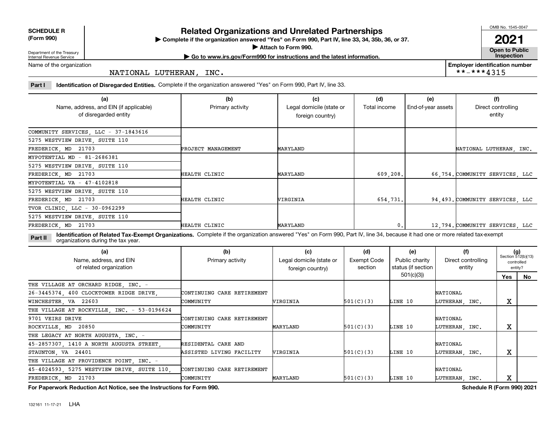**SCHEDULE R**

**(Form 990)**

#### **Related Organizations and Unrelated Partnerships**

**Complete if the organization answered "Yes" on Form 990, Part IV, line 33, 34, 35b, 36, or 37.** |

**Attach to Form 990.**  |

OMB No. 1545-0047

**Open to Public 2021**

**Employer identification number**

 $***$  \*\*\*\* 4315

Department of the Treasury Internal Revenue Service

**| Go to www.irs.gov/Form990 for instructions and the latest information. Inspection**

Name of the organization

NATIONAL LUTHERAN, INC.

**Part I Identification of Disregarded Entities.**  Complete if the organization answered "Yes" on Form 990, Part IV, line 33.

| (a)<br>Name, address, and EIN (if applicable)<br>of disregarded entity | (b)<br>Primary activity | (c)<br>Legal domicile (state or<br>foreign country) | (d)<br>Total income | (e)<br>End-of-year assets | (f)<br>Direct controlling<br>entity |  |
|------------------------------------------------------------------------|-------------------------|-----------------------------------------------------|---------------------|---------------------------|-------------------------------------|--|
| COMMUNITY SERVICES, LLC - 37-1843616                                   |                         |                                                     |                     |                           |                                     |  |
| 5275 WESTVIEW DRIVE, SUITE 110                                         |                         |                                                     |                     |                           |                                     |  |
| FREDERICK, MD 21703                                                    | PROJECT MANAGEMENT      | MARYLAND                                            |                     |                           | NATIONAL LUTHERAN, INC.             |  |
| MYPOTENTIAL MD - 81-2686381                                            |                         |                                                     |                     |                           |                                     |  |
| 5275 WESTVIEW DRIVE, SUITE 110                                         |                         |                                                     |                     |                           |                                     |  |
| FREDERICK, MD 21703                                                    | HEALTH CLINIC           | MARYLAND                                            | 609, 208.           |                           | 66,754. COMMUNITY SERVICES, LLC     |  |
| MYPOTENTIAL VA - 47-4102818                                            |                         |                                                     |                     |                           |                                     |  |
| 5275 WESTVIEW DRIVE, SUITE 110                                         |                         |                                                     |                     |                           |                                     |  |
| FREDERICK, MD 21703                                                    | HEALTH CLINIC           | <b>VIRGINIA</b>                                     | 654,731.            |                           | 94.493. COMMUNITY SERVICES. LLC     |  |
| TVOR CLINIC, LLC - 30-0962299                                          |                         |                                                     |                     |                           |                                     |  |
| 5275 WESTVIEW DRIVE, SUITE 110                                         |                         |                                                     |                     |                           |                                     |  |
| FREDERICK, MD 21703                                                    | HEALTH CLINIC           | MARYLAND                                            | 0.                  |                           | 12.794. COMMUNITY SERVICES. LLC     |  |

**Identification of Related Tax-Exempt Organizations.** Complete if the organization answered "Yes" on Form 990, Part IV, line 34, because it had one or more related tax-exempt **Part II** organizations during the tax year.

| (a)<br>Name, address, and EIN<br>of related organization | (b)<br>Primary activity    | (c)<br>Legal domicile (state or<br>foreign country) | (d)<br>Exempt Code<br>section | (e)<br>Public charity<br>status (if section | (f)<br>Direct controlling<br>entity | $(g)$<br>Section 512(b)(13)<br>controlled<br>entity? |    |
|----------------------------------------------------------|----------------------------|-----------------------------------------------------|-------------------------------|---------------------------------------------|-------------------------------------|------------------------------------------------------|----|
|                                                          |                            |                                                     |                               | 501(c)(3)                                   |                                     | Yes                                                  | No |
| THE VILLAGE AT ORCHARD RIDGE, INC. -                     |                            |                                                     |                               |                                             |                                     |                                                      |    |
| 26-3445374, 400 CLOCKTOWER RIDGE DRIVE,                  | CONTINUING CARE RETIREMENT |                                                     |                               |                                             | NATIONAL                            |                                                      |    |
| WINCHESTER, VA 22603                                     | COMMUNITY                  | WIRGINIA                                            | 501(C)(3)                     | LINE 10                                     | LUTHERAN, INC.                      | X                                                    |    |
| THE VILLAGE AT ROCKVILLE, INC. - 53-0196624              |                            |                                                     |                               |                                             |                                     |                                                      |    |
| 9701 VEIRS DRIVE                                         | CONTINUING CARE RETIREMENT |                                                     |                               |                                             | NATIONAL                            |                                                      |    |
| ROCKVILLE, MD 20850                                      | COMMUNITY                  | MARYLAND                                            | 501(C)(3)                     | LINE 10                                     | LUTHERAN, INC.                      | х                                                    |    |
| THE LEGACY AT NORTH AUGUSTA, INC. -                      |                            |                                                     |                               |                                             |                                     |                                                      |    |
| 45-2857307, 1410 A NORTH AUGUSTA STREET,                 | RESIDENTAL CARE AND        |                                                     |                               |                                             | NATIONAL                            |                                                      |    |
| STAUNTON, VA 24401                                       | ASSISTED LIVING FACILITY   | VIRGINIA                                            | 501(C)(3)                     | LINE 10                                     | LUTHERAN, INC.                      | х                                                    |    |
| THE VILLAGE AT PROVIDENCE POINT INC. -                   |                            |                                                     |                               |                                             |                                     |                                                      |    |
| 45-4024593, 5275 WESTVIEW DRIVE, SUITE 110,              | CONTINUING CARE RETIREMENT |                                                     |                               |                                             | NATIONAL                            |                                                      |    |
| FREDERICK, MD 21703                                      | COMMUNITY                  | MARYLAND                                            | 501(C)(3)                     | LINE 10                                     | LUTHERAN, INC.                      | x                                                    |    |

**For Paperwork Reduction Act Notice, see the Instructions for Form 990. Schedule R (Form 990) 2021**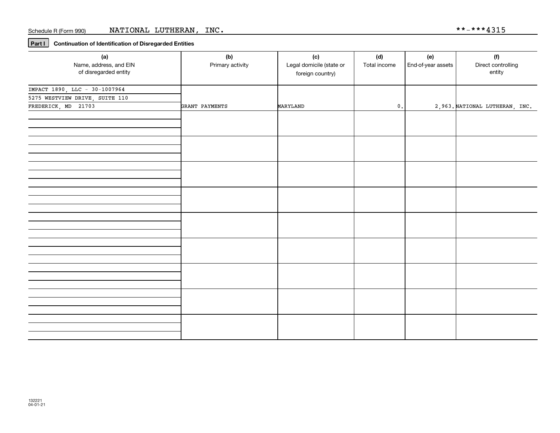**Part I Continuation of Identification of Disregarded Entities**

| (a)                                             | (b)              | (c)                                          | (d)            | (e)                | (f)                            |
|-------------------------------------------------|------------------|----------------------------------------------|----------------|--------------------|--------------------------------|
| Name, address, and EIN<br>of disregarded entity | Primary activity | Legal domicile (state or<br>foreign country) | Total income   | End-of-year assets | Direct controlling<br>entity   |
| IMPACT 1890, LLC - 30-1007964                   |                  |                                              |                |                    |                                |
| 5275 WESTVIEW DRIVE, SUITE 110                  |                  |                                              |                |                    |                                |
| FREDERICK, MD 21703                             | GRANT PAYMENTS   | MARYLAND                                     | $\mathbf{0}$ . |                    | 2,963. NATIONAL LUTHERAN, INC. |
|                                                 |                  |                                              |                |                    |                                |
|                                                 |                  |                                              |                |                    |                                |
|                                                 |                  |                                              |                |                    |                                |
|                                                 |                  |                                              |                |                    |                                |
|                                                 |                  |                                              |                |                    |                                |
|                                                 |                  |                                              |                |                    |                                |
|                                                 |                  |                                              |                |                    |                                |
|                                                 |                  |                                              |                |                    |                                |
|                                                 |                  |                                              |                |                    |                                |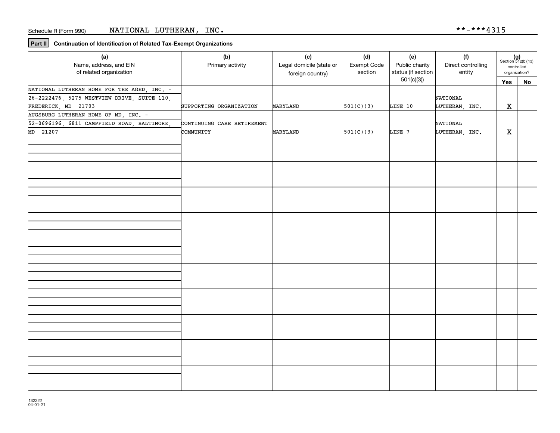**Part II Continuation of Identification of Related Tax-Exempt Organizations**

| (a)<br>Name, address, and EIN<br>of related organization | (b)<br>Primary activity    | (c)<br>Legal domicile (state or<br>foreign country) | (d)<br>Exempt Code<br>section | (e)<br>Public charity<br>status (if section | (f)<br>Direct controlling<br>entity | $(g)$<br>Section 512(b)(13)<br>controlled<br>organization? |    |
|----------------------------------------------------------|----------------------------|-----------------------------------------------------|-------------------------------|---------------------------------------------|-------------------------------------|------------------------------------------------------------|----|
|                                                          |                            |                                                     |                               | 501(c)(3)                                   |                                     | Yes                                                        | No |
| NATIONAL LUTHERAN HOME FOR THE AGED, INC. -              |                            |                                                     |                               |                                             |                                     |                                                            |    |
| 26-2222476, 5275 WESTVIEW DRIVE, SUITE 110,              |                            |                                                     |                               |                                             | <b>NATIONAL</b>                     |                                                            |    |
| FREDERICK, MD 21703                                      | SUPPORTING ORGANIZATION    | MARYLAND                                            | 501(C)(3)                     | LINE 10                                     | LUTHERAN, INC.                      | X                                                          |    |
| AUGSBURG LUTHERAN HOME OF MD, INC. -                     |                            |                                                     |                               |                                             |                                     |                                                            |    |
| 52-0696196, 6811 CAMPFIELD ROAD, BALTIMORE,              | CONTINUING CARE RETIREMENT |                                                     |                               |                                             | NATIONAL                            |                                                            |    |
| MD 21207                                                 | COMMUNITY                  | MARYLAND                                            | 501(C)(3)                     | LINE 7                                      | LUTHERAN, INC.                      | $\mathbf X$                                                |    |
|                                                          |                            |                                                     |                               |                                             |                                     |                                                            |    |
|                                                          |                            |                                                     |                               |                                             |                                     |                                                            |    |
|                                                          |                            |                                                     |                               |                                             |                                     |                                                            |    |
|                                                          |                            |                                                     |                               |                                             |                                     |                                                            |    |
|                                                          |                            |                                                     |                               |                                             |                                     |                                                            |    |
|                                                          |                            |                                                     |                               |                                             |                                     |                                                            |    |
|                                                          |                            |                                                     |                               |                                             |                                     |                                                            |    |
|                                                          |                            |                                                     |                               |                                             |                                     |                                                            |    |
|                                                          |                            |                                                     |                               |                                             |                                     |                                                            |    |
|                                                          |                            |                                                     |                               |                                             |                                     |                                                            |    |
|                                                          |                            |                                                     |                               |                                             |                                     |                                                            |    |
|                                                          |                            |                                                     |                               |                                             |                                     |                                                            |    |
|                                                          |                            |                                                     |                               |                                             |                                     |                                                            |    |
|                                                          |                            |                                                     |                               |                                             |                                     |                                                            |    |
|                                                          |                            |                                                     |                               |                                             |                                     |                                                            |    |
|                                                          |                            |                                                     |                               |                                             |                                     |                                                            |    |
|                                                          |                            |                                                     |                               |                                             |                                     |                                                            |    |
|                                                          |                            |                                                     |                               |                                             |                                     |                                                            |    |
|                                                          |                            |                                                     |                               |                                             |                                     |                                                            |    |
|                                                          |                            |                                                     |                               |                                             |                                     |                                                            |    |
|                                                          |                            |                                                     |                               |                                             |                                     |                                                            |    |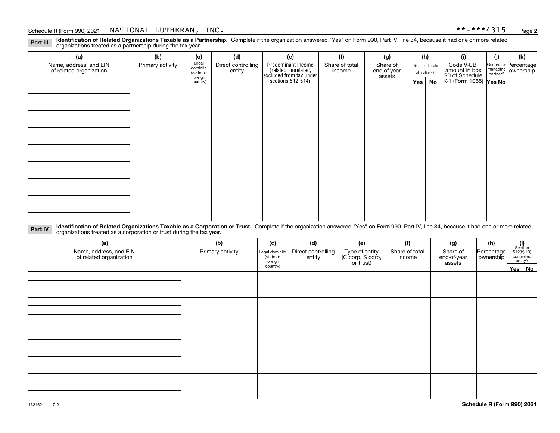#### Schedule R (Form 990) 2021  $NATIONAL$   $LUTHERAN$  ,  $\_INC$  .  $\_$  .  $\_$  .  $\_$  .  $\_$  .  $\_$  .  $\_$  .  $\frac{1}{2}$  .  $\frac{1}{2}$  .  $\_$  .  $\frac{1}{2}$  .  $\_$  .  $\_$  .  $\_$  .  $\_$  .  $\_$  .  $\_$  .  $\_$  .  $\_$  .  $\_$  .  $\_$  .  $\_$  .  $\_$  .  $\_$  .  $\_$  .  $\_$  .  $\_$

**Identification of Related Organizations Taxable as a Partnership.** Complete if the organization answered "Yes" on Form 990, Part IV, line 34, because it had one or more related **Part III** organizations treated as a partnership during the tax year.

| (a)                                               | (b)              | (c)                  | (d)                          | (e)                                                                                        | (f)                      | (g)                     |                                  | (h) | (i)                                                       | (i) | (k)                                                       |
|---------------------------------------------------|------------------|----------------------|------------------------------|--------------------------------------------------------------------------------------------|--------------------------|-------------------------|----------------------------------|-----|-----------------------------------------------------------|-----|-----------------------------------------------------------|
| Name, address, and EIN<br>of related organization | Primary activity | Legal<br>domicile    | Direct controlling<br>entity | Predominant income<br>(related, unrelated,<br>excluded from tax under<br>sections 512-514) | Share of total<br>income | Share of<br>end-of-year | Disproportionate<br>allocations? |     | Code V-UBI                                                |     | General or Percentage<br>managing<br>partner?<br>partner? |
|                                                   |                  | (state or<br>foreign |                              |                                                                                            |                          | assets                  |                                  |     |                                                           |     |                                                           |
|                                                   |                  | country)             |                              |                                                                                            |                          |                         | Yes $ $                          | No  | amount in box<br>20 of Schedule<br>K-1 (Form 1065) Yes No |     |                                                           |
|                                                   |                  |                      |                              |                                                                                            |                          |                         |                                  |     |                                                           |     |                                                           |
|                                                   |                  |                      |                              |                                                                                            |                          |                         |                                  |     |                                                           |     |                                                           |
|                                                   |                  |                      |                              |                                                                                            |                          |                         |                                  |     |                                                           |     |                                                           |
|                                                   |                  |                      |                              |                                                                                            |                          |                         |                                  |     |                                                           |     |                                                           |
|                                                   |                  |                      |                              |                                                                                            |                          |                         |                                  |     |                                                           |     |                                                           |
|                                                   |                  |                      |                              |                                                                                            |                          |                         |                                  |     |                                                           |     |                                                           |
|                                                   |                  |                      |                              |                                                                                            |                          |                         |                                  |     |                                                           |     |                                                           |
|                                                   |                  |                      |                              |                                                                                            |                          |                         |                                  |     |                                                           |     |                                                           |
|                                                   |                  |                      |                              |                                                                                            |                          |                         |                                  |     |                                                           |     |                                                           |
|                                                   |                  |                      |                              |                                                                                            |                          |                         |                                  |     |                                                           |     |                                                           |
|                                                   |                  |                      |                              |                                                                                            |                          |                         |                                  |     |                                                           |     |                                                           |
|                                                   |                  |                      |                              |                                                                                            |                          |                         |                                  |     |                                                           |     |                                                           |
|                                                   |                  |                      |                              |                                                                                            |                          |                         |                                  |     |                                                           |     |                                                           |
|                                                   |                  |                      |                              |                                                                                            |                          |                         |                                  |     |                                                           |     |                                                           |
|                                                   |                  |                      |                              |                                                                                            |                          |                         |                                  |     |                                                           |     |                                                           |
|                                                   |                  |                      |                              |                                                                                            |                          |                         |                                  |     |                                                           |     |                                                           |
|                                                   |                  |                      |                              |                                                                                            |                          |                         |                                  |     |                                                           |     |                                                           |

**Identification of Related Organizations Taxable as a Corporation or Trust.** Complete if the organization answered "Yes" on Form 990, Part IV, line 34, because it had one or more related **Part IV** organizations treated as a corporation or trust during the tax year.

| (a)<br>Name, address, and EIN<br>of related organization | (b)<br>Primary activity | (c)<br>Legal domicile<br>(state or<br>foreign | (d)<br>Direct controlling<br>entity | (e)<br>Type of entity<br>(C corp, S corp,<br>or trust) | (f)<br>Share of total<br>income | (g)<br>Share of<br>end-of-year<br>assets | (h)<br>Percentage<br>ownership | $\begin{array}{c} \textbf{(i)}\\ \text{Section}\\ 512 \text{(b)} \text{(13)}\\ \text{controlled}\\ \text{entity?} \end{array}$ |  |  |  |  |
|----------------------------------------------------------|-------------------------|-----------------------------------------------|-------------------------------------|--------------------------------------------------------|---------------------------------|------------------------------------------|--------------------------------|--------------------------------------------------------------------------------------------------------------------------------|--|--|--|--|
|                                                          |                         | country)                                      |                                     |                                                        |                                 |                                          |                                | Yes   No                                                                                                                       |  |  |  |  |
|                                                          |                         |                                               |                                     |                                                        |                                 |                                          |                                |                                                                                                                                |  |  |  |  |
|                                                          |                         |                                               |                                     |                                                        |                                 |                                          |                                |                                                                                                                                |  |  |  |  |
|                                                          |                         |                                               |                                     |                                                        |                                 |                                          |                                |                                                                                                                                |  |  |  |  |
|                                                          |                         |                                               |                                     |                                                        |                                 |                                          |                                |                                                                                                                                |  |  |  |  |
|                                                          |                         |                                               |                                     |                                                        |                                 |                                          |                                |                                                                                                                                |  |  |  |  |
|                                                          |                         |                                               |                                     |                                                        |                                 |                                          |                                |                                                                                                                                |  |  |  |  |
|                                                          |                         |                                               |                                     |                                                        |                                 |                                          |                                |                                                                                                                                |  |  |  |  |
|                                                          |                         |                                               |                                     |                                                        |                                 |                                          |                                |                                                                                                                                |  |  |  |  |
|                                                          |                         |                                               |                                     |                                                        |                                 |                                          |                                |                                                                                                                                |  |  |  |  |
|                                                          |                         |                                               |                                     |                                                        |                                 |                                          |                                |                                                                                                                                |  |  |  |  |
|                                                          |                         |                                               |                                     |                                                        |                                 |                                          |                                |                                                                                                                                |  |  |  |  |
|                                                          |                         |                                               |                                     |                                                        |                                 |                                          |                                |                                                                                                                                |  |  |  |  |
|                                                          |                         |                                               |                                     |                                                        |                                 |                                          |                                |                                                                                                                                |  |  |  |  |
|                                                          |                         |                                               |                                     |                                                        |                                 |                                          |                                |                                                                                                                                |  |  |  |  |
|                                                          |                         |                                               |                                     |                                                        |                                 |                                          |                                |                                                                                                                                |  |  |  |  |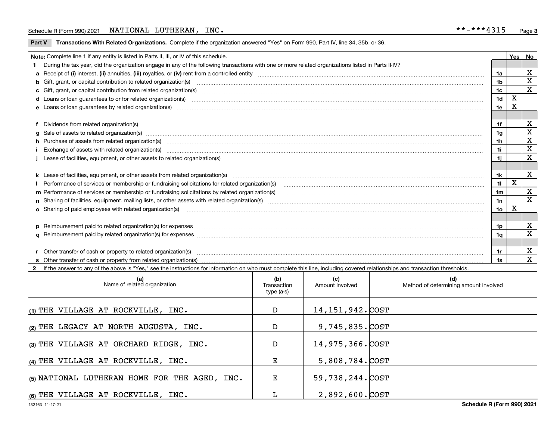#### Schedule R (Form 990) 2021  $NATIONAL$   $LUTHERAN$  ,  $\_INC$  .  $\_$  .  $\_$  .  $\_$  .  $\_$  .  $\_$  .  $\_$  .  $\frac{1}{2}$  .  $\frac{1}{2}$  .  $\_$  .  $\frac{1}{2}$  .  $\_$  .  $\_$  .  $\_$  .  $\_$  .  $\_$  .  $\_$  .  $\_$  .  $\_$  .  $\_$  .  $\_$  .  $\_$  .  $\_$  .  $\_$  .  $\_$  .  $\_$  .  $\_$

**Part V** T**ransactions With Related Organizations.** Complete if the organization answered "Yes" on Form 990, Part IV, line 34, 35b, or 36.

| Note: Complete line 1 if any entity is listed in Parts II, III, or IV of this schedule.                                                                                                                                        |                | <b>Yes</b> | No          |
|--------------------------------------------------------------------------------------------------------------------------------------------------------------------------------------------------------------------------------|----------------|------------|-------------|
| During the tax year, did the organization engage in any of the following transactions with one or more related organizations listed in Parts II-IV?                                                                            |                |            |             |
|                                                                                                                                                                                                                                |                |            | X           |
|                                                                                                                                                                                                                                | 1b             |            | X           |
| c Gift, grant, or capital contribution from related organization(s) manufaction contains and content of the contribution from related organization(s) manufaction contains and contribution from related organization(s) manuf | 1c             |            | X           |
|                                                                                                                                                                                                                                | 1 <sub>d</sub> | X          |             |
|                                                                                                                                                                                                                                | 1e             |            |             |
|                                                                                                                                                                                                                                |                |            |             |
| f Dividends from related organization(s) manufactured contains and contained a series of the contact of the contact of the contact of the contact of the contact of the contact of the contact of the contact of the contact o | 1f             |            | х           |
| g Sale of assets to related organization(s) www.assettion.com/www.assettion.com/www.assettion.com/www.assettion.com/www.assettion.com/www.assettion.com/www.assettion.com/www.assettion.com/www.assettion.com/www.assettion.co | 1g             |            | X           |
| h Purchase of assets from related organization(s) manufactured and content to the content of the content of the content of the content of the content of the content of the content of the content of the content of the conte | 1h             |            | X           |
| Exchange of assets with related organization(s) www.communically.communically contract and a strategy of assets with related organization(s) www.communically.communically contract and a strategy of a strategy of a strategy | 1i.            |            | $\mathbf X$ |
|                                                                                                                                                                                                                                | 1i.            |            | X           |
|                                                                                                                                                                                                                                |                |            |             |
| k Lease of facilities, equipment, or other assets from related organization(s) manufaction content and content to the content of facilities, equipment, or other assets from related organization(s) manufaction content and c | 1k             |            | X           |
| Performance of services or membership or fundraising solicitations for related organization(s)                                                                                                                                 | 11             | X          |             |
| m Performance of services or membership or fundraising solicitations by related organization(s)                                                                                                                                | 1m             |            | X           |
|                                                                                                                                                                                                                                | 1n             |            | $\mathbf x$ |
| <b>o</b> Sharing of paid employees with related organization(s)                                                                                                                                                                | 1o             | X          |             |
|                                                                                                                                                                                                                                |                |            |             |
| p Reimbursement paid to related organization(s) for expenses [1111] and manufacture manufacture manufacture manufacture manufacture manufacture manufacture manufacture manufacture manufacture manufacture manufacture manufa | 1p             |            | х           |
|                                                                                                                                                                                                                                | 1a             |            | X           |
|                                                                                                                                                                                                                                |                |            |             |
| r Other transfer of cash or property to related organization(s)                                                                                                                                                                | 1r             |            | X           |
|                                                                                                                                                                                                                                |                |            | X           |

**2**If the answer to any of the above is "Yes," see the instructions for information on who must complete this line, including covered relationships and transaction thresholds.

| (a)<br>Name of related organization           | (b)<br>Transaction<br>type (a-s) | (c)<br>Amount involved | (d)<br>Method of determining amount involved |
|-----------------------------------------------|----------------------------------|------------------------|----------------------------------------------|
| $(1)$ THE VILLAGE AT ROCKVILLE, INC.          | D                                | 14, 151, 942. COST     |                                              |
| (2) THE LEGACY AT NORTH AUGUSTA, INC.         | D                                | 9,745,835.COST         |                                              |
| (3) THE VILLAGE AT ORCHARD RIDGE, INC.        | D                                | 14,975,366.COST        |                                              |
| (4) THE VILLAGE AT ROCKVILLE, INC.            | Е                                | 5,808,784.COST         |                                              |
| (5) NATIONAL LUTHERAN HOME FOR THE AGED, INC. | Е.                               | 59,738,244.COST        |                                              |
| (6) THE VILLAGE AT ROCKVILLE, INC.            |                                  | $2,892,600$ . $COST$   |                                              |

 $\overline{\phantom{a}}$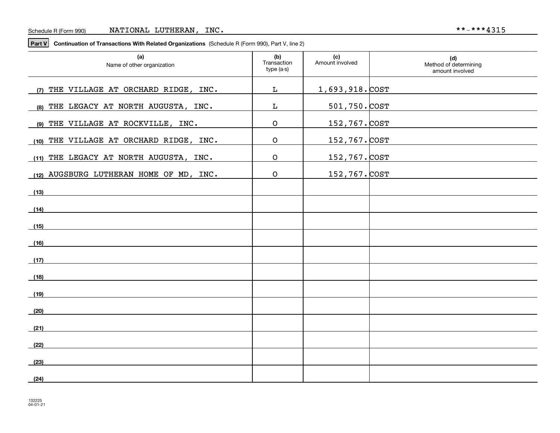**Part V Continuation of Transactions With Related Organizations**  (Schedule R (Form 990), Part V, line 2)

| (a)<br>Name of other organization       | (b)<br>Transaction<br>type (a-s) | (c)<br>Amount involved | (d)<br>Method of determining<br>amount involved |
|-----------------------------------------|----------------------------------|------------------------|-------------------------------------------------|
| (7) THE VILLAGE AT ORCHARD RIDGE, INC.  | L                                | 1,693,918. COST        |                                                 |
| (8) THE LEGACY AT NORTH AUGUSTA, INC.   | L                                | $501,750.$ COST        |                                                 |
| (9) THE VILLAGE AT ROCKVILLE, INC.      | $\mathsf O$                      | 152,767. COST          |                                                 |
| (10) THE VILLAGE AT ORCHARD RIDGE, INC. | $\mathsf O$                      | 152,767. COST          |                                                 |
| (11) THE LEGACY AT NORTH AUGUSTA, INC.  | $\mathsf O$                      | 152,767. COST          |                                                 |
| (12) AUGSBURG LUTHERAN HOME OF MD, INC. | $\mathsf O$                      | 152,767. COST          |                                                 |
| (13)                                    |                                  |                        |                                                 |
| (14)                                    |                                  |                        |                                                 |
| (15)                                    |                                  |                        |                                                 |
| (16)                                    |                                  |                        |                                                 |
|                                         |                                  |                        |                                                 |
| (17)                                    |                                  |                        |                                                 |
| (18)                                    |                                  |                        |                                                 |
| (19)                                    |                                  |                        |                                                 |
| (20)                                    |                                  |                        |                                                 |
| (21)                                    |                                  |                        |                                                 |
| (22)                                    |                                  |                        |                                                 |
| (23)                                    |                                  |                        |                                                 |
| (24)                                    |                                  |                        |                                                 |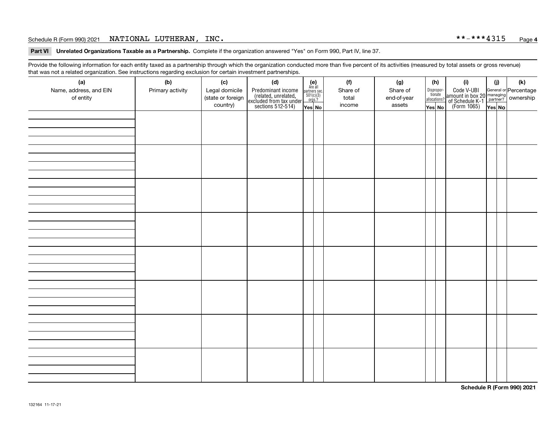#### Schedule R (Form 990) 2021  $NATIONAL$   $LUTHERAN$  ,  $\_INC$  .  $\_$  .  $\_$  .  $\_$  .  $\_$  .  $\_$  .  $\_$  .  $\frac{1}{2}$  .  $\frac{1}{2}$  .  $\_$  .  $\frac{1}{2}$  .  $\_$  .  $\_$  .  $\_$  .  $\_$  .  $\_$  .  $\_$  .  $\_$  .  $\_$  .  $\_$  .  $\_$  .  $\_$  .  $\_$  .  $\_$  .  $\_$  .  $\_$  .  $\_$

**Part VI Unrelated Organizations Taxable as a Partnership. Complete if the organization answered "Yes" on Form 990, Part IV, line 37.** 

Provide the following information for each entity taxed as a partnership through which the organization conducted more than five percent of its activities (measured by total assets or gross revenue) that was not a related organization. See instructions regarding exclusion for certain investment partnerships.

| ີ<br>(a)<br>Name, address, and EIN<br>of entity | $\tilde{}$<br>(b)<br>Primary activity | (c)<br>Legal domicile<br>(state or foreign<br>country) | (d)<br>Predominant income<br>(related, unrelated,<br>excluded from tax under<br>sections 512-514) | $(e)$<br>Are all<br>partners sec.<br>$501(c)(3)$<br>$orgs.?$<br>Yes No | (f)<br>Share of<br>total<br>income | (g)<br>Share of<br>end-of-year<br>assets | (h)<br>Dispropor-<br>tionate<br>allocations?<br>Yes No | (i)<br>Code V-UBI<br>amount in box 20 managing<br>of Schedule K-1 partner? ownership<br>(Form 1065)<br>ves No | (i)<br>Yes No | (k) |
|-------------------------------------------------|---------------------------------------|--------------------------------------------------------|---------------------------------------------------------------------------------------------------|------------------------------------------------------------------------|------------------------------------|------------------------------------------|--------------------------------------------------------|---------------------------------------------------------------------------------------------------------------|---------------|-----|
|                                                 |                                       |                                                        |                                                                                                   |                                                                        |                                    |                                          |                                                        |                                                                                                               |               |     |
|                                                 |                                       |                                                        |                                                                                                   |                                                                        |                                    |                                          |                                                        |                                                                                                               |               |     |
|                                                 |                                       |                                                        |                                                                                                   |                                                                        |                                    |                                          |                                                        |                                                                                                               |               |     |
|                                                 |                                       |                                                        |                                                                                                   |                                                                        |                                    |                                          |                                                        |                                                                                                               |               |     |
|                                                 |                                       |                                                        |                                                                                                   |                                                                        |                                    |                                          |                                                        |                                                                                                               |               |     |
|                                                 |                                       |                                                        |                                                                                                   |                                                                        |                                    |                                          |                                                        |                                                                                                               |               |     |
|                                                 |                                       |                                                        |                                                                                                   |                                                                        |                                    |                                          |                                                        |                                                                                                               |               |     |
|                                                 |                                       |                                                        |                                                                                                   |                                                                        |                                    |                                          |                                                        |                                                                                                               |               |     |

**Schedule R (Form 990) 2021**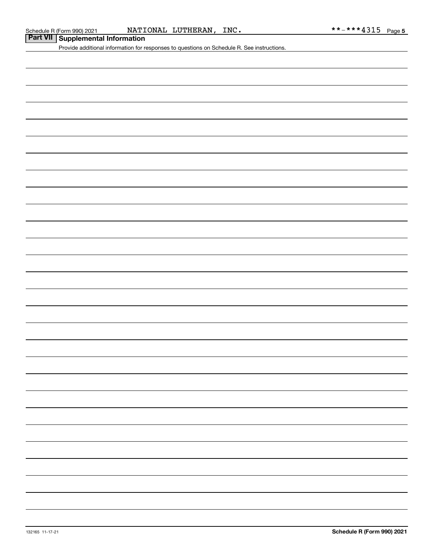Schedule R (Form 990) 2021 Page NATIONAL LUTHERAN, INC. \*\*-\*\*\*4315

|  | Part VII Supplemental Information |
|--|-----------------------------------|
|--|-----------------------------------|

Provide additional information for responses to questions on Schedule R. See instructions.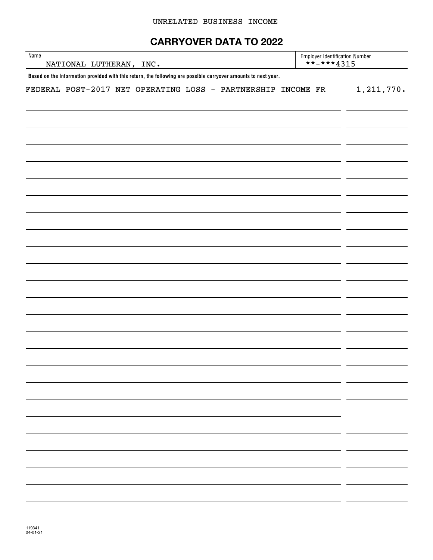# **CARRYOVER DATA TO 2022**

| Name<br>NATIONAL LUTHERAN, INC.                                                                                | <b>Employer Identification Number</b><br>**-***4315 |              |
|----------------------------------------------------------------------------------------------------------------|-----------------------------------------------------|--------------|
| Based on the information provided with this return, the following are possible carryover amounts to next year. |                                                     |              |
| FEDERAL POST-2017 NET OPERATING LOSS - PARTNERSHIP INCOME FR                                                   |                                                     | 1, 211, 770. |
|                                                                                                                |                                                     |              |
|                                                                                                                |                                                     |              |
|                                                                                                                |                                                     |              |
|                                                                                                                |                                                     |              |
|                                                                                                                |                                                     |              |
|                                                                                                                |                                                     |              |
|                                                                                                                |                                                     |              |
|                                                                                                                |                                                     |              |
|                                                                                                                |                                                     |              |
|                                                                                                                |                                                     |              |
|                                                                                                                |                                                     |              |
|                                                                                                                |                                                     |              |
|                                                                                                                |                                                     |              |
|                                                                                                                |                                                     |              |
|                                                                                                                |                                                     |              |
|                                                                                                                |                                                     |              |
|                                                                                                                |                                                     |              |
|                                                                                                                |                                                     |              |
|                                                                                                                |                                                     |              |
|                                                                                                                |                                                     |              |
|                                                                                                                |                                                     |              |
|                                                                                                                |                                                     |              |
|                                                                                                                |                                                     |              |
|                                                                                                                |                                                     |              |
|                                                                                                                |                                                     |              |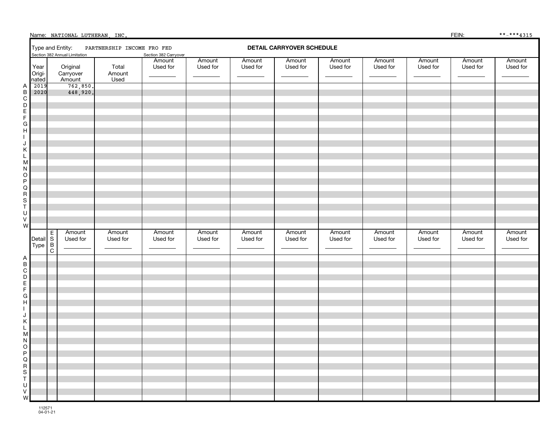|                                                                                                                       |   | Name: NATIONAL LUTHERAN, INC.                     |                            |                       |                    |                    |                                  |                    |                    |                    | FEIN:              | **_****4315        |
|-----------------------------------------------------------------------------------------------------------------------|---|---------------------------------------------------|----------------------------|-----------------------|--------------------|--------------------|----------------------------------|--------------------|--------------------|--------------------|--------------------|--------------------|
|                                                                                                                       |   | Type and Entity:<br>Section 382 Annual Limitation | PARTNERSHIP INCOME FRO FED | Section 382 Carryover |                    |                    | <b>DETAIL CARRYOVER SCHEDULE</b> |                    |                    |                    |                    |                    |
| Year<br>Origi-<br>nated                                                                                               |   | Original<br>Carryover<br>Amount                   | Total<br>Amount<br>Used    | Amount<br>Used for    | Amount<br>Used for | Amount<br>Used for | Amount<br>Used for               | Amount<br>Used for | Amount<br>Used for | Amount<br>Used for | Amount<br>Used for | Amount<br>Used for |
| 2019<br>ABCDEFGHI<br>2020<br>$\sf J$                                                                                  |   | 762,850.<br>448,920.                              |                            |                       |                    |                    |                                  |                    |                    |                    |                    |                    |
| $\vdash \emptyset \land \neg \bigcirc \neg \bigcirc \neg \neg \neg \neg \neg \neg$<br>$\mathsf U$<br>$\mathsf V$<br>W | Е | Amount                                            | Amount                     | Amount                | Amount             | Amount             | Amount                           | Amount             | Amount             | Amount             | Amount             | Amount             |
| Detail S<br>Type B<br>C<br>$\begin{array}{c}\n - \bot & \square & \square & \square & \square & \square\n\end{array}$ |   | Used for                                          | Used for                   | Used for              | Used for           | Used for           | Used for                         | Used for           | Used for           | Used for           | Used for           | Used for           |
| ${\sf W}$                                                                                                             |   |                                                   |                            |                       |                    |                    |                                  |                    |                    |                    |                    |                    |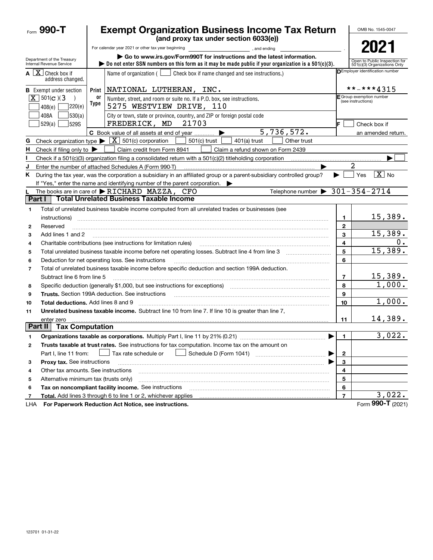|                | Form $990 - T$                                                                         |            | <b>Exempt Organization Business Income Tax Return</b>                                                                                                                                                                          |                                                | OMB No. 1545-0047                                             |  |  |
|----------------|----------------------------------------------------------------------------------------|------------|--------------------------------------------------------------------------------------------------------------------------------------------------------------------------------------------------------------------------------|------------------------------------------------|---------------------------------------------------------------|--|--|
|                |                                                                                        |            | (and proxy tax under section 6033(e))                                                                                                                                                                                          |                                                |                                                               |  |  |
|                |                                                                                        |            | For calendar year 2021 or other tax year beginning<br>and ending, and ending                                                                                                                                                   |                                                | 2021                                                          |  |  |
|                | Department of the Treasury<br>Internal Revenue Service                                 |            | Go to www.irs.gov/Form990T for instructions and the latest information.<br>$\triangleright$ Do not enter SSN numbers on this form as it may be made public if your organization is a 501(c)(3).                                |                                                | Open to Public Inspection for<br>501(c)(3) Organizations Only |  |  |
|                | $\mathbf{A} \begin{bmatrix} \mathbf{X} \end{bmatrix}$ Check box if<br>address changed. |            | Name of organization $($ $\Box$ Check box if name changed and see instructions.)                                                                                                                                               |                                                | <b>DEmployer identification number</b>                        |  |  |
|                | <b>B</b> Exempt under section                                                          |            | Print   NATIONAL LUTHERAN, INC.                                                                                                                                                                                                |                                                | **-***4315                                                    |  |  |
|                | $X \ 501(c)$ (3<br>7220(e)<br>408(e)                                                   | 0r<br>Type | Number, street, and room or suite no. If a P.O. box, see instructions.<br>5275 WESTVIEW DRIVE, 110                                                                                                                             | F Group exemption number<br>(see instructions) |                                                               |  |  |
|                | 530(a) <br>408A<br>529S<br>529(a)                                                      |            | City or town, state or province, country, and ZIP or foreign postal code<br>FREDERICK, MD<br>21703                                                                                                                             |                                                | Check box if                                                  |  |  |
|                |                                                                                        |            | 5,736,572.<br>C Book value of all assets at end of year                                                                                                                                                                        |                                                | an amended return.                                            |  |  |
| G              |                                                                                        |            | Check organization type $\blacktriangleright \lfloor \underline{X} \rfloor$ 501(c) corporation<br>$501(c)$ trust<br>$401(a)$ trust<br>Other trust                                                                              |                                                |                                                               |  |  |
| н.             | Check if filing only to $\blacktriangleright$                                          |            | Claim credit from Form 8941<br>Claim a refund shown on Form 2439                                                                                                                                                               |                                                |                                                               |  |  |
|                |                                                                                        |            |                                                                                                                                                                                                                                |                                                |                                                               |  |  |
| J              |                                                                                        |            | Enter the number of attached Schedules A (Form 990-T)                                                                                                                                                                          |                                                | 2                                                             |  |  |
| K.             |                                                                                        |            | During the tax year, was the corporation a subsidiary in an affiliated group or a parent-subsidiary controlled group?                                                                                                          |                                                | $\boxed{\text{X}}$ No<br>Yes                                  |  |  |
|                |                                                                                        |            | If "Yes," enter the name and identifying number of the parent corporation.                                                                                                                                                     |                                                |                                                               |  |  |
|                |                                                                                        |            | Telephone number $\triangleright$ 301-354-2714<br>The books are in care of RICHARD MAZZA, CFO                                                                                                                                  |                                                |                                                               |  |  |
| Part I         |                                                                                        |            | <b>Total Unrelated Business Taxable Income</b>                                                                                                                                                                                 |                                                |                                                               |  |  |
| 1              |                                                                                        |            | Total of unrelated business taxable income computed from all unrelated trades or businesses (see                                                                                                                               |                                                |                                                               |  |  |
|                | instructions)                                                                          |            |                                                                                                                                                                                                                                | 1                                              | 15,389.                                                       |  |  |
| $\mathbf{2}$   | Reserved                                                                               |            |                                                                                                                                                                                                                                | 2                                              |                                                               |  |  |
| 3              | Add lines 1 and 2                                                                      |            |                                                                                                                                                                                                                                | 3                                              | 15,389.                                                       |  |  |
| 4              |                                                                                        |            | Charitable contributions (see instructions for limitation rules)                                                                                                                                                               | 4                                              | 0.                                                            |  |  |
| 5              |                                                                                        |            |                                                                                                                                                                                                                                | 5                                              | 15,389.                                                       |  |  |
| 6              |                                                                                        |            | Deduction for net operating loss. See instructions                                                                                                                                                                             | 6                                              |                                                               |  |  |
| $\overline{7}$ |                                                                                        |            | Total of unrelated business taxable income before specific deduction and section 199A deduction.                                                                                                                               |                                                |                                                               |  |  |
|                | Subtract line 6 from line 5                                                            |            |                                                                                                                                                                                                                                | $\overline{7}$                                 | $\frac{15,389.}{1,000.}$                                      |  |  |
| 8              |                                                                                        |            | Specific deduction (generally \$1,000, but see instructions for exceptions) manufactured contains an exception of                                                                                                              | 8                                              |                                                               |  |  |
| 9              |                                                                                        |            | Trusts. Section 199A deduction. See instructions [11] material content in the section 199A deduction. See instructions [11] material content in the section of the section of the section of the section of the section of the | 9                                              |                                                               |  |  |
| 10             | Total deductions. Add lines 8 and 9                                                    |            |                                                                                                                                                                                                                                | 10                                             | 1,000.                                                        |  |  |
| 11             |                                                                                        |            | Unrelated business taxable income. Subtract line 10 from line 7. If line 10 is greater than line 7.                                                                                                                            |                                                |                                                               |  |  |
| Part II        | enter zero<br><b>Tax Computation</b>                                                   |            |                                                                                                                                                                                                                                | 11                                             | 14,389.                                                       |  |  |
|                |                                                                                        |            |                                                                                                                                                                                                                                |                                                | 3,022.                                                        |  |  |
|                |                                                                                        |            | Organizations taxable as corporations. Multiply Part I, line 11 by 21% (0.21)                                                                                                                                                  | 1                                              |                                                               |  |  |
| 2              |                                                                                        |            | Trusts taxable at trust rates. See instructions for tax computation. Income tax on the amount on                                                                                                                               |                                                |                                                               |  |  |
|                | Part I, line 11 from:                                                                  |            | Tax rate schedule or                                                                                                                                                                                                           | 2                                              |                                                               |  |  |
| з              | Proxy tax. See instructions                                                            |            |                                                                                                                                                                                                                                | 3                                              |                                                               |  |  |
| 4              | Other tax amounts. See instructions                                                    |            |                                                                                                                                                                                                                                | 4                                              |                                                               |  |  |
| 5              | Alternative minimum tax (trusts only)                                                  |            |                                                                                                                                                                                                                                | 5                                              |                                                               |  |  |
| 6              |                                                                                        |            | Tax on noncompliant facility income. See instructions                                                                                                                                                                          | 6                                              | 3,022.                                                        |  |  |
| 7              |                                                                                        |            | Total. Add lines 3 through 6 to line 1 or 2, whichever applies                                                                                                                                                                 | $\overline{7}$                                 | Form 990-T (2021)                                             |  |  |
| LHA            |                                                                                        |            | For Paperwork Reduction Act Notice, see instructions.                                                                                                                                                                          |                                                |                                                               |  |  |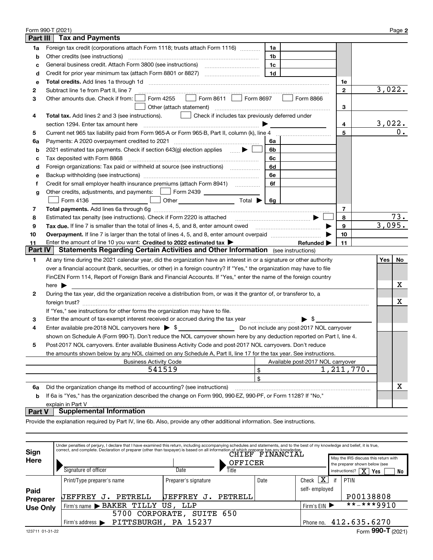|                | Form 990-T (2021)                                                                                                        |                |                                   |              |        | Page 2 |
|----------------|--------------------------------------------------------------------------------------------------------------------------|----------------|-----------------------------------|--------------|--------|--------|
| Part III       | <b>Tax and Payments</b>                                                                                                  |                |                                   |              |        |        |
| 1a             | Foreign tax credit (corporations attach Form 1118; trusts attach Form 1116)                                              | 1a             |                                   |              |        |        |
| b              | Other credits (see instructions)                                                                                         | 1b             |                                   |              |        |        |
| c              |                                                                                                                          | 1c             |                                   |              |        |        |
| d              |                                                                                                                          | 1 <sub>d</sub> |                                   |              |        |        |
| е              |                                                                                                                          |                |                                   | 1е           |        |        |
| 2              | Subtract line 1e from Part II, line 7                                                                                    |                |                                   | $\mathbf{2}$ | 3,022. |        |
| З              | $\Box$ Form 8611 Form 8697<br>Form 4255<br>Other amounts due. Check if from:                                             |                | Form 8866                         |              |        |        |
|                |                                                                                                                          |                |                                   | 3            |        |        |
| 4              | Total tax. Add lines 2 and 3 (see instructions).<br>  Check if includes tax previously deferred under                    |                |                                   |              |        |        |
|                |                                                                                                                          |                |                                   | 4            | 3,022. |        |
| 5              |                                                                                                                          |                |                                   | 5            |        | 0.     |
| 6a             | Payments: A 2020 overpayment credited to 2021 [11] [12] [12] [13] [13] Payments: A 2020 overpayment credited to 2021     | 6a             |                                   |              |        |        |
| b              | 2021 estimated tax payments. Check if section 643(g) election applies  ▶                                                 | 6b             |                                   |              |        |        |
| с              | Tax deposited with Form 8868                                                                                             | 6с             |                                   |              |        |        |
| d              | Foreign organizations: Tax paid or withheld at source (see instructions) [                                               | 6d             |                                   |              |        |        |
| е              |                                                                                                                          | 6e             |                                   |              |        |        |
| f              | Credit for small employer health insurance premiums (attach Form 8941)                                                   | 6f             |                                   |              |        |        |
| g              |                                                                                                                          |                |                                   |              |        |        |
|                | $\Box$<br>Other $\overline{\hspace{1cm}}$ Total $\overline{\hspace{1cm}}$ $\overline{\hspace{1cm}}$ Gg                   |                |                                   |              |        |        |
| 7              |                                                                                                                          |                |                                   | 7            |        |        |
| 8              | Estimated tax penalty (see instructions). Check if Form 2220 is attached                                                 |                |                                   | 8            |        | 73.    |
| 9              | Tax due. If line 7 is smaller than the total of lines 4, 5, and 8, enter amount owed <i>manumenon conduction</i>         |                |                                   | 9            | 3,095. |        |
| 10             |                                                                                                                          |                |                                   | 10           |        |        |
| 11             | Enter the amount of line 10 you want: Credited to 2022 estimated tax >                                                   |                | Refunded $\blacktriangleright$    | 11           |        |        |
| <b>Part IV</b> | <b>Statements Regarding Certain Activities and Other Information</b> (see instructions)                                  |                |                                   |              |        |        |
| 1              | At any time during the 2021 calendar year, did the organization have an interest in or a signature or other authority    |                |                                   |              | Yes    | No     |
|                | over a financial account (bank, securities, or other) in a foreign country? If "Yes," the organization may have to file  |                |                                   |              |        |        |
|                | FinCEN Form 114, Report of Foreign Bank and Financial Accounts. If "Yes," enter the name of the foreign country          |                |                                   |              |        |        |
|                | here $\blacktriangleright$                                                                                               |                |                                   |              |        | х      |
| 2              | During the tax year, did the organization receive a distribution from, or was it the grantor of, or transferor to, a     |                |                                   |              |        |        |
|                |                                                                                                                          |                |                                   |              |        | х      |
|                | If "Yes," see instructions for other forms the organization may have to file.                                            |                |                                   |              |        |        |
| 3              | Enter the amount of tax-exempt interest received or accrued during the tax year manufactured in the amount of            |                | $\blacktriangleright$ \$          |              |        |        |
| 4              | Enter available pre-2018 NOL carryovers here $\triangleright$ \$                                                         |                |                                   |              |        |        |
|                | shown on Schedule A (Form 990-T). Don't reduce the NOL carryover shown here by any deduction reported on Part I, line 4. |                |                                   |              |        |        |
|                | Post-2017 NOL carryovers. Enter available Business Activity Code and post-2017 NOL carryovers. Don't reduce              |                |                                   |              |        |        |
|                | the amounts shown below by any NOL claimed on any Schedule A, Part II, line 17 for the tax year. See instructions.       |                |                                   |              |        |        |
|                | <b>Business Activity Code</b>                                                                                            |                | Available post-2017 NOL carryover |              |        |        |
|                | 541519<br>\$                                                                                                             |                |                                   | 1, 211, 770. |        |        |
|                | \$                                                                                                                       |                |                                   |              |        |        |
| 6a             | Did the organization change its method of accounting? (see instructions)                                                 |                |                                   |              |        | X      |
| b              | If 6a is "Yes," has the organization described the change on Form 990, 990-EZ, 990-PF, or Form 1128? If "No,"            |                |                                   |              |        |        |
|                | explain in Part V                                                                                                        |                |                                   |              |        |        |

#### **Part V Supplemental Information**

Provide the explanation required by Part IV, line 6b. Also, provide any other additional information. See instructions.

| Sign            | Under penalties of perjury, I declare that I have examined this return, including accompanying schedules and statements, and to the best of my knowledge and belief, it is true,<br>correct, and complete. Declaration of preparer (other than taxpayer) is based on all information of which preparer has any knowledge. |                       |       |                  |                                  |    |                                                                       |
|-----------------|---------------------------------------------------------------------------------------------------------------------------------------------------------------------------------------------------------------------------------------------------------------------------------------------------------------------------|-----------------------|-------|------------------|----------------------------------|----|-----------------------------------------------------------------------|
| Here            |                                                                                                                                                                                                                                                                                                                           | OFFICER               |       |                  |                                  |    | May the IRS discuss this return with<br>the preparer shown below (see |
|                 | Signature of officer                                                                                                                                                                                                                                                                                                      | Date                  | Title |                  |                                  |    | $\overline{\text{X}}$ .<br>$instructions$ ?<br>Yes<br>No              |
|                 | Print/Type preparer's name                                                                                                                                                                                                                                                                                                | Preparer's signature  |       | Date             | $\overline{\textbf{X}}$<br>Check | if | PTIN                                                                  |
| Paid            |                                                                                                                                                                                                                                                                                                                           |                       |       |                  | self-employed                    |    |                                                                       |
| <b>Preparer</b> | PETRELL<br><b>UEFFREY</b><br>υ.                                                                                                                                                                                                                                                                                           | PETRELL<br>UEFFREY J. |       |                  |                                  |    | P00138808                                                             |
| <b>Use Only</b> | Firm's name BAKER<br>TILLY US.                                                                                                                                                                                                                                                                                            | Firm's EIN ▶          |       | $***$ $***$ 9910 |                                  |    |                                                                       |
|                 | CORPORATE,<br>5700                                                                                                                                                                                                                                                                                                        |                       |       |                  |                                  |    |                                                                       |
|                 | PITTSBURGH,<br>Firm's address $\blacktriangleright$                                                                                                                                                                                                                                                                       | PA 15237              |       |                  | Phone no.                        |    | 412.635.6270                                                          |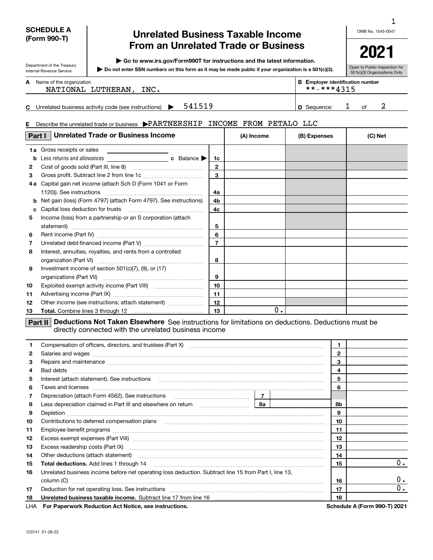#### **SCHEDULE A (Form 990-T)**

Department of the Treasury Internal Revenue Service

**E**

# **Unrelated Business Taxable Income From an Unrelated Trade or Business**

**| Go to www.irs.gov/Form990T for instructions and the latest information.**

**Do not enter SSN numbers on this form as it may be made public if your organization is a 501(c)(3). |** 

OMB No. 1545-0047 1

**2021**

| Open to Public Inspection for |  |  |
|-------------------------------|--|--|
| 501(c)(3) Organizations Only  |  |  |

| A Name of the organization | <b>B</b> Employer identification number |
|----------------------------|-----------------------------------------|
|                            |                                         |

| NATIONAL LUTHERAN, | INC. | **_***4315 |
|--------------------|------|------------|
|                    |      |            |

|  | $\mathbf{u}$<br>business<br>e (see instructions)<br>s activity code<br>Jnrelated '<br>ieauence<br>n |  |
|--|-----------------------------------------------------------------------------------------------------|--|
|--|-----------------------------------------------------------------------------------------------------|--|

#### Describe the unrelated trade or business  $\blacktriangleright$  PARTNERSHIP INCOME FROM PETALO LLC

| Part I | <b>Unrelated Trade or Business Income</b>                                                                           |              | (A) Income | (B) Expenses | (C) Net |
|--------|---------------------------------------------------------------------------------------------------------------------|--------------|------------|--------------|---------|
|        | <b>1a</b> Gross receipts or sales<br><u> 1989 - John Stein, amerikansk politiker (</u>                              |              |            |              |         |
| b      |                                                                                                                     | 1c           |            |              |         |
| 2      |                                                                                                                     | $\mathbf{2}$ |            |              |         |
| 3      |                                                                                                                     | $\mathbf{a}$ |            |              |         |
| 4а     | Capital gain net income (attach Sch D (Form 1041 or Form                                                            |              |            |              |         |
|        |                                                                                                                     | 4a           |            |              |         |
| b      | Net gain (loss) (Form 4797) (attach Form 4797). See instructions)                                                   | 4b           |            |              |         |
| c      |                                                                                                                     | 4c           |            |              |         |
| 5      | Income (loss) from a partnership or an S corporation (attach                                                        |              |            |              |         |
|        |                                                                                                                     | 5            |            |              |         |
| 6      |                                                                                                                     | 6            |            |              |         |
| 7      |                                                                                                                     |              |            |              |         |
| 8      | Interest, annuities, royalties, and rents from a controlled                                                         |              |            |              |         |
|        |                                                                                                                     | 8            |            |              |         |
| 9      | Investment income of section 501(c)(7), (9), or (17)                                                                |              |            |              |         |
|        |                                                                                                                     | 9            |            |              |         |
| 10     |                                                                                                                     | 10           |            |              |         |
| 11     |                                                                                                                     | 11           |            |              |         |
| 12     | Other income (see instructions; attach statement)                                                                   | 12           |            |              |         |
| 13     |                                                                                                                     | 13           | 0.         |              |         |
|        | <b>Deductions Not Taken Elsewhere</b> See instructions for limitations on deductions. Deductions must be<br>Part II |              |            |              |         |

directly connected with the unrelated business income

| 1.           | Compensation of officers, directors, and trustees (Part X) [11] [2000] [2000] [2000] [2000] [2000] [2000] [2000] [2000] [2000] [2000] [2000] [2000] [2000] [2000] [2000] [2000] [2000] [2000] [2000] [2000] [2000] [2000] [200 |  | $\mathbf{1}$ |                              |
|--------------|--------------------------------------------------------------------------------------------------------------------------------------------------------------------------------------------------------------------------------|--|--------------|------------------------------|
| $\mathbf{2}$ |                                                                                                                                                                                                                                |  | $\mathbf{2}$ |                              |
| 3            | Repairs and maintenance measurements and maintenance contracts and maintenance measurements and maintenance measurements.                                                                                                      |  | 3            |                              |
| 4            |                                                                                                                                                                                                                                |  | 4            |                              |
| 5            | Interest (attach statement). See instructions                                                                                                                                                                                  |  | 5            |                              |
| 6            | Taxes and licenses <b>communications</b> and constructions are all the constructions and licenses <b>constructions</b>                                                                                                         |  | 6            |                              |
| 7            |                                                                                                                                                                                                                                |  |              |                              |
| 8            |                                                                                                                                                                                                                                |  | 8b           |                              |
| 9            |                                                                                                                                                                                                                                |  | 9            |                              |
| 10           |                                                                                                                                                                                                                                |  | 10           |                              |
| 11           |                                                                                                                                                                                                                                |  | 11           |                              |
| 12           |                                                                                                                                                                                                                                |  | 12           |                              |
| 13           |                                                                                                                                                                                                                                |  | 13           |                              |
| 14           |                                                                                                                                                                                                                                |  | 14           |                              |
| 15           |                                                                                                                                                                                                                                |  | 15           | 0.                           |
| 16           | Unrelated business income before net operating loss deduction. Subtract line 15 from Part I, line 13,                                                                                                                          |  |              |                              |
|              | column (C)                                                                                                                                                                                                                     |  | 16           | 0.                           |
| 17           |                                                                                                                                                                                                                                |  | 17           | 0.                           |
| 18           | Unrelated business taxable income. Subtract line 17 from line 16 [11] manuscriptions in the universe state of                                                                                                                  |  | 18           |                              |
|              | LHA For Paperwork Reduction Act Notice, see instructions.                                                                                                                                                                      |  |              | Schedule A (Form 990-T) 2021 |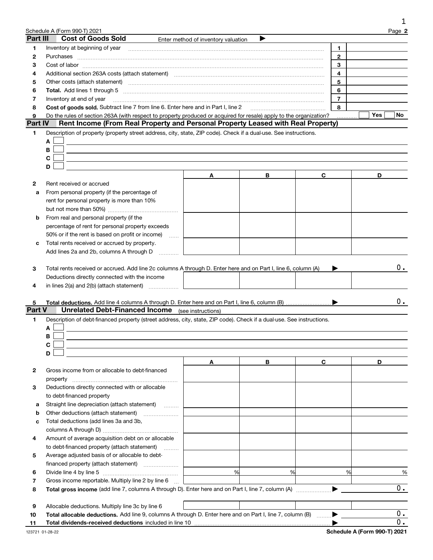| Part III<br>1 | Schedule A (Form 990-T) 2021                                                                                                                                  |                                     |   |   |                         |     |        |
|---------------|---------------------------------------------------------------------------------------------------------------------------------------------------------------|-------------------------------------|---|---|-------------------------|-----|--------|
|               | <b>Cost of Goods Sold</b>                                                                                                                                     |                                     |   |   |                         |     | Page 2 |
|               |                                                                                                                                                               | Enter method of inventory valuation |   |   |                         |     |        |
| 2             | Purchases                                                                                                                                                     |                                     |   |   | 1<br>$\overline{2}$     |     |        |
| з             |                                                                                                                                                               |                                     |   |   | 3                       |     |        |
| 4             | Additional section 263A costs (attach statement) material content and according to the Additional section 263A                                                |                                     |   |   | $\overline{\mathbf{4}}$ |     |        |
| 5             | Other costs (attach statement) manufactured and according to the costs (attach statement) and according to the                                                |                                     |   |   | 5                       |     |        |
| 6             |                                                                                                                                                               |                                     |   |   | 6                       |     |        |
| 7             | Inventory at end of year                                                                                                                                      |                                     |   |   | $\overline{7}$          |     |        |
| 8             | Cost of goods sold. Subtract line 7 from line 6. Enter here and in Part I, line 2 [11, 1111 1111 1111 1111 111                                                |                                     |   |   | 8                       |     |        |
| 9             | Do the rules of section 263A (with respect to property produced or acquired for resale) apply to the organization?                                            |                                     |   |   |                         | Yes | No     |
| Part IV       | Rent Income (From Real Property and Personal Property Leased with Real Property)                                                                              |                                     |   |   |                         |     |        |
| 1             | Description of property (property street address, city, state, ZIP code). Check if a dual-use. See instructions.                                              |                                     |   |   |                         |     |        |
| A             |                                                                                                                                                               |                                     |   |   |                         |     |        |
| В             |                                                                                                                                                               |                                     |   |   |                         |     |        |
| C             |                                                                                                                                                               |                                     |   |   |                         |     |        |
| D             |                                                                                                                                                               |                                     |   |   |                         |     |        |
|               |                                                                                                                                                               | Α                                   | В | C |                         | D   |        |
| 2             | Rent received or accrued                                                                                                                                      |                                     |   |   |                         |     |        |
| a             | From personal property (if the percentage of                                                                                                                  |                                     |   |   |                         |     |        |
|               | rent for personal property is more than 10%                                                                                                                   |                                     |   |   |                         |     |        |
|               |                                                                                                                                                               |                                     |   |   |                         |     |        |
| b             | From real and personal property (if the                                                                                                                       |                                     |   |   |                         |     |        |
|               | percentage of rent for personal property exceeds                                                                                                              |                                     |   |   |                         |     |        |
|               | 50% or if the rent is based on profit or income)                                                                                                              |                                     |   |   |                         |     |        |
| c             | Total rents received or accrued by property.                                                                                                                  |                                     |   |   |                         |     |        |
|               | Add lines 2a and 2b, columns A through D                                                                                                                      |                                     |   |   |                         |     |        |
|               |                                                                                                                                                               |                                     |   |   |                         |     | $0$ .  |
| 3             | Total rents received or accrued. Add line 2c columns A through D. Enter here and on Part I, line 6, column (A)                                                |                                     |   |   |                         |     |        |
|               | Deductions directly connected with the income                                                                                                                 |                                     |   |   |                         |     |        |
| 4             | in lines 2(a) and 2(b) (attach statement)                                                                                                                     |                                     |   |   |                         |     |        |
| 5             |                                                                                                                                                               |                                     |   |   |                         |     | 0.     |
| <b>Part V</b> | <b>Unrelated Debt-Financed Income</b> (see instructions)                                                                                                      |                                     |   |   |                         |     |        |
| 1             | Description of debt-financed property (street address, city, state, ZIP code). Check if a dual-use. See instructions.                                         |                                     |   |   |                         |     |        |
| A             |                                                                                                                                                               |                                     |   |   |                         |     |        |
| В             |                                                                                                                                                               |                                     |   |   |                         |     |        |
| С             |                                                                                                                                                               |                                     |   |   |                         |     |        |
| D             |                                                                                                                                                               |                                     |   |   |                         |     |        |
|               |                                                                                                                                                               | Α                                   | В | C |                         | D   |        |
| 2             | Gross income from or allocable to debt-financed                                                                                                               |                                     |   |   |                         |     |        |
|               | property                                                                                                                                                      |                                     |   |   |                         |     |        |
| 3             | Deductions directly connected with or allocable                                                                                                               |                                     |   |   |                         |     |        |
|               | to debt-financed property                                                                                                                                     |                                     |   |   |                         |     |        |
| а             | Straight line depreciation (attach statement)<br>.                                                                                                            |                                     |   |   |                         |     |        |
| b             | Other deductions (attach statement)                                                                                                                           |                                     |   |   |                         |     |        |
| c             | Total deductions (add lines 3a and 3b,                                                                                                                        |                                     |   |   |                         |     |        |
|               |                                                                                                                                                               |                                     |   |   |                         |     |        |
| 4             | Amount of average acquisition debt on or allocable                                                                                                            |                                     |   |   |                         |     |        |
|               | to debt-financed property (attach statement)                                                                                                                  |                                     |   |   |                         |     |        |
| 5             | Average adjusted basis of or allocable to debt-                                                                                                               |                                     |   |   |                         |     |        |
|               |                                                                                                                                                               |                                     |   |   |                         |     |        |
| 6             |                                                                                                                                                               | %                                   | % |   | %                       |     | %      |
|               | Gross income reportable. Multiply line 2 by line 6                                                                                                            |                                     |   |   |                         |     |        |
| 7             |                                                                                                                                                               |                                     |   |   |                         |     | 0.     |
| 8             |                                                                                                                                                               |                                     |   |   |                         |     |        |
|               |                                                                                                                                                               |                                     |   |   |                         |     |        |
| 9<br>10       | Allocable deductions. Multiply line 3c by line 6<br>Total allocable deductions. Add line 9, columns A through D. Enter here and on Part I, line 7, column (B) |                                     |   |   |                         |     | 0.     |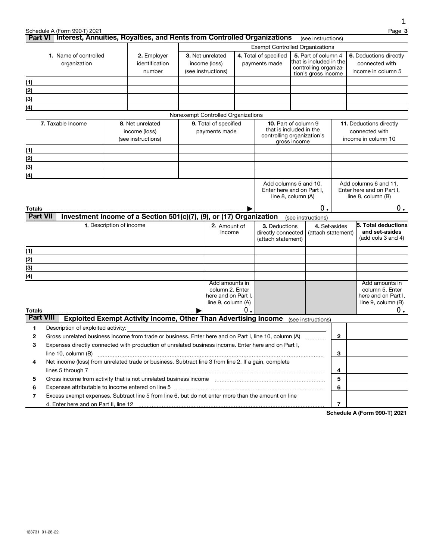|                           | Schedule A (Form 990-T) 2021<br>Part VI Interest, Annuities, Royalties, and Rents from Controlled Organizations |                                                                                                                                                                                                                                                                   |                                                                                           |                                                                                |    |                                                                                      |              |                          |               | Page 3                                                                               |
|---------------------------|-----------------------------------------------------------------------------------------------------------------|-------------------------------------------------------------------------------------------------------------------------------------------------------------------------------------------------------------------------------------------------------------------|-------------------------------------------------------------------------------------------|--------------------------------------------------------------------------------|----|--------------------------------------------------------------------------------------|--------------|--------------------------|---------------|--------------------------------------------------------------------------------------|
|                           |                                                                                                                 |                                                                                                                                                                                                                                                                   |                                                                                           |                                                                                |    |                                                                                      |              | (see instructions)       |               |                                                                                      |
|                           | 1. Name of controlled<br>organization                                                                           | <b>Exempt Controlled Organizations</b><br>3. Net unrelated<br>4. Total of specified<br>5. Part of column 4<br>2. Employer<br>that is included in the<br>identification<br>income (loss)<br>payments made<br>controlling organiza-<br>(see instructions)<br>number |                                                                                           | tion's gross income                                                            |    | <b>6.</b> Deductions directly<br>connected with<br>income in column 5                |              |                          |               |                                                                                      |
| (1)                       |                                                                                                                 |                                                                                                                                                                                                                                                                   |                                                                                           |                                                                                |    |                                                                                      |              |                          |               |                                                                                      |
| (2)                       |                                                                                                                 |                                                                                                                                                                                                                                                                   |                                                                                           |                                                                                |    |                                                                                      |              |                          |               |                                                                                      |
| (3)                       |                                                                                                                 |                                                                                                                                                                                                                                                                   |                                                                                           |                                                                                |    |                                                                                      |              |                          |               |                                                                                      |
| (4)                       |                                                                                                                 |                                                                                                                                                                                                                                                                   |                                                                                           |                                                                                |    |                                                                                      |              |                          |               |                                                                                      |
|                           |                                                                                                                 |                                                                                                                                                                                                                                                                   |                                                                                           | Nonexempt Controlled Organizations                                             |    |                                                                                      |              |                          |               |                                                                                      |
|                           | 7. Taxable Income                                                                                               |                                                                                                                                                                                                                                                                   | 8. Net unrelated<br>income (loss)<br>(see instructions)                                   | 9. Total of specified<br>payments made                                         |    | <b>10.</b> Part of column 9<br>that is included in the<br>controlling organization's | gross income |                          |               | <b>11.</b> Deductions directly<br>connected with<br>income in column 10              |
| (1)                       |                                                                                                                 |                                                                                                                                                                                                                                                                   |                                                                                           |                                                                                |    |                                                                                      |              |                          |               |                                                                                      |
| (2)                       |                                                                                                                 |                                                                                                                                                                                                                                                                   |                                                                                           |                                                                                |    |                                                                                      |              |                          |               |                                                                                      |
| (3)                       |                                                                                                                 |                                                                                                                                                                                                                                                                   |                                                                                           |                                                                                |    |                                                                                      |              |                          |               |                                                                                      |
| (4)                       |                                                                                                                 |                                                                                                                                                                                                                                                                   |                                                                                           |                                                                                |    |                                                                                      |              |                          |               |                                                                                      |
|                           |                                                                                                                 |                                                                                                                                                                                                                                                                   |                                                                                           |                                                                                |    | Add columns 5 and 10.<br>Enter here and on Part I.<br>line 8, column (A)             |              |                          |               | Add columns 6 and 11.<br>Enter here and on Part I,<br>line $8$ , column $(B)$        |
| Totals<br><b>Part VII</b> |                                                                                                                 |                                                                                                                                                                                                                                                                   | Investment Income of a Section 501(c)(7), (9), or (17) Organization                       |                                                                                |    |                                                                                      |              | О.<br>(see instructions) |               | 0.                                                                                   |
|                           |                                                                                                                 | 1. Description of income                                                                                                                                                                                                                                          |                                                                                           | 2. Amount of<br>income                                                         |    | 3. Deductions<br>directly connected<br>(attach statement)                            |              | (attach statement)       | 4. Set-asides | 5. Total deductions<br>and set-asides<br>(add cols 3 and 4)                          |
| (1)                       |                                                                                                                 |                                                                                                                                                                                                                                                                   |                                                                                           |                                                                                |    |                                                                                      |              |                          |               |                                                                                      |
| (2)                       |                                                                                                                 |                                                                                                                                                                                                                                                                   |                                                                                           |                                                                                |    |                                                                                      |              |                          |               |                                                                                      |
| (3)                       |                                                                                                                 |                                                                                                                                                                                                                                                                   |                                                                                           |                                                                                |    |                                                                                      |              |                          |               |                                                                                      |
| (4)<br>Totals             |                                                                                                                 |                                                                                                                                                                                                                                                                   |                                                                                           | Add amounts in<br>column 2. Enter<br>here and on Part I,<br>line 9, column (A) | Ω. |                                                                                      |              |                          |               | Add amounts in<br>column 5. Enter<br>here and on Part I,<br>line 9, column (B)<br>0. |
| <b>Part VIII</b>          |                                                                                                                 |                                                                                                                                                                                                                                                                   | <b>Exploited Exempt Activity Income, Other Than Advertising Income</b> (see instructions) |                                                                                |    |                                                                                      |              |                          |               |                                                                                      |
| 1                         | Description of exploited activity:                                                                              |                                                                                                                                                                                                                                                                   |                                                                                           |                                                                                |    |                                                                                      |              |                          |               |                                                                                      |
| $\mathbf{2}$              | Gross unrelated business income from trade or business. Enter here and on Part I, line 10, column (A)           |                                                                                                                                                                                                                                                                   |                                                                                           |                                                                                |    |                                                                                      |              | .                        | 2             |                                                                                      |
| з                         | Expenses directly connected with production of unrelated business income. Enter here and on Part I,             |                                                                                                                                                                                                                                                                   |                                                                                           |                                                                                |    |                                                                                      |              |                          |               |                                                                                      |
|                           | line 10, column $(B)$                                                                                           |                                                                                                                                                                                                                                                                   |                                                                                           |                                                                                |    |                                                                                      |              |                          | 3             |                                                                                      |
| 4                         | Net income (loss) from unrelated trade or business. Subtract line 3 from line 2. If a gain, complete            |                                                                                                                                                                                                                                                                   |                                                                                           |                                                                                |    |                                                                                      |              |                          |               |                                                                                      |
|                           | lines 5 through 7 www.communication.com/www.communication.com/www.communication.com/www.com/www.com             |                                                                                                                                                                                                                                                                   |                                                                                           |                                                                                |    |                                                                                      |              |                          | 4             |                                                                                      |
| 5                         |                                                                                                                 |                                                                                                                                                                                                                                                                   |                                                                                           |                                                                                |    |                                                                                      |              |                          | 5             |                                                                                      |
| 6                         | Expenses attributable to income entered on line 5 [111] [12] material contents at the income entered on line 5  |                                                                                                                                                                                                                                                                   |                                                                                           |                                                                                |    |                                                                                      |              |                          | 6             |                                                                                      |
| 7                         | Excess exempt expenses. Subtract line 5 from line 6, but do not enter more than the amount on line              |                                                                                                                                                                                                                                                                   |                                                                                           |                                                                                |    |                                                                                      |              |                          |               |                                                                                      |
|                           |                                                                                                                 |                                                                                                                                                                                                                                                                   |                                                                                           |                                                                                |    |                                                                                      |              |                          | 7             |                                                                                      |

**Schedule A (Form 990-T) 2021**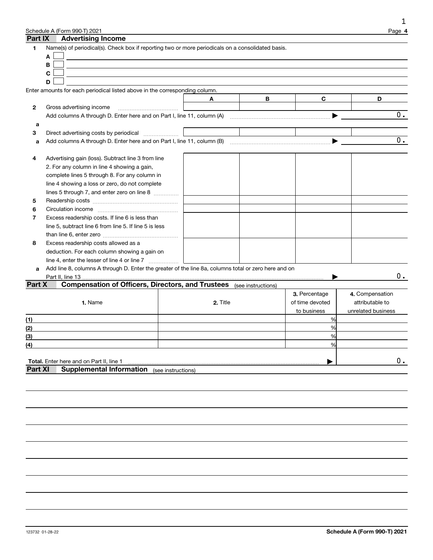|                | Schedule A (Form 990-T) 2021                                                                         |                    |                    |                 | Page 4             |
|----------------|------------------------------------------------------------------------------------------------------|--------------------|--------------------|-----------------|--------------------|
| Part IX        | <b>Advertising Income</b>                                                                            |                    |                    |                 |                    |
| 1              | Name(s) of periodical(s). Check box if reporting two or more periodicals on a consolidated basis.    |                    |                    |                 |                    |
|                | Α                                                                                                    |                    |                    |                 |                    |
|                | В                                                                                                    |                    |                    |                 |                    |
|                | C                                                                                                    |                    |                    |                 |                    |
|                | D                                                                                                    |                    |                    |                 |                    |
|                | Enter amounts for each periodical listed above in the corresponding column.                          |                    |                    |                 |                    |
|                |                                                                                                      | A                  | В                  | C               | D                  |
| 2              | Gross advertising income                                                                             |                    |                    |                 |                    |
|                | Add columns A through D. Enter here and on Part I, line 11, column (A)                               |                    |                    |                 | $0$ .              |
| a              |                                                                                                      |                    |                    |                 |                    |
| 3              |                                                                                                      |                    |                    |                 |                    |
| a              |                                                                                                      |                    |                    |                 | $0$ .              |
|                |                                                                                                      |                    |                    |                 |                    |
|                |                                                                                                      |                    |                    |                 |                    |
| 4              | Advertising gain (loss). Subtract line 3 from line                                                   |                    |                    |                 |                    |
|                | 2. For any column in line 4 showing a gain,                                                          |                    |                    |                 |                    |
|                | complete lines 5 through 8. For any column in                                                        |                    |                    |                 |                    |
|                | line 4 showing a loss or zero, do not complete                                                       |                    |                    |                 |                    |
|                | lines 5 through 7, and enter zero on line 8                                                          |                    |                    |                 |                    |
| 5              |                                                                                                      |                    |                    |                 |                    |
| 6              |                                                                                                      |                    |                    |                 |                    |
| 7              | Excess readership costs. If line 6 is less than                                                      |                    |                    |                 |                    |
|                | line 5, subtract line 6 from line 5. If line 5 is less                                               |                    |                    |                 |                    |
|                |                                                                                                      |                    |                    |                 |                    |
| 8              | Excess readership costs allowed as a                                                                 |                    |                    |                 |                    |
|                | deduction. For each column showing a gain on                                                         |                    |                    |                 |                    |
|                | line 4, enter the lesser of line 4 or line 7                                                         |                    |                    |                 |                    |
| a              | Add line 8, columns A through D. Enter the greater of the line 8a, columns total or zero here and on |                    |                    |                 |                    |
|                |                                                                                                      |                    |                    |                 | $0$ .              |
| Part X         | <b>Compensation of Officers, Directors, and Trustees</b>                                             |                    | (see instructions) |                 |                    |
|                |                                                                                                      |                    |                    | 3. Percentage   | 4. Compensation    |
|                | 1. Name                                                                                              | 2. Title           |                    | of time devoted | attributable to    |
|                |                                                                                                      |                    |                    | to business     | unrelated business |
| (1)            |                                                                                                      |                    |                    | %               |                    |
| (2)            |                                                                                                      |                    |                    | %               |                    |
| (3)            |                                                                                                      |                    |                    | %               |                    |
| (4)            |                                                                                                      |                    |                    | %               |                    |
|                |                                                                                                      |                    |                    |                 |                    |
|                | Total. Enter here and on Part II, line 1                                                             |                    |                    |                 | $0$ .              |
| <b>Part XI</b> | <b>Supplemental Information</b>                                                                      | (see instructions) |                    |                 |                    |
|                |                                                                                                      |                    |                    |                 |                    |
|                |                                                                                                      |                    |                    |                 |                    |
|                |                                                                                                      |                    |                    |                 |                    |
|                |                                                                                                      |                    |                    |                 |                    |
|                |                                                                                                      |                    |                    |                 |                    |
|                |                                                                                                      |                    |                    |                 |                    |
|                |                                                                                                      |                    |                    |                 |                    |
|                |                                                                                                      |                    |                    |                 |                    |
|                |                                                                                                      |                    |                    |                 |                    |
|                |                                                                                                      |                    |                    |                 |                    |
|                |                                                                                                      |                    |                    |                 |                    |
|                |                                                                                                      |                    |                    |                 |                    |
|                |                                                                                                      |                    |                    |                 |                    |

1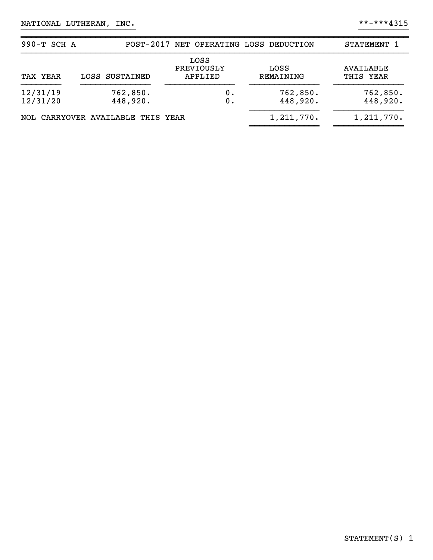| 990-T SCH A          |                                   | POST-2017 NET OPERATING LOSS DEDUCTION |                   | STATEMENT 1            |
|----------------------|-----------------------------------|----------------------------------------|-------------------|------------------------|
| TAX YEAR             | LOSS SUSTAINED                    | LOSS<br>PREVIOUSLY<br>APPLIED          | LOSS<br>REMAINING | AVAILABLE<br>THIS YEAR |
| 12/31/19<br>12/31/20 | 762,850.<br>448,920.              | ο.<br>0.                               |                   | 762,850.<br>448,920.   |
|                      | NOL CARRYOVER AVAILABLE THIS YEAR |                                        | 1,211,770.        | 1, 211, 770.           |

}}}}}}}}}}}}}}}}}}}}}}} }}}}}}}}}}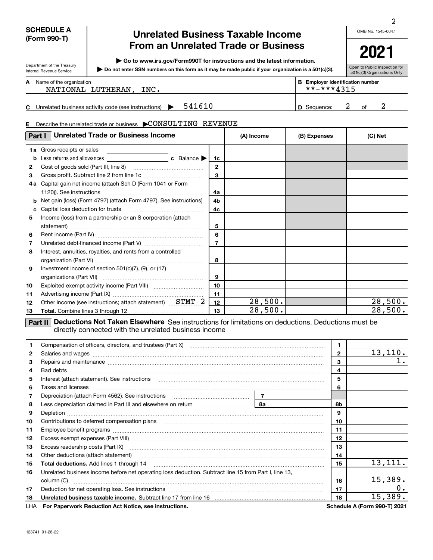#### **SCHEDULE A (Form 990-T)**

Department of the Treasury Internal Revenue Service

# **Unrelated Business Taxable Income From an Unrelated Trade or Business**

**| Go to www.irs.gov/Form990T for instructions and the latest information.**

**Do not enter SSN numbers on this form as it may be made public if your organization is a 501(c)(3). |** 

**2021**

Open to Public Inspection for 501(c)(3) Organizations Only

| A | Name of the organization |
|---|--------------------------|
|---|--------------------------|

| ne of the organization |      | <b>B</b> Employer identification number |
|------------------------|------|-----------------------------------------|
| NATIONAL LUTHERAN,     | INC. | **-***4315                              |
|                        |      |                                         |

**C** Unrelated business activity code (see instructions)  $\rightarrow$  541610  $\rightarrow$  10 Sequence: 2 of 541610 **D** Sequence: 2 of 2

#### Describe the unrelated trade or business  $\,$   $\blacktriangleright$   $\!{\mathbb C}{\rm ONSULTIME}\,$   $\,$   $\!{\rm REVENUE}$

| E. | Describe the unrelated trade or business CONSULTING REVENUE                                                     |                  |            |              |         |
|----|-----------------------------------------------------------------------------------------------------------------|------------------|------------|--------------|---------|
|    | <b>Unrelated Trade or Business Income</b><br>Part I                                                             |                  | (A) Income | (B) Expenses | (C) Net |
| 1a | Gross receipts or sales<br><u> 1980 - Jan Samuel Barbara, poeta esta</u>                                        |                  |            |              |         |
| b  |                                                                                                                 | 1c               |            |              |         |
| 2  |                                                                                                                 | $\mathbf{2}$     |            |              |         |
| 3  |                                                                                                                 | $\mathbf{a}$     |            |              |         |
| 4а | Capital gain net income (attach Sch D (Form 1041 or Form                                                        |                  |            |              |         |
|    | 1120)). See instructions                                                                                        | 4a               |            |              |         |
|    | <b>b</b> Net gain (loss) (Form 4797) (attach Form 4797). See instructions)                                      | 4b               |            |              |         |
| c. | Capital loss deduction for trusts [100] [100] capital loss deduction for trusts [100] [100] [100] [100] [100] [ | 4 <sub>c</sub>   |            |              |         |
| 5. | Income (loss) from a partnership or an S corporation (attach                                                    |                  |            |              |         |
|    | statement)                                                                                                      | 5                |            |              |         |
| 6  |                                                                                                                 | 6                |            |              |         |
| 7  |                                                                                                                 | $\overline{7}$   |            |              |         |
| 8  | Interest, annuities, royalties, and rents from a controlled                                                     |                  |            |              |         |
|    |                                                                                                                 | 8                |            |              |         |
| 9  | Investment income of section $501(c)(7)$ , $(9)$ , or $(17)$                                                    |                  |            |              |         |
|    |                                                                                                                 | 9                |            |              |         |
| 10 |                                                                                                                 | 10 <sup>10</sup> |            |              |         |
| 11 |                                                                                                                 | 11               |            |              |         |
| 12 | Other income (see instructions; attach statement) STMT 2                                                        | 12               | 28,500.    |              | 28,500. |
| 13 |                                                                                                                 | 13               | 28,500.    |              | 28,500. |
|    | mental Badications Mat Talent Flooriland Original College Protection and alternatives. Building and alternative |                  |            |              |         |

**Part II** Deductions Not Taken Elsewhere See instructions for limitations on deductions. Deductions must be directly connected with the unrelated business income

| 1. | Compensation of officers, directors, and trustees (Part X) [11] [2010] [2010] [2010] [2010] [2010] [2010] [2010] [3010] [2010] [2010] [3010] [3010] [3010] [3010] [3010] [3010] [3010] [3010] [3010] [3010] [3010] [3010] [301            |    | $\mathbf{1}$ |                                     |
|----|-------------------------------------------------------------------------------------------------------------------------------------------------------------------------------------------------------------------------------------------|----|--------------|-------------------------------------|
| 2  | Salaries and wages <b>construction and construction of the set of the set of the set of the set of the set of the set of the set of the set of the set of the set of the set of the set of the set of the set of the set of the </b>      |    | $\mathbf{2}$ | 13, 110.                            |
| 3  | Repairs and maintenance measurements are all and the series of the series and maintenance measurements and maintenance                                                                                                                    |    | 3            |                                     |
| 4  | Bad debts                                                                                                                                                                                                                                 |    | 4            |                                     |
| 5  | Interest (attach statement). See instructions                                                                                                                                                                                             |    | 5            |                                     |
| 6  | Taxes and licenses <b>communications</b> and interests and interests and licenses <b>contract to the contract of the contract of the contract of the contract of the contract of the contract of the contract of the contract of the </b> |    | 6            |                                     |
| 7  |                                                                                                                                                                                                                                           |    |              |                                     |
| 8  |                                                                                                                                                                                                                                           | 8а | 8b           |                                     |
| 9  |                                                                                                                                                                                                                                           |    | 9            |                                     |
| 10 | Contributions to deferred compensation plans [10] matter contracts and the contributions to deferred compensation plans                                                                                                                   |    | 10           |                                     |
| 11 |                                                                                                                                                                                                                                           |    | 11           |                                     |
| 12 | Excess exempt expenses (Part VIII) <b>manually constructed and all excess exempt expenses</b> (Part VIII)                                                                                                                                 |    | 12           |                                     |
| 13 |                                                                                                                                                                                                                                           |    | 13           |                                     |
| 14 | Other deductions (attach statement) manufactured and content of the deductions (attach statement)                                                                                                                                         |    | 14           |                                     |
| 15 | <b>Total deductions.</b> Add lines 1 through 14                                                                                                                                                                                           |    | 15           | 13, 111.                            |
| 16 | Unrelated business income before net operating loss deduction. Subtract line 15 from Part I, line 13,                                                                                                                                     |    |              |                                     |
|    | column (C)                                                                                                                                                                                                                                |    | 16           | 15,389.                             |
| 17 |                                                                                                                                                                                                                                           |    | 17           | 0.                                  |
| 18 | Unrelated business taxable income. Subtract line 17 from line 16 [11] manusure controller throw manusure to the                                                                                                                           |    | 18           | 15,389.                             |
|    | LHA For Paperwork Reduction Act Notice, see instructions.                                                                                                                                                                                 |    |              | <b>Schedule A (Form 990-T) 2021</b> |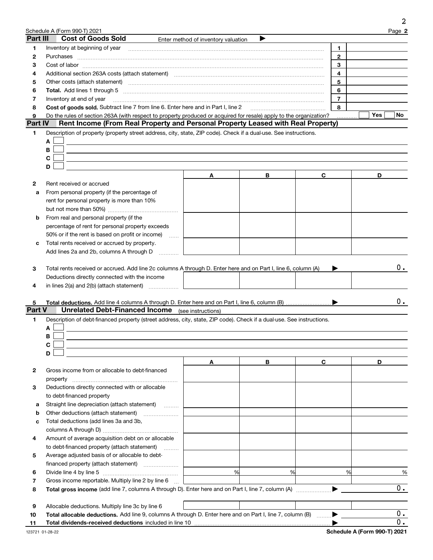|               | Schedule A (Form 990-T) 2021                                                                                                                                                                                                   |                                     |   |   |                | Page 2 |
|---------------|--------------------------------------------------------------------------------------------------------------------------------------------------------------------------------------------------------------------------------|-------------------------------------|---|---|----------------|--------|
| Part III      | <b>Cost of Goods Sold</b>                                                                                                                                                                                                      | Enter method of inventory valuation | ▶ |   |                |        |
| 1.            | Inventory at beginning of year                                                                                                                                                                                                 |                                     |   |   | $\mathbf{1}$   |        |
| 2             | Purchases                                                                                                                                                                                                                      |                                     |   |   | $\mathbf{2}$   |        |
| з             |                                                                                                                                                                                                                                |                                     |   |   | 3              |        |
| 4             |                                                                                                                                                                                                                                |                                     |   |   | 4              |        |
| 5             | Other costs (attach statement) manufactured and contract and contract and contract and contract and contract and contract and contract and contract and contract and contract and contract and contract and contract and contr |                                     |   |   | 5              |        |
| 6             |                                                                                                                                                                                                                                |                                     |   |   | 6              |        |
| 7             | Inventory at end of year                                                                                                                                                                                                       |                                     |   |   | $\overline{7}$ |        |
| 8             | Cost of goods sold. Subtract line 7 from line 6. Enter here and in Part I, line 2 [11] [11] Cost of goods sold. Subtract line 7 from line 6. Enter here and in Part I, line 2                                                  |                                     |   |   | 8              |        |
| 9             | Do the rules of section 263A (with respect to property produced or acquired for resale) apply to the organization?                                                                                                             |                                     |   |   |                | Yes    |
| Part IV       | Rent Income (From Real Property and Personal Property Leased with Real Property)                                                                                                                                               |                                     |   |   |                |        |
| 1             | Description of property (property street address, city, state, ZIP code). Check if a dual-use. See instructions.                                                                                                               |                                     |   |   |                |        |
|               | A                                                                                                                                                                                                                              |                                     |   |   |                |        |
|               | В                                                                                                                                                                                                                              |                                     |   |   |                |        |
|               | C                                                                                                                                                                                                                              |                                     |   |   |                |        |
|               | D                                                                                                                                                                                                                              |                                     |   |   |                |        |
|               |                                                                                                                                                                                                                                | Α                                   | В | C |                | D      |
| 2             | Rent received or accrued                                                                                                                                                                                                       |                                     |   |   |                |        |
| а             | From personal property (if the percentage of                                                                                                                                                                                   |                                     |   |   |                |        |
|               | rent for personal property is more than 10%                                                                                                                                                                                    |                                     |   |   |                |        |
|               |                                                                                                                                                                                                                                |                                     |   |   |                |        |
| b             | From real and personal property (if the                                                                                                                                                                                        |                                     |   |   |                |        |
|               | percentage of rent for personal property exceeds                                                                                                                                                                               |                                     |   |   |                |        |
|               | 50% or if the rent is based on profit or income)<br>alaran.                                                                                                                                                                    |                                     |   |   |                |        |
| с             | Total rents received or accrued by property.                                                                                                                                                                                   |                                     |   |   |                |        |
|               | Add lines 2a and 2b, columns A through D                                                                                                                                                                                       |                                     |   |   |                |        |
|               |                                                                                                                                                                                                                                |                                     |   |   |                |        |
| 3             | Total rents received or accrued. Add line 2c columns A through D. Enter here and on Part I, line 6, column (A)                                                                                                                 |                                     |   |   |                |        |
|               | Deductions directly connected with the income                                                                                                                                                                                  |                                     |   |   |                |        |
| 4             | in lines $2(a)$ and $2(b)$ (attach statement) $\ldots$                                                                                                                                                                         |                                     |   |   |                |        |
|               |                                                                                                                                                                                                                                |                                     |   |   |                |        |
| 5             |                                                                                                                                                                                                                                |                                     |   |   |                |        |
| <b>Part V</b> | <b>Unrelated Debt-Financed Income</b> (see instructions)                                                                                                                                                                       |                                     |   |   |                |        |
| 1             | Description of debt-financed property (street address, city, state, ZIP code). Check if a dual-use. See instructions.                                                                                                          |                                     |   |   |                |        |
|               | A                                                                                                                                                                                                                              |                                     |   |   |                |        |
|               | В                                                                                                                                                                                                                              |                                     |   |   |                |        |
|               | C                                                                                                                                                                                                                              |                                     |   |   |                |        |
|               | D                                                                                                                                                                                                                              |                                     |   |   |                |        |
|               |                                                                                                                                                                                                                                | A                                   | В | С |                | D      |
| 2             | Gross income from or allocable to debt-financed                                                                                                                                                                                |                                     |   |   |                |        |
|               |                                                                                                                                                                                                                                |                                     |   |   |                |        |
| з             |                                                                                                                                                                                                                                |                                     |   |   |                |        |
|               |                                                                                                                                                                                                                                |                                     |   |   |                |        |
|               | Deductions directly connected with or allocable                                                                                                                                                                                |                                     |   |   |                |        |
|               | to debt-financed property                                                                                                                                                                                                      |                                     |   |   |                |        |
| а             | Straight line depreciation (attach statement)                                                                                                                                                                                  |                                     |   |   |                |        |
| b             |                                                                                                                                                                                                                                |                                     |   |   |                |        |
| с             | Total deductions (add lines 3a and 3b,                                                                                                                                                                                         |                                     |   |   |                |        |
|               |                                                                                                                                                                                                                                |                                     |   |   |                |        |
| 4             | Amount of average acquisition debt on or allocable                                                                                                                                                                             |                                     |   |   |                |        |
|               | to debt-financed property (attach statement)                                                                                                                                                                                   |                                     |   |   |                |        |
| 5             | Average adjusted basis of or allocable to debt-                                                                                                                                                                                |                                     |   |   |                |        |
|               | financed property (attach statement)                                                                                                                                                                                           |                                     |   |   |                |        |
| 6             |                                                                                                                                                                                                                                | %                                   | % |   | %              |        |
| 7             | Gross income reportable. Multiply line 2 by line 6                                                                                                                                                                             |                                     |   |   |                |        |
| 8             |                                                                                                                                                                                                                                |                                     |   |   |                |        |
|               |                                                                                                                                                                                                                                |                                     |   |   |                |        |
| 9<br>10       | Allocable deductions. Multiply line 3c by line 6<br>Total allocable deductions. Add line 9, columns A through D. Enter here and on Part I, line 7, column (B)                                                                  |                                     |   |   |                |        |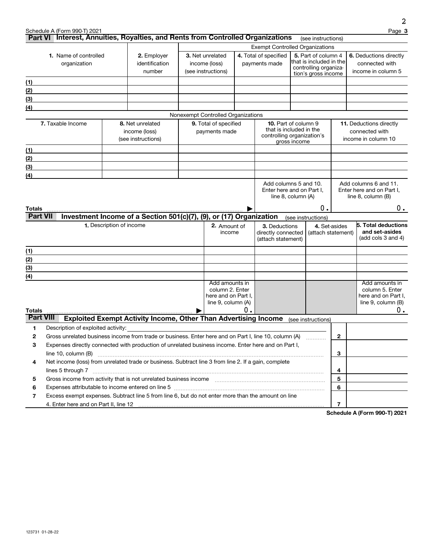|                              |                                                                                                                                                                                                                                                       |                          |                                                                        |                                           |    |                                                        |              |                                                  |               | 2                                                |
|------------------------------|-------------------------------------------------------------------------------------------------------------------------------------------------------------------------------------------------------------------------------------------------------|--------------------------|------------------------------------------------------------------------|-------------------------------------------|----|--------------------------------------------------------|--------------|--------------------------------------------------|---------------|--------------------------------------------------|
|                              | Schedule A (Form 990-T) 2021<br>Part VI Interest, Annuities, Royalties, and Rents from Controlled Organizations                                                                                                                                       |                          |                                                                        |                                           |    |                                                        |              | (see instructions)                               |               | Page 3                                           |
|                              |                                                                                                                                                                                                                                                       |                          |                                                                        |                                           |    | <b>Exempt Controlled Organizations</b>                 |              |                                                  |               |                                                  |
| <b>1.</b> Name of controlled |                                                                                                                                                                                                                                                       |                          | 2. Employer                                                            | 3. Net unrelated                          |    | 4. Total of specified                                  |              | 5. Part of column 4                              |               | 6. Deductions directly                           |
|                              | organization                                                                                                                                                                                                                                          |                          | identification                                                         | income (loss)                             |    | payments made                                          |              | that is included in the<br>controlling organiza- |               | connected with                                   |
|                              |                                                                                                                                                                                                                                                       |                          | number                                                                 | (see instructions)                        |    |                                                        |              | tion's gross income                              |               | income in column 5                               |
| (1)                          |                                                                                                                                                                                                                                                       |                          |                                                                        |                                           |    |                                                        |              |                                                  |               |                                                  |
| (2)                          |                                                                                                                                                                                                                                                       |                          |                                                                        |                                           |    |                                                        |              |                                                  |               |                                                  |
| (3)                          |                                                                                                                                                                                                                                                       |                          |                                                                        |                                           |    |                                                        |              |                                                  |               |                                                  |
| (4)                          |                                                                                                                                                                                                                                                       |                          |                                                                        |                                           |    |                                                        |              |                                                  |               |                                                  |
|                              |                                                                                                                                                                                                                                                       |                          |                                                                        | Nonexempt Controlled Organizations        |    |                                                        |              |                                                  |               |                                                  |
|                              | 7. Taxable Income                                                                                                                                                                                                                                     |                          | 8. Net unrelated<br>income (loss)                                      | 9. Total of specified<br>payments made    |    | <b>10.</b> Part of column 9<br>that is included in the |              |                                                  |               | <b>11.</b> Deductions directly<br>connected with |
|                              |                                                                                                                                                                                                                                                       |                          | (see instructions)                                                     |                                           |    | controlling organization's                             |              |                                                  |               | income in column 10                              |
| (1)                          |                                                                                                                                                                                                                                                       |                          |                                                                        |                                           |    |                                                        | gross income |                                                  |               |                                                  |
| (2)                          |                                                                                                                                                                                                                                                       |                          |                                                                        |                                           |    |                                                        |              |                                                  |               |                                                  |
| (3)                          |                                                                                                                                                                                                                                                       |                          |                                                                        |                                           |    |                                                        |              |                                                  |               |                                                  |
| $\left(4\right)$             |                                                                                                                                                                                                                                                       |                          |                                                                        |                                           |    |                                                        |              |                                                  |               |                                                  |
|                              |                                                                                                                                                                                                                                                       |                          |                                                                        |                                           |    | Add columns 5 and 10.                                  |              |                                                  |               | Add columns 6 and 11.                            |
|                              |                                                                                                                                                                                                                                                       |                          |                                                                        |                                           |    | Enter here and on Part I,                              |              |                                                  |               | Enter here and on Part I,                        |
|                              |                                                                                                                                                                                                                                                       |                          |                                                                        |                                           |    | line 8, column (A)                                     |              |                                                  |               | line 8, column (B)                               |
| Totals                       |                                                                                                                                                                                                                                                       |                          |                                                                        |                                           |    |                                                        |              | 0.                                               |               | $0$ .                                            |
| <b>Part VII</b>              |                                                                                                                                                                                                                                                       |                          | Investment Income of a Section 501(c)(7), (9), or (17) Organization    |                                           |    |                                                        |              | (see instructions)                               |               |                                                  |
|                              |                                                                                                                                                                                                                                                       | 1. Description of income |                                                                        | 2. Amount of                              |    | 3. Deductions                                          |              |                                                  | 4. Set-asides | 5. Total deductions                              |
|                              |                                                                                                                                                                                                                                                       |                          |                                                                        | income                                    |    | directly connected<br>(attach statement)               |              | (attach statement)                               |               | and set-asides<br>(add cols 3 and 4)             |
|                              |                                                                                                                                                                                                                                                       |                          |                                                                        |                                           |    |                                                        |              |                                                  |               |                                                  |
| (1)                          |                                                                                                                                                                                                                                                       |                          |                                                                        |                                           |    |                                                        |              |                                                  |               |                                                  |
| (2)                          |                                                                                                                                                                                                                                                       |                          |                                                                        |                                           |    |                                                        |              |                                                  |               |                                                  |
| (3)                          |                                                                                                                                                                                                                                                       |                          |                                                                        |                                           |    |                                                        |              |                                                  |               |                                                  |
| (4)                          |                                                                                                                                                                                                                                                       |                          |                                                                        | Add amounts in                            |    |                                                        |              |                                                  |               | Add amounts in                                   |
|                              |                                                                                                                                                                                                                                                       |                          |                                                                        | column 2. Enter                           |    |                                                        |              |                                                  |               | column 5. Enter                                  |
|                              |                                                                                                                                                                                                                                                       |                          |                                                                        | here and on Part I,<br>line 9, column (A) |    |                                                        |              |                                                  |               | here and on Part I,<br>line $9$ , column $(B)$   |
| Totals                       |                                                                                                                                                                                                                                                       |                          |                                                                        |                                           | 0. |                                                        |              |                                                  |               | $0$ .                                            |
| <b>Part VIII</b>             |                                                                                                                                                                                                                                                       |                          | <b>Exploited Exempt Activity Income, Other Than Advertising Income</b> |                                           |    |                                                        |              | (see instructions)                               |               |                                                  |
| 1                            | Description of exploited activity:                                                                                                                                                                                                                    |                          |                                                                        |                                           |    |                                                        |              |                                                  |               |                                                  |
| 2                            | Gross unrelated business income from trade or business. Enter here and on Part I, line 10, column (A)                                                                                                                                                 |                          |                                                                        |                                           |    |                                                        |              |                                                  | 2             |                                                  |
| 3                            | Expenses directly connected with production of unrelated business income. Enter here and on Part I,                                                                                                                                                   |                          |                                                                        |                                           |    |                                                        |              |                                                  |               |                                                  |
|                              | line 10, column $(B)$                                                                                                                                                                                                                                 |                          |                                                                        |                                           |    |                                                        |              |                                                  | 3             |                                                  |
| 4                            | Net income (loss) from unrelated trade or business. Subtract line 3 from line 2. If a gain, complete                                                                                                                                                  |                          |                                                                        |                                           |    |                                                        |              |                                                  |               |                                                  |
|                              | lines 5 through 7                                                                                                                                                                                                                                     |                          |                                                                        |                                           |    |                                                        |              |                                                  | 4             |                                                  |
| 5                            | Gross income from activity that is not unrelated business income [11] [11] content material content from activity that is not unrelated business income [11] [11] [11] $\alpha$ [11] $\alpha$ [11] $\alpha$ [11] $\alpha$ [11] $\alpha$ [11] $\alpha$ |                          |                                                                        |                                           |    |                                                        |              |                                                  | 5             |                                                  |
| 6                            | Expenses attributable to income entered on line 5 [111] [12] matterial continuum material continuum material contract on the Superstand material contract of the Superstand material contract of the Superstand material contr                        |                          |                                                                        |                                           |    |                                                        |              |                                                  | 6             |                                                  |
| 7                            | Excess exempt expenses. Subtract line 5 from line 6, but do not enter more than the amount on line                                                                                                                                                    |                          |                                                                        |                                           |    |                                                        |              |                                                  |               |                                                  |
|                              |                                                                                                                                                                                                                                                       |                          |                                                                        |                                           |    |                                                        |              |                                                  | 7             |                                                  |

**Schedule A (Form 990-T) 2021**

123731 01-28-22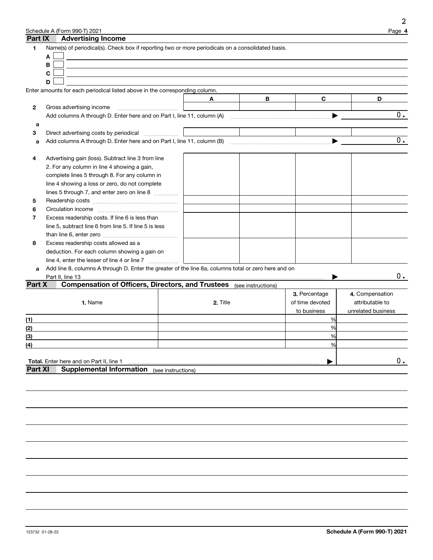|                | Schedule A (Form 990-T) 2021                                                |                                                                                                      |                 | Page 4                    |
|----------------|-----------------------------------------------------------------------------|------------------------------------------------------------------------------------------------------|-----------------|---------------------------|
| Part IX        | <b>Advertising Income</b>                                                   |                                                                                                      |                 |                           |
| 1              |                                                                             | Name(s) of periodical(s). Check box if reporting two or more periodicals on a consolidated basis.    |                 |                           |
|                | A                                                                           |                                                                                                      |                 |                           |
|                | B                                                                           |                                                                                                      |                 |                           |
|                | C                                                                           |                                                                                                      |                 |                           |
|                | D                                                                           |                                                                                                      |                 |                           |
|                | Enter amounts for each periodical listed above in the corresponding column. |                                                                                                      |                 |                           |
|                |                                                                             | в<br>A                                                                                               | C               | D                         |
| 2              | Gross advertising income                                                    |                                                                                                      |                 |                           |
|                |                                                                             |                                                                                                      |                 | $\overline{0}$ .          |
| a              |                                                                             |                                                                                                      |                 |                           |
| 3              | Direct advertising costs by periodical                                      |                                                                                                      |                 |                           |
| a              |                                                                             |                                                                                                      |                 | $\overline{\mathbf{0}}$ . |
|                |                                                                             |                                                                                                      |                 |                           |
| 4              | Advertising gain (loss). Subtract line 3 from line                          |                                                                                                      |                 |                           |
|                | 2. For any column in line 4 showing a gain,                                 |                                                                                                      |                 |                           |
|                | complete lines 5 through 8. For any column in                               |                                                                                                      |                 |                           |
|                | line 4 showing a loss or zero, do not complete                              |                                                                                                      |                 |                           |
|                | lines 5 through 7, and enter zero on line 8                                 |                                                                                                      |                 |                           |
| 5              |                                                                             |                                                                                                      |                 |                           |
| 6              |                                                                             |                                                                                                      |                 |                           |
| 7              | Excess readership costs. If line 6 is less than                             |                                                                                                      |                 |                           |
|                | line 5, subtract line 6 from line 5. If line 5 is less                      |                                                                                                      |                 |                           |
|                |                                                                             |                                                                                                      |                 |                           |
| 8              | Excess readership costs allowed as a                                        |                                                                                                      |                 |                           |
|                | deduction. For each column showing a gain on                                |                                                                                                      |                 |                           |
|                | line 4, enter the lesser of line 4 or line 7                                |                                                                                                      |                 |                           |
| a              |                                                                             | Add line 8, columns A through D. Enter the greater of the line 8a, columns total or zero here and on |                 |                           |
|                | Part II, line 13.                                                           |                                                                                                      |                 | 0.                        |
| Part X         |                                                                             | <b>Compensation of Officers, Directors, and Trustees</b> (see instructions)                          |                 |                           |
|                |                                                                             |                                                                                                      | 3. Percentage   | 4. Compensation           |
|                | 1. Name                                                                     | 2. Title                                                                                             | of time devoted | attributable to           |
|                |                                                                             |                                                                                                      | to business     | unrelated business        |
| (1)            |                                                                             |                                                                                                      | %               |                           |
| (2)            |                                                                             |                                                                                                      | %               |                           |
| (3)            |                                                                             |                                                                                                      | %               |                           |
| <u>(4)</u>     |                                                                             |                                                                                                      |                 |                           |
|                |                                                                             |                                                                                                      |                 |                           |
|                | Total. Enter here and on Part II, line 1                                    |                                                                                                      |                 | $0$ .                     |
| <b>Part XI</b> | <b>Supplemental Information</b> (see instructions)                          |                                                                                                      |                 |                           |
|                |                                                                             |                                                                                                      |                 |                           |
|                |                                                                             |                                                                                                      |                 |                           |
|                |                                                                             |                                                                                                      |                 |                           |
|                |                                                                             |                                                                                                      |                 |                           |
|                |                                                                             |                                                                                                      |                 |                           |
|                |                                                                             |                                                                                                      |                 |                           |
|                |                                                                             |                                                                                                      |                 |                           |
|                |                                                                             |                                                                                                      |                 |                           |
|                |                                                                             |                                                                                                      |                 |                           |
|                |                                                                             |                                                                                                      |                 |                           |
|                |                                                                             |                                                                                                      |                 |                           |
|                |                                                                             |                                                                                                      |                 |                           |

2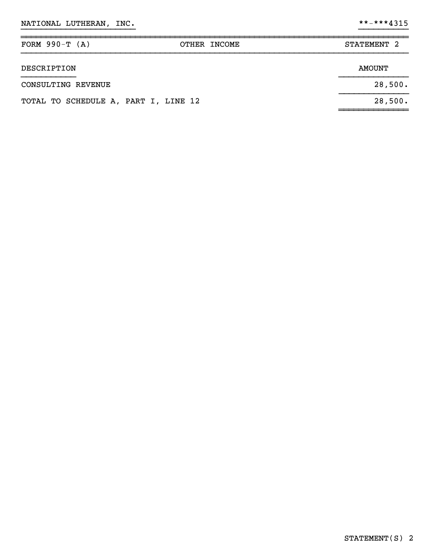| FORM $990-T (A)$                     | OTHER INCOME | STATEMENT <sub>2</sub> |
|--------------------------------------|--------------|------------------------|
| DESCRIPTION                          |              | <b>AMOUNT</b>          |
| CONSULTING REVENUE                   |              | 28,500.                |
| TOTAL TO SCHEDULE A, PART I, LINE 12 |              | 28,500.                |
|                                      |              |                        |

}}}}}}}}}}}}}}}}}}}}}}} }}}}}}}}}}

~~~~~~~~~~~~~~~~~~~~~~~~~~~~~~~~~~~~~~~~~~~~~~~~~~~~~~~~~~~~~~~~~~~~~~~~~~~~~~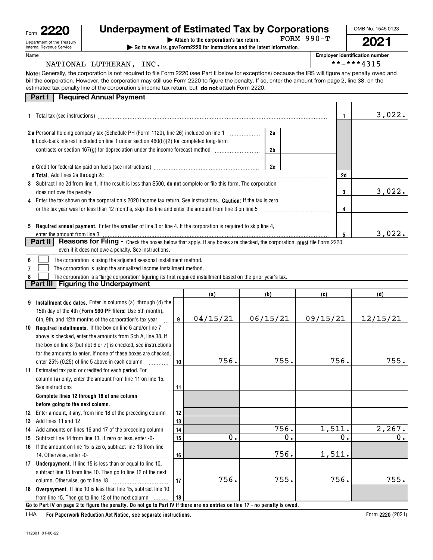| Form | m                         |
|------|---------------------------|
|      | Department of the Treasur |

# Department of the Treasury Internal Revenue Service

#### Name

### **| Attach to the corporation's tax return. Underpayment of Estimated Tax by Corporations**

**| Go to www.irs.gov/Form2220 for instructions and the latest information.** FORM 990-T OMB No. 1545-0123

**2021**

**Employer identification number**

 $***-***4315$ 

|--|

**Note:** Generally, the corporation is not required to file Form 2220 (see Part II below for exceptions) because the IRS will figure any penalty owed and estimated tax penalty line of the corporation's income tax return, but **do not** attach Form 2220. bill the corporation. However, the corporation may still use Form 2220 to figure the penalty. If so, enter the amount from page 2, line 38, on the

| <b>Part I</b> Required Annual Payment |
|---------------------------------------|

|                                                                                                                                                                                                                                                                                      |          |    | 3,022.    |
|--------------------------------------------------------------------------------------------------------------------------------------------------------------------------------------------------------------------------------------------------------------------------------------|----------|----|-----------|
| <b>2 a</b> Personal holding company tax (Schedule PH (Form 1120), line 26) included on line 1<br><b>b</b> Look-back interest included on line 1 under section $460(b)(2)$ for completed long-term<br>contracts or section $167(g)$ for depreciation under the income forecast method | 2a<br>2b |    |           |
|                                                                                                                                                                                                                                                                                      | 2c       | 2d |           |
| 3 Subtract line 2d from line 1. If the result is less than \$500, <b>do not</b> complete or file this form. The corporation<br>does not owe the penalty                                                                                                                              |          | 3  | 3,022.    |
| 4 Enter the tax shown on the corporation's 2020 income tax return. See instructions. <b>Caution:</b> If the tax is zero<br>or the tax year was for less than 12 months, skip this line and enter the amount from line 3 on line 5                                                    |          | 4  |           |
| 5 Required annual payment. Enter the smaller of line 3 or line 4. If the corporation is required to skip line 4,                                                                                                                                                                     |          | 5  | $3,022$ . |
| <b>Part II</b><br><b>Reasons for Filing -</b> Check the boxes below that apply. If any boxes are checked, the corporation must file Form 2220<br>even if it does not owe a penalty. See instructions.                                                                                |          |    |           |

|  |  | 6   The corporation is using the adjusted seasonal installment method. |
|--|--|------------------------------------------------------------------------|
|--|--|------------------------------------------------------------------------|

**7**The corporation is using the annualized income installment method.  $\mathcal{L}^{\text{max}}$ 

**8**The corporation is a "large corporation" figuring its first required installment based on the prior year's tax.  $\mathcal{L}^{\text{max}}$ 

**Part III Figuring the Underpayment**

|    |                                                                                                                              |    | (a)      | (b)           | (c)      | (d)      |  |
|----|------------------------------------------------------------------------------------------------------------------------------|----|----------|---------------|----------|----------|--|
| 9  | Installment due dates. Enter in columns (a) through (d) the                                                                  |    |          |               |          |          |  |
|    | 15th day of the 4th (Form 990-PF filers; Use 5th month),                                                                     |    |          |               |          |          |  |
|    | 6th, 9th, and 12th months of the corporation's tax year                                                                      | 9  | 04/15/21 | 06/15/21      | 09/15/21 | 12/15/21 |  |
| 10 | <b>Required installments.</b> If the box on line 6 and/or line 7                                                             |    |          |               |          |          |  |
|    | above is checked, enter the amounts from Sch A, line 38. If                                                                  |    |          |               |          |          |  |
|    | the box on line 8 (but not 6 or 7) is checked, see instructions                                                              |    |          |               |          |          |  |
|    | for the amounts to enter. If none of these boxes are checked.                                                                |    |          |               |          |          |  |
|    | enter 25% (0.25) of line 5 above in each column                                                                              | 10 | 756.     | 755.          | 756.     | 755.     |  |
| 11 | Estimated tax paid or credited for each period. For                                                                          |    |          |               |          |          |  |
|    | column (a) only, enter the amount from line 11 on line 15.                                                                   |    |          |               |          |          |  |
|    | See instructions                                                                                                             | 11 |          |               |          |          |  |
|    | Complete lines 12 through 18 of one column                                                                                   |    |          |               |          |          |  |
|    | before going to the next column.                                                                                             |    |          |               |          |          |  |
| 12 | Enter amount, if any, from line 18 of the preceding column                                                                   | 12 |          |               |          |          |  |
| 13 |                                                                                                                              | 13 |          |               |          |          |  |
| 14 | Add amounts on lines 16 and 17 of the preceding column                                                                       | 14 |          | 756.          | 1,511.   | 2,267.   |  |
| 15 | Subtract line 14 from line 13. If zero or less, enter -0-                                                                    | 15 | О.       | $\mathbf 0$ . | 0.       | 0.       |  |
| 16 | If the amount on line 15 is zero, subtract line 13 from line                                                                 |    |          |               |          |          |  |
|    | 14. Otherwise, enter -0-                                                                                                     | 16 |          | 756.          | 1,511.   |          |  |
| 17 | <b>Underpayment.</b> If line 15 is less than or equal to line 10,                                                            |    |          |               |          |          |  |
|    | subtract line 15 from line 10. Then go to line 12 of the next                                                                |    |          |               |          |          |  |
|    | column. Otherwise, go to line 18<br><u> 1986 - Jan Start Barbar, mars ar st</u>                                              | 17 | 756.     | 755.          | 756.     | 755.     |  |
| 18 | Overpayment. If line 10 is less than line 15, subtract line 10                                                               |    |          |               |          |          |  |
|    | from line 15. Then go to line 12 of the next column                                                                          | 18 |          |               |          |          |  |
|    | Go to Part IV on page 2 to figure the penalty. Do not go to Part IV if there are no entries on line 17 - no penalty is owed. |    |          |               |          |          |  |

**For Paperwork Reduction Act Notice, see separate instructions.** LHA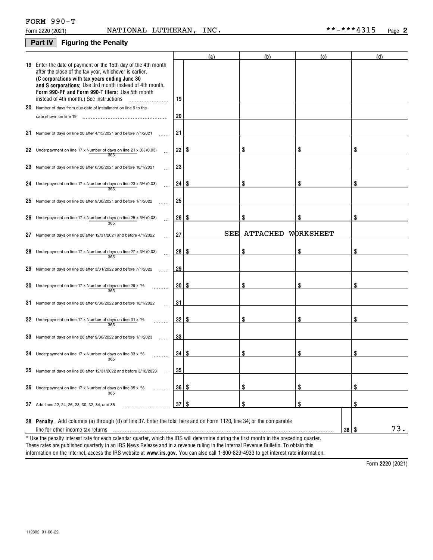|                                  | FORM $990-T$ |    |
|----------------------------------|--------------|----|
| $F_{\text{max}}$ $0.000$ $0.000$ |              | ᇧᅎ |

#### **Part IV Figuring the Penalty**

|                                                                                                                                                                                                                                                                                                                                    |              | (a) | (b)             | (c)             | (d) |
|------------------------------------------------------------------------------------------------------------------------------------------------------------------------------------------------------------------------------------------------------------------------------------------------------------------------------------|--------------|-----|-----------------|-----------------|-----|
| 19 Enter the date of payment or the 15th day of the 4th month<br>after the close of the tax year, whichever is earlier.<br>(C corporations with tax years ending June 30<br>and S corporations; Use 3rd month instead of 4th month.<br>Form 990-PF and Form 990-T filers: Use 5th month<br>instead of 4th month.) See instructions | 19           |     |                 |                 |     |
| 20 Number of days from due date of installment on line 9 to the                                                                                                                                                                                                                                                                    |              |     |                 |                 |     |
| date shown on line 19                                                                                                                                                                                                                                                                                                              | 20           |     |                 |                 |     |
| 21 Number of days on line 20 after 4/15/2021 and before 7/1/2021                                                                                                                                                                                                                                                                   | 21           |     |                 |                 |     |
| 22 Underpayment on line 17 x Number of days on line 21 x 3% (0.03)<br>365                                                                                                                                                                                                                                                          | $22$   \$    |     | \$              | \$              |     |
| 23 Number of days on line 20 after 6/30/2021 and before 10/1/2021                                                                                                                                                                                                                                                                  | 23           |     |                 |                 |     |
| 24 Underpayment on line 17 x Number of days on line 23 x 3% (0.03)<br>365                                                                                                                                                                                                                                                          | $24 \mid$ \$ |     | \$              | \$              | \$  |
| 25 Number of days on line 20 after $9/30/2021$ and before $1/1/2022$                                                                                                                                                                                                                                                               | 25           |     |                 |                 |     |
| 26 Underpayment on line 17 x Number of days on line 25 x 3% (0.03)<br>365                                                                                                                                                                                                                                                          | 26   \$      |     | \$              | \$              | \$  |
| 27 Number of days on line 20 after 12/31/2021 and before 4/1/2022                                                                                                                                                                                                                                                                  | 27           | SEE | <b>ATTACHED</b> | WORKSHEET       |     |
| 28 Underpayment on line 17 x Number of days on line 27 x 3% (0.03)<br>365                                                                                                                                                                                                                                                          | $28  $ \$    |     | \$              | \$              |     |
| 29 Number of days on line 20 after 3/31/2022 and before 7/1/2022                                                                                                                                                                                                                                                                   | 29           |     |                 |                 |     |
| 30 Underpayment on line 17 x Number of days on line 29 x $*$ %<br>365                                                                                                                                                                                                                                                              | 30   \$      |     | \$              | \$              | \$  |
| $31$ Number of days on line 20 after 6/30/2022 and before 10/1/2022                                                                                                                                                                                                                                                                | 31           |     |                 |                 |     |
| 32 Underpayment on line 17 x Number of days on line 31 x $*$ %<br>365                                                                                                                                                                                                                                                              | 32   \$      |     | \$              | \$              | \$  |
| 33 Number of days on line 20 after 9/30/2022 and before 1/1/2023                                                                                                                                                                                                                                                                   | 33           |     |                 |                 |     |
| 34 Underpayment on line 17 x Number of days on line 33 x $*$ %<br>365                                                                                                                                                                                                                                                              | 34   \$      |     | \$              | \$              | \$  |
| 35 Number of days on line 20 after 12/31/2022 and before 3/16/2023                                                                                                                                                                                                                                                                 | 35           |     |                 |                 |     |
| 36 Underpayment on line 17 x Number of days on line 35 x $*$<br>365                                                                                                                                                                                                                                                                | 36   \$      |     | \$              | \$              | \$  |
| 37 Add lines 22, 24, 26, 28, 30, 32, 34, and 36                                                                                                                                                                                                                                                                                    | $37$   \$    |     | \$              | \$              | \$  |
| 38 Penalty. Add columns (a) through (d) of line 37. Enter the total here and on Form 1120, line 34; or the comparable<br>line for other income tax returns                                                                                                                                                                         |              |     |                 | 38 <sup>8</sup> | 73. |
| * Use the penalty interest rate for each calendar quarter, which the IRS will determine during the first month in the preceding quarter.<br>These rates are published quarterly in an IDC News Delesse and in a revenue ruling in the Internal Devenue Pulletin. To obtain this                                                    |              |     |                 |                 |     |

information on the Internet, access the IRS website at **www.irs.gov**. You can also call 1-800-829-4933 to get interest rate information. These rates are published quarterly in an IRS News Release and in a revenue ruling in the Internal Revenue Bulletin. To obtain this

**2220**  Form (2021)